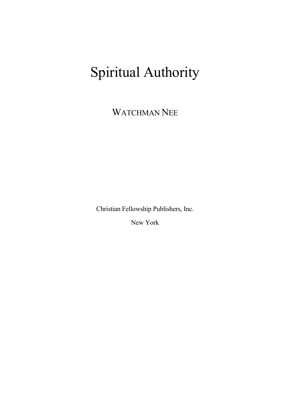### Spiritual Authority

WATCHMAN NEE

Christian Fellowship Publishers, Inc.

New York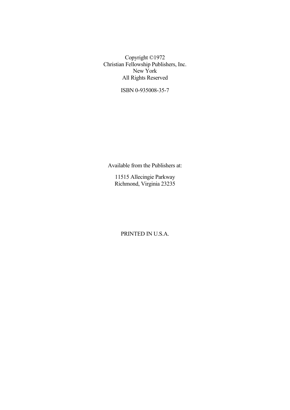Copyright ©1972 Christian Fellowship Publishers, Inc. New York All Rights Reserved

ISBN 0-935008-35-7

Available from the Publishers at:

11515 Allecingie Parkway Richmond, Virginia 23235

PRINTED IN U.S.A.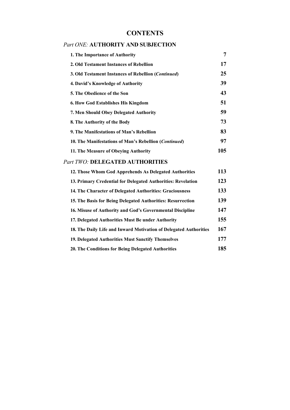### **CONTENTS**

#### *Part ONE:* **AUTHORITY AND SUBJECTION**

| 1. The Importance of Authority                                    | 7   |
|-------------------------------------------------------------------|-----|
| 2. Old Testament Instances of Rebellion                           | 17  |
| 3. Old Testament Instances of Rebellion (Continued)               | 25  |
| 4. David's Knowledge of Authority                                 | 39  |
| 5. The Obedience of the Son                                       | 43  |
| 6. How God Establishes His Kingdom                                | 51  |
| 7. Men Should Obey Delegated Authority                            | 59  |
| 8. The Authority of the Body                                      | 73  |
| 9. The Manifestations of Man's Rebellion                          | 83  |
| 10. The Manifestations of Man's Rebellion (Continued)             | 97  |
| 11. The Measure of Obeying Authority                              | 105 |
| <b>Part TWO: DELEGATED AUTHORITIES</b>                            |     |
| 12. Those Whom God Apprehends As Delegated Authorities            | 113 |
| 13. Primary Credential for Delegated Authorities: Revelation      | 123 |
| 14. The Character of Delegated Authorities: Graciousness          | 133 |
| 15. The Basis for Being Delegated Authorities: Resurrection       | 139 |
| 16. Misuse of Authority and God's Governmental Discipline         | 147 |
| 17. Delegated Authorities Must Be under Authority                 | 155 |
| 18. The Daily Life and Inward Motivation of Delegated Authorities | 167 |
| 19. Delegated Authorities Must Sanctify Themselves                | 177 |
| 20. The Conditions for Being Delegated Authorities                | 185 |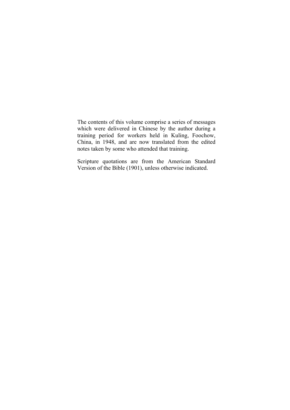The contents of this volume comprise a series of messages which were delivered in Chinese by the author during a training period for workers held in Kuling, Foochow, China, in 1948, and are now translated from the edited notes taken by some who attended that training.

Scripture quotations are from the American Standard Version of the Bible (1901), unless otherwise indicated.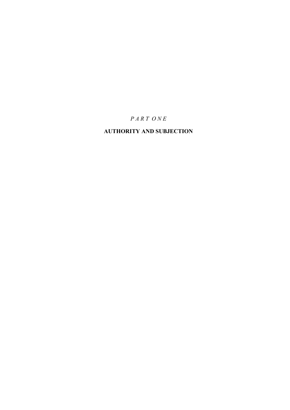#### *P A R T O N E*

#### **AUTHORITY AND SUBJECTION**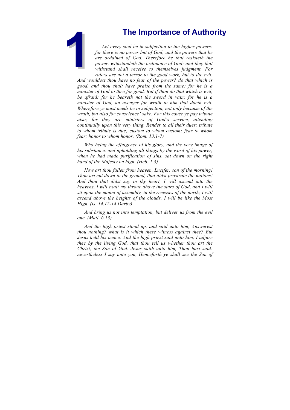<span id="page-6-0"></span>**1The Importance of Authority**<br>
Let every soul be in subjection to the higher powers:<br>
for there is no power but of God; and the powers that be<br>
are ordained of God. Therefore he that resisteth the<br>
power, withstandeth the *Let every soul be in subjection to the higher powers: for there is no power but of God; and the powers that be are ordained of God. Therefore he that resisteth the power, withstandeth the ordinance of God: and they that withstand shall receive to themselves judgment. For rulers are not a terror to the good work, but to the evil. And wouldest thou have no fear of the power? do that which is good, and thou shalt have praise from the same: for he is a minister of God to thee for good. But if thou do that which is evil, be afraid; for he beareth not the sword in vain: for he is a minister of God, an avenger for wrath to him that doeth evil. Wherefore ye must needs be in subjection, not only because of the wrath, but also for conscience' sake. For this cause ye pay tribute also; for they are ministers of God's service, attending continually upon this very thing. Render to all their dues: tribute to whom tribute is due; custom to whom custom; fear to whom fear; honor to whom honor. (Rom. 13.1-7)*

*Who being the effulgence of his glory, and the very image of his substance, and upholding all things by the word of his power, when he had made purification of sins, sat down on the right hand of the Majesty on high. (Heb. 1.3)*

*How art thou fallen from heaven, Lucifer, son of the morning! Thou art cut down to the ground, that didst prostrate the nations! And thou that didst say in thy heart, I will ascend into the heavens, I will exalt my throne above the stars of God, and I will sit upon the mount of assembly, in the recesses of the north; I will ascend above the heights of the clouds, I will be like the Most High. (Is. 14.12-14 Darby)* 

*And bring us not into temptation, but deliver us from the evil one. (Matt. 6.13)*

*And the high priest stood up, and said unto him, Answerest thou nothing? what is it which these witness against thee? But Jesus held his peace. And the high priest said unto him, I adjure thee by the living God, that thou tell us whether thou art the Christ, the Son of God. Jesus saith unto him, Thou hast said: nevertheless I say unto you, Henceforth ye shall see the Son of*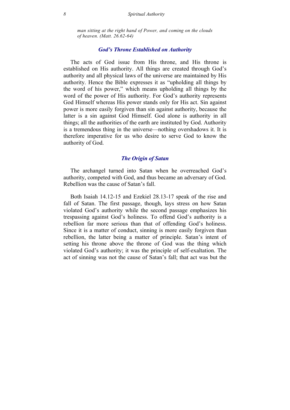*man sitting at the right hand of Power, and coming on the clouds of heaven. (Matt. 26.62-64)* 

#### *God's Throne Established on Authority*

The acts of God issue from His throne, and His throne is established on His authority. All things are created through God's authority and all physical laws of the universe are maintained by His authority. Hence the Bible expresses it as "upholding all things by the word of his power," which means upholding all things by the word of the power of His authority. For God's authority represents God Himself whereas His power stands only for His act. Sin against power is more easily forgiven than sin against authority, because the latter is a sin against God Himself. God alone is authority in all things; all the authorities of the earth are instituted by God. Authority is a tremendous thing in the universe—nothing overshadows it. It is therefore imperative for us who desire to serve God to know the authority of God.

#### *The Origin of Satan*

The archangel turned into Satan when he overreached God's authority, competed with God, and thus became an adversary of God. Rebellion was the cause of Satan's fall.

Both Isaiah 14.12-15 and Ezekiel 28.13-17 speak of the rise and fall of Satan. The first passage, though, lays stress on how Satan violated God's authority while the second passage emphasizes his trespassing against God's holiness. To offend God's authority is a rebellion far more serious than that of offending God's holiness. Since it is a matter of conduct, sinning is more easily forgiven than rebellion, the latter being a matter of principle. Satan's intent of setting his throne above the throne of God was the thing which violated God's authority; it was the principle of self-exaltation. The act of sinning was not the cause of Satan's fall; that act was but the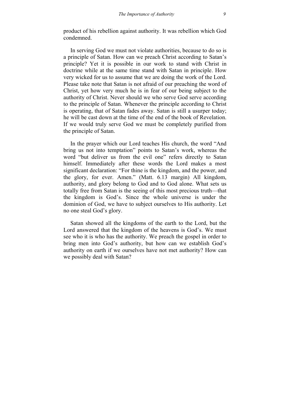product of his rebellion against authority. It was rebellion which God condemned.

In serving God we must not violate authorities, because to do so is a principle of Satan. How can we preach Christ according to Satan's principle? Yet it is possible in our work to stand with Christ in doctrine while at the same time stand with Satan in principle. How very wicked for us to assume that we are doing the work of the Lord. Please take note that Satan is not afraid of our preaching the word of Christ, yet how very much he is in fear of our being subject to the authority of Christ. Never should we who serve God serve according to the principle of Satan. Whenever the principle according to Christ is operating, that of Satan fades away. Satan is still a usurper today; he will be cast down at the time of the end of the book of Revelation. If we would truly serve God we must be completely purified from the principle of Satan.

In the prayer which our Lord teaches His church, the word "And bring us not into temptation" points to Satan's work, whereas the word "but deliver us from the evil one" refers directly to Satan himself. Immediately after these words the Lord makes a most significant declaration: "For thine is the kingdom, and the power, and the glory, for ever. Amen." (Matt. 6.13 margin) All kingdom, authority, and glory belong to God and to God alone. What sets us totally free from Satan is the seeing of this most precious truth—that the kingdom is God's. Since the whole universe is under the dominion of God, we have to subject ourselves to His authority. Let no one steal God's glory.

Satan showed all the kingdoms of the earth to the Lord, but the Lord answered that the kingdom of the heavens is God's. We must see who it is who has the authority. We preach the gospel in order to bring men into God's authority, but how can we establish God's authority on earth if we ourselves have not met authority? How can we possibly deal with Satan?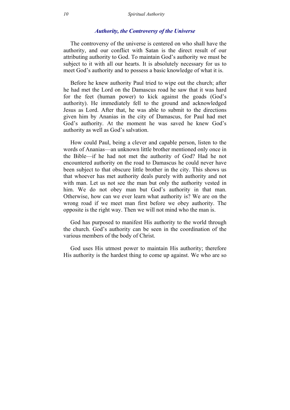#### *Authority, the Controversy of the Universe*

The controversy of the universe is centered on who shall have the authority, and our conflict with Satan is the direct result of our attributing authority to God. To maintain God's authority we must be subject to it with all our hearts. It is absolutely necessary for us to meet God's authority and to possess a basic knowledge of what it is.

Before he knew authority Paul tried to wipe out the church; after he had met the Lord on the Damascus road he saw that it was hard for the feet (human power) to kick against the goads (God's authority). He immediately fell to the ground and acknowledged Jesus as Lord. After that, he was able to submit to the directions given him by Ananias in the city of Damascus, for Paul had met God's authority. At the moment he was saved he knew God's authority as well as God's salvation.

How could Paul, being a clever and capable person, listen to the words of Ananias—an unknown little brother mentioned only once in the Bible—if he had not met the authority of God? Had he not encountered authority on the road to Damascus he could never have been subject to that obscure little brother in the city. This shows us that whoever has met authority deals purely with authority and not with man. Let us not see the man but only the authority vested in him. We do not obey man but God's authority in that man. Otherwise, how can we ever learn what authority is? We are on the wrong road if we meet man first before we obey authority. The opposite is the right way. Then we will not mind who the man is.

God has purposed to manifest His authority to the world through the church. God's authority can be seen in the coordination of the various members of the body of Christ.

God uses His utmost power to maintain His authority; therefore His authority is the hardest thing to come up against. We who are so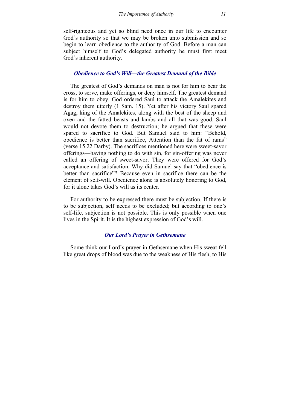self-righteous and yet so blind need once in our life to encounter God's authority so that we may be broken unto submission and so begin to learn obedience to the authority of God. Before a man can subject himself to God's delegated authority he must first meet God's inherent authority.

#### *Obedience to God's Will—the Greatest Demand of the Bible*

The greatest of God's demands on man is not for him to bear the cross, to serve, make offerings, or deny himself. The greatest demand is for him to obey. God ordered Saul to attack the Amalekites and destroy them utterly (1 Sam. 15). Yet after his victory Saul spared Agag, king of the Amalekites, along with the best of the sheep and oxen and the fatted beasts and lambs and all that was good. Saul would not devote them to destruction; he argued that these were spared to sacrifice to God. But Samuel said to him: "Behold, obedience is better than sacrifice, Attention than the fat of rams" (verse 15.22 Darby). The sacrifices mentioned here were sweet-savor offerings—having nothing to do with sin, for sin-offering was never called an offering of sweet-savor. They were offered for God's acceptance and satisfaction. Why did Samuel say that "obedience is better than sacrifice"? Because even in sacrifice there can be the element of self-will. Obedience alone is absolutely honoring to God, for it alone takes God's will as its center.

For authority to be expressed there must be subjection. If there is to be subjection, self needs to be excluded; but according to one's self-life, subjection is not possible. This is only possible when one lives in the Spirit. It is the highest expression of God's will.

#### *Our Lord's Prayer in Gethsemane*

Some think our Lord's prayer in Gethsemane when His sweat fell like great drops of blood was due to the weakness of His flesh, to His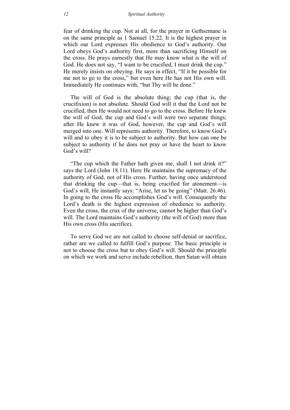fear of drinking the cup. Not at all, for the prayer in Gethsemane is on the same principle as 1 Samuel 15.22. It is the highest prayer in which our Lord expresses His obedience to God's authority. Our Lord obeys God's authority first, more than sacrificing Himself on the cross. He prays earnestly that He may know what is the will of God. He does not say, "I want to be crucified, I must drink the cup." He merely insists on obeying. He says in effect, "If it be possible for me not to go to the cross," but even here He has not His own will. Immediately He continues with, "but Thy will be done."

The will of God is the absolute thing; the cup (that is, the crucifixion) is not absolute. Should God will it that the Lord not be crucified, then He would not need to go to the cross. Before He knew the will of God, the cup and God's will were two separate things; after He knew it was of God, however, the cup and God's will merged into one. Will represents authority. Therefore, to know God's will and to obey it is to be subject to authority. But how can one be subject to authority if he does not pray or have the heart to know God's will?

"The cup which the Father hath given me, shall I not drink it?" says the Lord (John 18.11). Here He maintains the supremacy of the authority of God, not of His cross. Further, having once understood that drinking the cup—that is, being crucified for atonement—is God's will, He instantly says: "Arise, let us be going" (Matt. 26.46). In going to the cross He accomplishes God's will. Consequently the Lord's death is the highest expression of obedience to authority. Even the cross, the crux of the universe, cannot be higher than God's will. The Lord maintains God's authority (the will of God) more than His own cross (His sacrifice).

To serve God we are not called to choose self-denial or sacrifice, rather are we called to fulfill God's purpose. The basic principle is not to choose the cross but to obey God's will. Should the principle on which we work and serve include rebellion, then Satan will obtain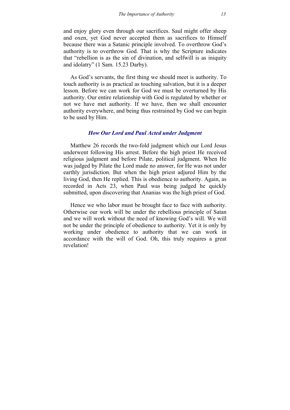and enjoy glory even through our sacrifices. Saul might offer sheep and oxen, yet God never accepted them as sacrifices to Himself because there was a Satanic principle involved. To overthrow God's authority is to overthrow God. That is why the Scripture indicates that "rebellion is as the sin of divination, and selfwill is as iniquity and idolatry" (1 Sam. 15.23 Darby).

As God's servants, the first thing we should meet is authority. To touch authority is as practical as touching salvation, but it is a deeper lesson. Before we can work for God we must be overturned by His authority. Our entire relationship with God is regulated by whether or not we have met authority. If we have, then we shall encounter authority everywhere, and being thus restrained by God we can begin to be used by Him.

#### *How Our Lord and Paul Acted under Judgment*

Matthew 26 records the two-fold judgment which our Lord Jesus underwent following His arrest. Before the high priest He received religious judgment and before Pilate, political judgment. When He was judged by Pilate the Lord made no answer, for He was not under earthly jurisdiction. But when the high priest adjured Him by the living God, then He replied. This is obedience to authority. Again, as recorded in Acts 23, when Paul was being judged he quickly submitted, upon discovering that Ananias was the high priest of God.

Hence we who labor must be brought face to face with authority. Otherwise our work will be under the rebellious principle of Satan and we will work without the need of knowing God's will. We will not be under the principle of obedience to authority. Yet it is only by working under obedience to authority that we can work in accordance with the will of God. Oh, this truly requires a great revelation!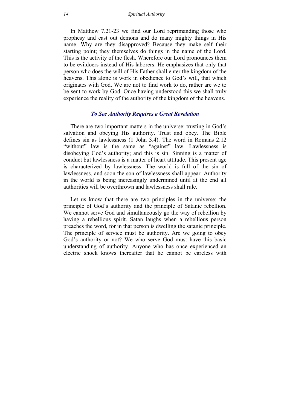In Matthew 7.21-23 we find our Lord reprimanding those who prophesy and cast out demons and do many mighty things in His name. Why are they disapproved? Because they make self their starting point; they themselves do things in the name of the Lord. This is the activity of the flesh. Wherefore our Lord pronounces them to be evildoers instead of His laborers. He emphasizes that only that person who does the will of His Father shall enter the kingdom of the heavens. This alone is work in obedience to God's will, that which originates with God. We are not to find work to do, rather are we to be sent to work by God. Once having understood this we shall truly experience the reality of the authority of the kingdom of the heavens.

#### *To See Authority Requires a Great Revelation*

There are two important matters in the universe: trusting in God's salvation and obeying His authority. Trust and obey. The Bible defines sin as lawlessness (1 John 3.4). The word in Romans 2.12 "without" law is the same as "against" law. Lawlessness is disobeying God's authority; and this is sin. Sinning is a matter of conduct but lawlessness is a matter of heart attitude. This present age is characterized by lawlessness. The world is full of the sin of lawlessness, and soon the son of lawlessness shall appear. Authority in the world is being increasingly undermined until at the end all authorities will be overthrown and lawlessness shall rule.

Let us know that there are two principles in the universe: the principle of God's authority and the principle of Satanic rebellion. We cannot serve God and simultaneously go the way of rebellion by having a rebellious spirit. Satan laughs when a rebellious person preaches the word, for in that person is dwelling the satanic principle. The principle of service must be authority. Are we going to obey God's authority or not? We who serve God must have this basic understanding of authority. Anyone who has once experienced an electric shock knows thereafter that he cannot be careless with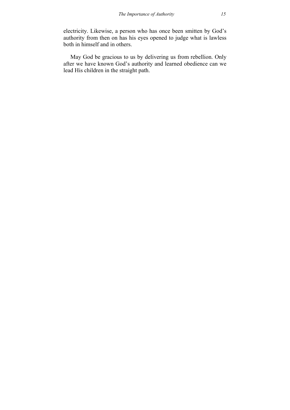electricity. Likewise, a person who has once been smitten by God's authority from then on has his eyes opened to judge what is lawless both in himself and in others.

May God be gracious to us by delivering us from rebellion. Only after we have known God's authority and learned obedience can we lead His children in the straight path.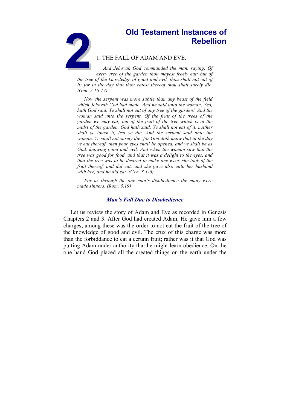

# <span id="page-16-0"></span>**2Old Testament Instances of Rebellion**

#### 1. THE FALL OF ADAM AND EVE.

*And Jehovah God commanded the man, saying, Of every tree of the garden thou mayest freely eat: but of the tree of the knowledge of good and evil, thou shalt not eat of it: for in the day that thou eatest thereof thou shalt surely die. (Gen. 2.16-17)*

*Now the serpent was more subtle than any beast of the field which Jehovah God had made. And he said unto the woman, Yea, hath God said, Ye shall not eat of any tree of the garden? And the woman said unto the serpent, Of the fruit of the trees of the garden we may eat; but of the fruit of the tree which is in the midst of the garden, God hath said, Ye shall not eat of it, neither shall ye touch it, lest ye die. And the serpent said unto the woman, Ye shall not surely die: for God doth know that in the day ye eat thereof, then your eyes shall be opened, and ye shall be as God, knowing good and evil. And when the woman saw that the tree was good for food, and that it was a delight to the eyes, and that the tree was to be desired to make one wise, she took of the fruit thereof, and did eat; and she gave also unto her husband with her, and he did eat. (Gen. 3.1-6)*

*For as through the one man's disobedience the many were made sinners. (Rom. 5.19)*

#### *Man's Fall Due to Disobedience*

Let us review the story of Adam and Eve as recorded in Genesis Chapters 2 and 3. After God had created Adam, He gave him a few charges; among these was the order to not eat the fruit of the tree of the knowledge of good and evil. The crux of this charge was more than the forbiddance to eat a certain fruit; rather was it that God was putting Adam under authority that he might learn obedience. On the one hand God placed all the created things on the earth under the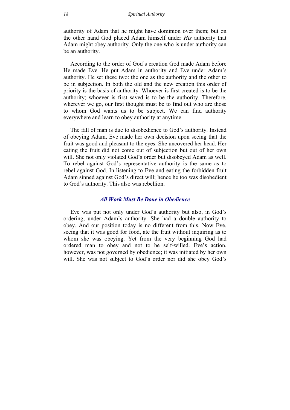authority of Adam that he might have dominion over them; but on the other hand God placed Adam himself under *His* authority that Adam might obey authority. Only the one who is under authority can be an authority.

According to the order of God's creation God made Adam before He made Eve. He put Adam in authority and Eve under Adam's authority. He set these two: the one as the authority and the other to be in subjection. In both the old and the new creation this order of priority is the basis of authority. Whoever is first created is to be the authority; whoever is first saved is to be the authority. Therefore, wherever we go, our first thought must be to find out who are those to whom God wants us to be subject. We can find authority everywhere and learn to obey authority at anytime.

The fall of man is due to disobedience to God's authority. Instead of obeying Adam, Eve made her own decision upon seeing that the fruit was good and pleasant to the eyes. She uncovered her head. Her eating the fruit did not come out of subjection but out of her own will. She not only violated God's order but disobeyed Adam as well. To rebel against God's representative authority is the same as to rebel against God. In listening to Eve and eating the forbidden fruit Adam sinned against God's direct will; hence he too was disobedient to God's authority. This also was rebellion.

#### *All Work Must Be Done in Obedience*

Eve was put not only under God's authority but also, in God's ordering, under Adam's authority. She had a double authority to obey. And our position today is no different from this. Now Eve, seeing that it was good for food, ate the fruit without inquiring as to whom she was obeying. Yet from the very beginning God had ordered man to obey and not to be self-willed. Eve's action, however, was not governed by obedience; it was initiated by her own will. She was not subject to God's order nor did she obey God's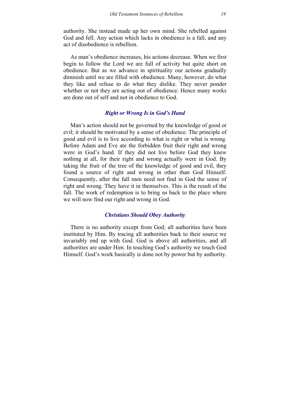authority. She instead made up her own mind. She rebelled against God and fell. Any action which lacks in obedience is a fall, and any act of disobedience is rebellion.

As man's obedience increases, his actions decrease. When we first begin to follow the Lord we are full of activity but quite short on obedience. But as we advance in spirituality our actions gradually diminish until we are filled with obedience. Many, however, do what they like and refuse to do what they dislike. They never ponder whether or not they are acting out of obedience. Hence many works are done out of self and not in obedience to God.

#### *Right or Wrong Is in God's Hand*

Man's action should not be governed by the knowledge of good or evil; it should be motivated by a sense of obedience. The principle of good and evil is to live according to what is right or what is wrong. Before Adam and Eve ate the forbidden fruit their right and wrong were in God's hand. If they did not live before God they knew nothing at all, for their right and wrong actually were in God. By taking the fruit of the tree of the knowledge of good and evil, they found a source of right and wrong in other than God Himself. Consequently, after the fall men need not find in God the sense of right and wrong. They have it in themselves. This is the result of the fall. The work of redemption is to bring us back to the place where we will now find our right and wrong in God.

#### *Christians Should Obey Authority*

There is no authority except from God; all authorities have been instituted by Him. By tracing all authorities back to their source we invariably end up with God. God is above all authorities, and all authorities are under Him. In touching God's authority we touch God Himself. God's work basically is done not by power but by authority.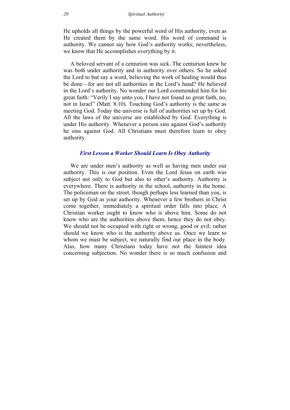He upholds all things by the powerful word of His authority, even as He created them by the same word. His word of command is authority. We cannot say how God's authority works; nevertheless, we know that He accomplishes everything by it.

A beloved servant of a centurion was sick. The centurion knew he was both under authority and in authority over others. So he asked the Lord to but say a word, believing the work of healing would thus be done—for are not all authorities in the Lord's hand? He believed in the Lord's authority. No wonder our Lord commended him for his great faith: "Verily I say unto you, I have not found so great faith, no, not in Israel" (Matt. 8.10). Touching God's authority is the same as meeting God. Today the universe is full of authorities set up by God. All the laws of the universe are established by God. Everything is under His authority. Whenever a person sins against God's authority he sins against God. All Christians must therefore learn to obey authority.

#### *First Lesson a Worker Should Learn Is Obey Authority*

We are under men's authority as well as having men under our authority. This is our position. Even the Lord Jesus on earth was subject not only to God but also to other's authority. Authority is everywhere. There is authority in the school, authority in the home. The policeman on the street, though perhaps less learned than you, is set up by God as your authority. Whenever a few brothers in Christ come together, immediately a spiritual order falls into place. A Christian worker ought to know who is above him. Some do not know who are the authorities above them, hence they do not obey. We should not be occupied with right or wrong, good or evil; rather should we know who is the authority above us. Once we learn to whom we must be subject, we naturally find our place in the body. Alas, how many Christians today have not the faintest idea concerning subjection. No wonder there is so much confusion and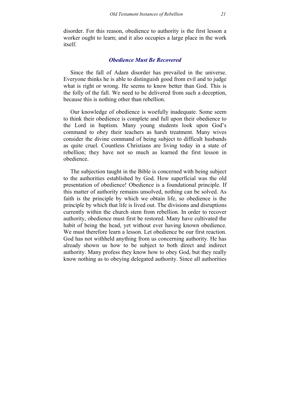disorder. For this reason, obedience to authority is the first lesson a worker ought to learn; and it also occupies a large place in the work itself.

#### *Obedience Must Be Recovered*

Since the fall of Adam disorder has prevailed in the universe. Everyone thinks he is able to distinguish good from evil and to judge what is right or wrong. He seems to know better than God. This is the folly of the fall. We need to be delivered from such a deception, because this is nothing other than rebellion.

Our knowledge of obedience is woefully inadequate. Some seem to think their obedience is complete and full upon their obedience to the Lord in baptism. Many young students look upon God's command to obey their teachers as harsh treatment. Many wives consider the divine command of being subject to difficult husbands as quite cruel. Countless Christians are living today in a state of rebellion; they have not so much as learned the first lesson in obedience.

The subjection taught in the Bible is concerned with being subject to the authorities established by God. How superficial was the old presentation of obedience! Obedience is a foundational principle. If this matter of authority remains unsolved, nothing can be solved. As faith is the principle by which we obtain life, so obedience is the principle by which that life is lived out. The divisions and disruptions currently within the church stem from rebellion. In order to recover authority, obedience must first be restored. Many have cultivated the habit of being the head, yet without ever having known obedience. We must therefore learn a lesson. Let obedience be our first reaction. God has not withheld anything from us concerning authority. He has already shown us how to be subject to both direct and indirect authority. Many profess they know how to obey God, but they really know nothing as to obeying delegated authority. Since all authorities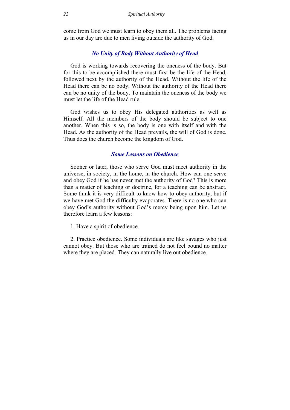come from God we must learn to obey them all. The problems facing us in our day are due to men living outside the authority of God.

#### *No Unity of Body Without Authority of Head*

God is working towards recovering the oneness of the body. But for this to be accomplished there must first be the life of the Head, followed next by the authority of the Head. Without the life of the Head there can be no body. Without the authority of the Head there can be no unity of the body. To maintain the oneness of the body we must let the life of the Head rule.

God wishes us to obey His delegated authorities as well as Himself. All the members of the body should be subject to one another. When this is so, the body is one with itself and with the Head. As the authority of the Head prevails, the will of God is done. Thus does the church become the kingdom of God.

#### *Some Lessons on Obedience*

Sooner or later, those who serve God must meet authority in the universe, in society, in the home, in the church. How can one serve and obey God if he has never met the authority of God? This is more than a matter of teaching or doctrine, for a teaching can be abstract. Some think it is very difficult to know how to obey authority, but if we have met God the difficulty evaporates. There is no one who can obey God's authority without God's mercy being upon him. Let us therefore learn a few lessons:

1. Have a spirit of obedience.

2. Practice obedience. Some individuals are like savages who just cannot obey. But those who are trained do not feel bound no matter where they are placed. They can naturally live out obedience.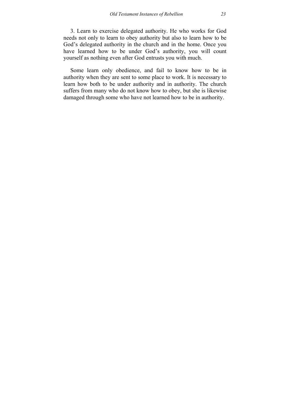3. Learn to exercise delegated authority. He who works for God needs not only to learn to obey authority but also to learn how to be God's delegated authority in the church and in the home. Once you have learned how to be under God's authority, you will count yourself as nothing even after God entrusts you with much.

Some learn only obedience, and fail to know how to be in authority when they are sent to some place to work. It is necessary to learn how both to be under authority and in authority. The church suffers from many who do not know how to obey, but she is likewise damaged through some who have not learned how to be in authority.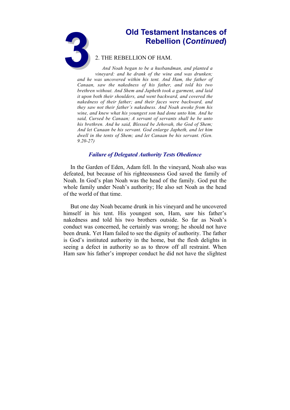## <span id="page-24-0"></span>**3Old Testament Instances of<br>Rebellion (Continued)**<br>2. THE REBELLION OF HAM.<br>And Noah began to be a husbandman, and planted a<br>vineyard: and he drank of the wine and was drunken; **Rebellion (***Continued***)**

#### 2. THE REBELLION OF HAM.

*And Noah began to be a husbandman, and planted a vineyard: and he drank of the wine and was drunken; and he was uncovered within his tent. And Ham, the father of Canaan, saw the nakedness of his father, and told his two brethren without. And Shem and Japheth took a garment, and laid it upon both their shoulders, and went backward, and covered the nakedness of their father; and their faces were backward, and they saw not their father's nakedness. And Noah awoke from his wine, and knew what his youngest son had done unto him. And he said, Cursed be Canaan; A servant of servants shall he be unto his brethren. And he said, Blessed be Jehovah, the God of Shem; And let Canaan be his servant. God enlarge Japheth, and let him dwell in the tents of Shem; and let Canaan be his servant. (Gen. 9.20-27)*

#### *Failure of Delegated Authority Tests Obedience*

In the Garden of Eden, Adam fell. In the vineyard, Noah also was defeated, but because of his righteousness God saved the family of Noah. In God's plan Noah was the head of the family. God put the whole family under Noah's authority; He also set Noah as the head of the world of that time.

But one day Noah became drunk in his vineyard and he uncovered himself in his tent. His youngest son, Ham, saw his father's nakedness and told his two brothers outside. So far as Noah's conduct was concerned, he certainly was wrong; he should not have been drunk. Yet Ham failed to see the dignity of authority. The father is God's instituted authority in the home, but the flesh delights in seeing a defect in authority so as to throw off all restraint. When Ham saw his father's improper conduct he did not have the slightest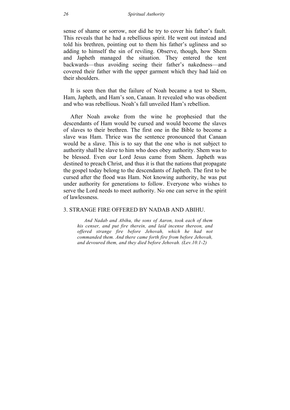sense of shame or sorrow, nor did he try to cover his father's fault. This reveals that he had a rebellious spirit. He went out instead and told his brethren, pointing out to them his father's ugliness and so adding to himself the sin of reviling. Observe, though, how Shem and Japheth managed the situation. They entered the tent backwards—thus avoiding seeing their father's nakedness—and covered their father with the upper garment which they had laid on their shoulders.

It is seen then that the failure of Noah became a test to Shem, Ham, Japheth, and Ham's son, Canaan. It revealed who was obedient and who was rebellious. Noah's fall unveiled Ham's rebellion.

After Noah awoke from the wine he prophesied that the descendants of Ham would be cursed and would become the slaves of slaves to their brethren. The first one in the Bible to become a slave was Ham. Thrice was the sentence pronounced that Canaan would be a slave. This is to say that the one who is not subject to authority shall be slave to him who does obey authority. Shem was to be blessed. Even our Lord Jesus came from Shem. Japheth was destined to preach Christ, and thus it is that the nations that propagate the gospel today belong to the descendants of Japheth. The first to be cursed after the flood was Ham. Not knowing authority, he was put under authority for generations to follow. Everyone who wishes to serve the Lord needs to meet authority. No one can serve in the spirit of lawlessness.

#### 3. STRANGE FIRE OFFERED BY NADAB AND ABIHU.

*And Nadab and Abihu, the sons of Aaron, took each of them his censer, and put fire therein, and laid incense thereon, and offered strange fire before Jehovah, which he had not commanded them. And there came forth fire from before Jehovah, and devoured them, and they died before Jehovah. (Lev.10.1-2)*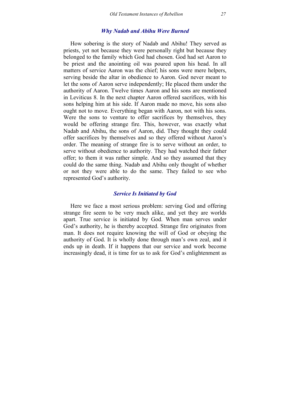#### *Why Nadab and Abihu Were Burned*

How sobering is the story of Nadab and Abihu! They served as priests, yet not because they were personally right but because they belonged to the family which God had chosen. God had set Aaron to be priest and the anointing oil was poured upon his head. In all matters of service Aaron was the chief; his sons were mere helpers, serving beside the altar in obedience to Aaron. God never meant to let the sons of Aaron serve independently; He placed them under the authority of Aaron. Twelve times Aaron and his sons are mentioned in Leviticus 8. In the next chapter Aaron offered sacrifices, with his sons helping him at his side. If Aaron made no move, his sons also ought not to move. Everything began with Aaron, not with his sons. Were the sons to venture to offer sacrifices by themselves, they would be offering strange fire. This, however, was exactly what Nadab and Abihu, the sons of Aaron, did. They thought they could offer sacrifices by themselves and so they offered without Aaron's order. The meaning of strange fire is to serve without an order, to serve without obedience to authority. They had watched their father offer; to them it was rather simple. And so they assumed that they could do the same thing. Nadab and Abihu only thought of whether or not they were able to do the same. They failed to see who represented God's authority.

#### *Service Is Initiated by God*

Here we face a most serious problem: serving God and offering strange fire seem to be very much alike, and yet they are worlds apart. True service is initiated by God. When man serves under God's authority, he is thereby accepted. Strange fire originates from man. It does not require knowing the will of God or obeying the authority of God. It is wholly done through man's own zeal, and it ends up in death. If it happens that our service and work become increasingly dead, it is time for us to ask for God's enlightenment as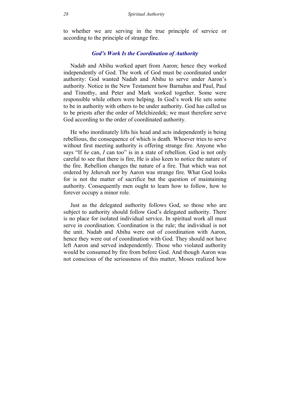to whether we are serving in the true principle of service or according to the principle of strange fire.

#### *God's Work Is the Coordination of Authority*

Nadab and Abihu worked apart from Aaron; hence they worked independently of God. The work of God must be coordinated under authority: God wanted Nadab and Abihu to serve under Aaron's authority. Notice in the New Testament how Barnabas and Paul, Paul and Timothy, and Peter and Mark worked together. Some were responsible while others were helping. In God's work He sets some to be in authority with others to be under authority. God has called us to be priests after the order of Melchizedek; we must therefore serve God according to the order of coordinated authority.

He who inordinately lifts his head and acts independently is being rebellious, the consequence of which is death. Whoever tries to serve without first meeting authority is offering strange fire. Anyone who says "If *he* can, *I* can too" is in a state of rebellion. God is not only careful to see that there is fire, He is also keen to notice the nature of the fire. Rebellion changes the nature of a fire. That which was not ordered by Jehovah nor by Aaron was strange fire. What God looks for is not the matter of sacrifice but the question of maintaining authority. Consequently men ought to learn how to follow, how to forever occupy a minor role.

Just as the delegated authority follows God, so those who are subject to authority should follow God's delegated authority. There is no place for isolated individual service. In spiritual work all must serve in coordination. Coordination is the rule; the individual is not the unit. Nadab and Abihu were out of coordination with Aaron, hence they were out of coordination with God. They should not have left Aaron and served independently. Those who violated authority would be consumed by fire from before God. And though Aaron was not conscious of the seriousness of this matter, Moses realized how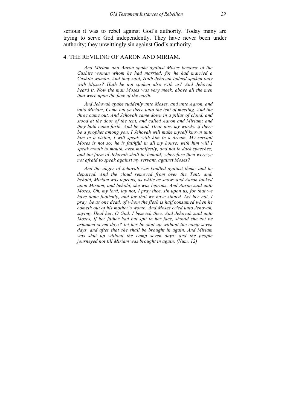serious it was to rebel against God's authority. Today many are trying to serve God independently. They have never been under authority; they unwittingly sin against God's authority.

#### 4. THE REVILING OF AARON AND MIRIAM.

*And Miriam and Aaron spake against Moses because of the Cushite woman whom he had married; for he had married a Cushite woman. And they said, Hath Jehovah indeed spoken only with Moses? Hath he not spoken also with us? And Jehovah heard it. Now the man Moses was very meek, above all the men that were upon the face of the earth.* 

*And Jehovah spake suddenly unto Moses, and unto Aaron, and unto Miriam, Come out ye three unto the tent of meeting. And the three came out. And Jehovah came down in a pillar of cloud, and stood at the door of the tent, and called Aaron and Miriam; and they both came forth. And he said, Hear now my words: if there be a prophet among you, I Jehovah will make myself known unto him in a vision, I will speak with him in a dream. My servant Moses is not so; he is faithful in all my house: with him will I speak mouth to mouth, even manifestly, and not in dark speeches; and the form of Jehovah shall he behold; wherefore then were ye not afraid to speak against my servant, against Moses?* 

*And the anger of Jehovah was kindled against them; and he departed. And the cloud removed from over the Tent; and, behold, Miriam was leprous, as white as snow: and Aaron looked upon Miriam, and behold, she was leprous. And Aaron said unto Moses, Oh, my lord, lay not, I pray thee, sin upon us, for that we have done foolishly, and for that we have sinned. Let her not, I pray, be as one dead, of whom the flesh is half consumed when he cometh out of his mother's womb. And Moses cried unto Jehovah, saying, Heal her, O God, I beseech thee. And Jehovah said unto Moses, If her father had but spit in her face, should she not be ashamed seven days? let her be shut up without the camp seven days, and after that she shall be brought in again. And Miriam was shut up without the camp seven days: and the people journeyed not till Miriam was brought in again. (Num. 12)*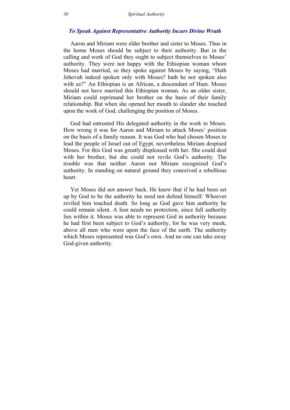#### *To Speak Against Representative Authority Incurs Divine Wrath*

Aaron and Miriam were elder brother and sister to Moses. Thus in the home Moses should be subject to their authority. But in the calling and work of God they ought to subject themselves to Moses' authority. They were not happy with the Ethiopian woman whom Moses had married, so they spoke against Moses by saying, "Hath Jehovah indeed spoken only with Moses? hath he not spoken also with us?" An Ethiopian is an African, a descendant of Ham. Moses should not have married this Ethiopian woman. As an older sister, Miriam could reprimand her brother on the basis of their family relationship. But when she opened her mouth to slander she touched upon the work of God, challenging the position of Moses.

God had entrusted His delegated authority in the work to Moses. How wrong it was for Aaron and Miriam to attack Moses' position on the basis of a family reason. It was God who had chosen Moses to lead the people of Israel out of Egypt, nevertheless Miriam despised Moses. For this God was greatly displeased with her. She could deal with her brother, but she could not revile God's authority. The trouble was that neither Aaron nor Miriam recognized God's authority. In standing on natural ground they conceived a rebellious heart.

Yet Moses did not answer back. He knew that if he had been set up by God to be the authority he need not defend himself. Whoever reviled him touched death. So long as God gave him authority he could remain silent. A lion needs no protection, since full authority lies within it. Moses was able to represent God in authority because he had first been subject to God's authority, for he was very meek, above all men who were upon the face of the earth. The authority which Moses represented was God's own. And no one can take away God-given authority.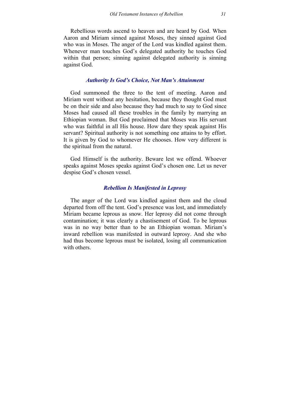Rebellious words ascend to heaven and are heard by God. When Aaron and Miriam sinned against Moses, they sinned against God who was in Moses. The anger of the Lord was kindled against them. Whenever man touches God's delegated authority he touches God within that person; sinning against delegated authority is sinning against God.

#### *Authority Is God's Choice, Not Man's Attainment*

God summoned the three to the tent of meeting. Aaron and Miriam went without any hesitation, because they thought God must be on their side and also because they had much to say to God since Moses had caused all these troubles in the family by marrying an Ethiopian woman. But God proclaimed that Moses was His servant who was faithful in all His house. How dare they speak against His servant? Spiritual authority is not something one attains to by effort. It is given by God to whomever He chooses. How very different is the spiritual from the natural.

God Himself is the authority. Beware lest we offend. Whoever speaks against Moses speaks against God's chosen one. Let us never despise God's chosen vessel.

#### *Rebellion Is Manifested in Leprosy*

The anger of the Lord was kindled against them and the cloud departed from off the tent. God's presence was lost, and immediately Miriam became leprous as snow. Her leprosy did not come through contamination; it was clearly a chastisement of God. To be leprous was in no way better than to be an Ethiopian woman. Miriam's inward rebellion was manifested in outward leprosy. And she who had thus become leprous must be isolated, losing all communication with others.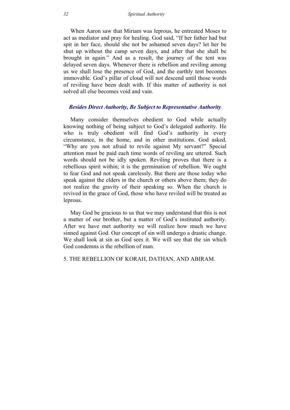When Aaron saw that Miriam was leprous, he entreated Moses to act as mediator and pray for healing. God said, "If her father had but spit in her face, should she not be ashamed seven days? let her be shut up without the camp seven days, and after that she shall be brought in again." And as a result, the journey of the tent was delayed seven days. Whenever there is rebellion and reviling among us we shall lose the presence of God, and the earthly tent becomes immovable. God's pillar of cloud will not descend until those words of reviling have been dealt with. If this matter of authority is not solved all else becomes void and vain.

#### *Besides Direct Authority, Be Subject to Representative Authority*

Many consider themselves obedient to God while actually knowing nothing of being subject to God's delegated authority. He who is truly obedient will find God's authority in every circumstance, in the home, and in other institutions. God asked, "Why are you not afraid to revile against My servant?" Special attention must be paid each time words of reviling are uttered. Such words should not be idly spoken. Reviling proves that there is a rebellious spirit within; it is the germination of rebellion. We ought to fear God and not speak carelessly. But there are those today who speak against the elders in the church or others above them; they do not realize the gravity of their speaking so. When the church is revived in the grace of God, those who have reviled will be treated as leprous.

May God be gracious to us that we may understand that this is not a matter of our brother, but a matter of God's instituted authority. After we have met authority we will realize how much we have sinned against God. Our concept of sin will undergo a drastic change. We shall look at sin as God sees it. We will see that the sin which God condemns is the rebellion of man.

5. THE REBELLION OF KORAH, DATHAN, AND ABIRAM.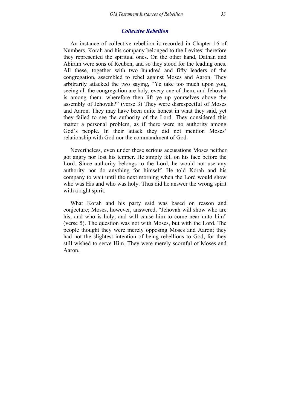#### *Collective Rebellion*

An instance of collective rebellion is recorded in Chapter 16 of Numbers. Korah and his company belonged to the Levites; therefore they represented the spiritual ones. On the other hand, Dathan and Abiram were sons of Reuben, and so they stood for the leading ones. All these, together with two hundred and fifty leaders of the congregation, assembled to rebel against Moses and Aaron. They arbitrarily attacked the two saying, "Ye take too much upon you, seeing all the congregation are holy, every one of them, and Jehovah is among them: wherefore then lift ye up yourselves above the assembly of Jehovah?" (verse 3) They were disrespectful of Moses and Aaron. They may have been quite honest in what they said, yet they failed to see the authority of the Lord. They considered this matter a personal problem, as if there were no authority among God's people. In their attack they did not mention Moses' relationship with God nor the commandment of God.

Nevertheless, even under these serious accusations Moses neither got angry nor lost his temper. He simply fell on his face before the Lord. Since authority belongs to the Lord, he would not use any authority nor do anything for himself. He told Korah and his company to wait until the next morning when the Lord would show who was His and who was holy. Thus did he answer the wrong spirit with a right spirit.

What Korah and his party said was based on reason and conjecture; Moses, however, answered, "Jehovah will show who are his, and who is holy, and will cause him to come near unto him" (verse 5). The question was not with Moses, but with the Lord. The people thought they were merely opposing Moses and Aaron; they had not the slightest intention of being rebellious to God, for they still wished to serve Him. They were merely scornful of Moses and Aaron.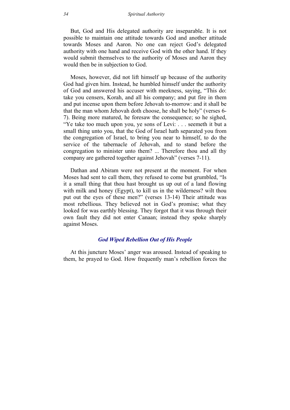But, God and His delegated authority are inseparable. It is not possible to maintain one attitude towards God and another attitude towards Moses and Aaron. No one can reject God's delegated authority with one hand and receive God with the other hand. If they would submit themselves to the authority of Moses and Aaron they would then be in subjection to God.

Moses, however, did not lift himself up because of the authority God had given him. Instead, he humbled himself under the authority of God and answered his accuser with meekness, saying, "This do: take you censers, Korah, and all his company; and put fire in them and put incense upon them before Jehovah to-morrow: and it shall be that the man whom Jehovah doth choose, he shall be holy" (verses 6- 7). Being more matured, he foresaw the consequence; so he sighed, "Ye take too much upon you, ye sons of Levi: . . . seemeth it but a small thing unto you, that the God of Israel hath separated you from the congregation of Israel, to bring you near to himself, to do the service of the tabernacle of Jehovah, and to stand before the congregation to minister unto them? ... Therefore thou and all thy company are gathered together against Jehovah" (verses 7-11).

Dathan and Abiram were not present at the moment. For when Moses had sent to call them, they refused to come but grumbled, "Is it a small thing that thou hast brought us up out of a land flowing with milk and honey (Egypt), to kill us in the wilderness? wilt thou put out the eyes of these men?" (verses 13-14) Their attitude was most rebellious. They believed not in God's promise; what they looked for was earthly blessing. They forgot that it was through their own fault they did not enter Canaan; instead they spoke sharply against Moses.

#### *God Wiped Rebellion Out of His People*

At this juncture Moses' anger was aroused. Instead of speaking to them, he prayed to God. How frequently man's rebellion forces the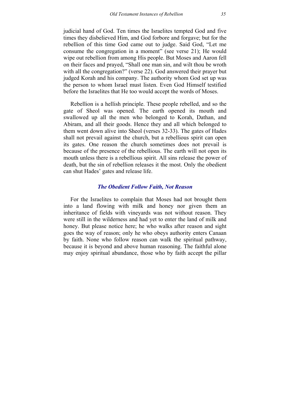judicial hand of God. Ten times the Israelites tempted God and five times they disbelieved Him, and God forbore and forgave; but for the rebellion of this time God came out to judge. Said God, "Let me consume the congregation in a moment" (see verse 21); He would wipe out rebellion from among His people. But Moses and Aaron fell on their faces and prayed, "Shall one man sin, and wilt thou be wroth with all the congregation?" (verse 22). God answered their prayer but judged Korah and his company. The authority whom God set up was the person to whom Israel must listen. Even God Himself testified before the Israelites that He too would accept the words of Moses.

Rebellion is a hellish principle. These people rebelled, and so the gate of Sheol was opened. The earth opened its mouth and swallowed up all the men who belonged to Korah, Dathan, and Abiram, and all their goods. Hence they and all which belonged to them went down alive into Sheol (verses 32-33). The gates of Hades shall not prevail against the church, but a rebellious spirit can open its gates. One reason the church sometimes does not prevail is because of the presence of the rebellious. The earth will not open its mouth unless there is a rebellious spirit. All sins release the power of death, but the sin of rebellion releases it the most. Only the obedient can shut Hades' gates and release life.

#### *The Obedient Follow Faith, Not Reason*

For the Israelites to complain that Moses had not brought them into a land flowing with milk and honey nor given them an inheritance of fields with vineyards was not without reason. They were still in the wilderness and had yet to enter the land of milk and honey. But please notice here; he who walks after reason and sight goes the way of reason; only he who obeys authority enters Canaan by faith. None who follow reason can walk the spiritual pathway, because it is beyond and above human reasoning. The faithful alone may enjoy spiritual abundance, those who by faith accept the pillar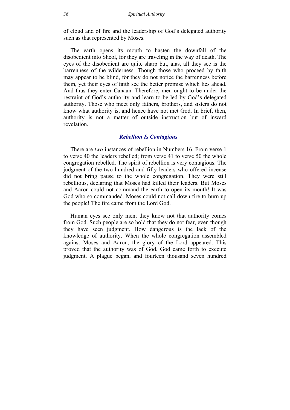of cloud and of fire and the leadership of God's delegated authority such as that represented by Moses.

The earth opens its mouth to hasten the downfall of the disobedient into Sheol, for they are traveling in the way of death. The eyes of the disobedient are quite sharp but, alas, all they see is the barrenness of the wilderness. Though those who proceed by faith may appear to be blind, for they do not notice the barrenness before them, yet their eyes of faith see the better promise which lies ahead. And thus they enter Canaan. Therefore, men ought to be under the restraint of God's authority and learn to be led by God's delegated authority. Those who meet only fathers, brothers, and sisters do not know what authority is, and hence have not met God. In brief, then, authority is not a matter of outside instruction but of inward revelation.

#### *Rebellion Is Contagious*

There are *two* instances of rebellion in Numbers 16. From verse 1 to verse 40 the leaders rebelled; from verse 41 to verse 50 the whole congregation rebelled. The spirit of rebellion is very contagious. The judgment of the two hundred and fifty leaders who offered incense did not bring pause to the whole congregation. They were still rebellious, declaring that Moses had killed their leaders. But Moses and Aaron could not command the earth to open its mouth! It was God who so commanded. Moses could not call down fire to burn up the people! The fire came from the Lord God.

Human eyes see only men; they know not that authority comes from God. Such people are so bold that they do not fear, even though they have seen judgment. How dangerous is the lack of the knowledge of authority. When the whole congregation assembled against Moses and Aaron, the glory of the Lord appeared. This proved that the authority was of God. God came forth to execute judgment. A plague began, and fourteen thousand seven hundred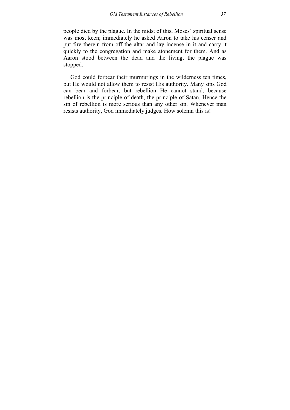people died by the plague. In the midst of this, Moses' spiritual sense was most keen; immediately he asked Aaron to take his censer and put fire therein from off the altar and lay incense in it and carry it quickly to the congregation and make atonement for them. And as Aaron stood between the dead and the living, the plague was stopped.

God could forbear their murmurings in the wilderness ten times, but He would not allow them to resist His authority. Many sins God can bear and forbear, but rebellion He cannot stand, because rebellion is the principle of death, the principle of Satan. Hence the sin of rebellion is more serious than any other sin. Whenever man resists authority, God immediately judges. How solemn this is!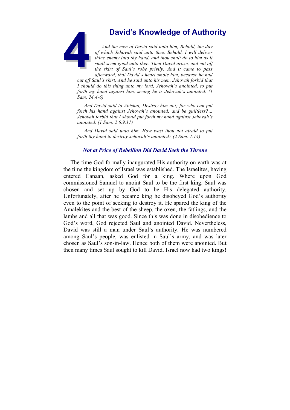**4David's Knowledge of Authority**<br>**4David Standard Standard Standard Standard Standard Standard Standard Standard Standard Standard Standard Standard Standard Standard Standard Standard Standard Standard Standard Standard** *And the men of David said unto him, Behold, the day of which Jehovah said unto thee, Behold, I will deliver thine enemy into thy hand, and thou shalt do to him as it shall seem good unto thee. Then David arose, and cut off the skirt of Saul's robe privily. And it came to pass afterward, that David's heart smote him, because he had cut off Saul's skirt. And he said unto his men, Jehovah forbid that*

*I should do this thing unto my lord, Jehovah's anointed, to put forth my hand against him, seeing he is Jehovah's anointed. (1 Sam. 24.4-6)*

*And David said to Abishai, Destroy him not; for who can put forth his hand against Jehovah's anointed, and be guiltless?… Jehovah forbid that I should put forth my hand against Jehovah's anointed. (1 Sam. 2 6.9,11)*

*And David said unto him, How wast thou not afraid to put forth thy hand to destroy Jehovah's anointed? (2 Sam. 1.14)*

#### *Not at Price of Rebellion Did David Seek the Throne*

The time God formally inaugurated His authority on earth was at the time the kingdom of Israel was established. The Israelites, having entered Canaan, asked God for a king. Where upon God commissioned Samuel to anoint Saul to be the first king. Saul was chosen and set up by God to be His delegated authority. Unfortunately, after he became king he disobeyed God's authority even to the point of seeking to destroy it. He spared the king of the Amalekites and the best of the sheep, the oxen, the fatlings, and the lambs and all that was good. Since this was done in disobedience to God's word, God rejected Saul and anointed David. Nevertheless, David was still a man under Saul's authority. He was numbered among Saul's people, was enlisted in Saul's army, and was later chosen as Saul's son-in-law. Hence both of them were anointed. But then many times Saul sought to kill David. Israel now had two kings!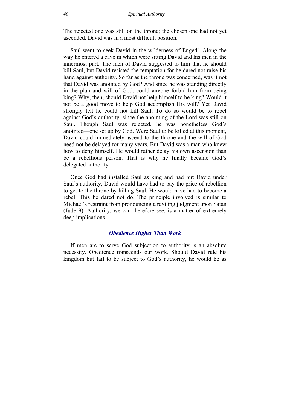The rejected one was still on the throne; the chosen one had not yet ascended. David was in a most difficult position.

Saul went to seek David in the wilderness of Engedi. Along the way he entered a cave in which were sitting David and his men in the innermost part. The men of David suggested to him that he should kill Saul, but David resisted the temptation for he dared not raise his hand against authority. So far as the throne was concerned, was it not that David was anointed by God? And since he was standing directly in the plan and will of God, could anyone forbid him from being king? Why, then, should David not help himself to be king? Would it not be a good move to help God accomplish His will? Yet David strongly felt he could not kill Saul. To do so would be to rebel against God's authority, since the anointing of the Lord was still on Saul. Though Saul was rejected, he was nonetheless God's anointed—one set up by God. Were Saul to be killed at this moment, David could immediately ascend to the throne and the will of God need not be delayed for many years. But David was a man who knew how to deny himself. He would rather delay his own ascension than be a rebellious person. That is why he finally became God's delegated authority.

Once God had installed Saul as king and had put David under Saul's authority, David would have had to pay the price of rebellion to get to the throne by killing Saul. He would have had to become a rebel. This he dared not do. The principle involved is similar to Michael's restraint from pronouncing a reviling judgment upon Satan (Jude 9). Authority, we can therefore see, is a matter of extremely deep implications.

#### *Obedience Higher Than Work*

If men are to serve God subjection to authority is an absolute necessity. Obedience transcends our work. Should David rule his kingdom but fail to be subject to God's authority, he would be as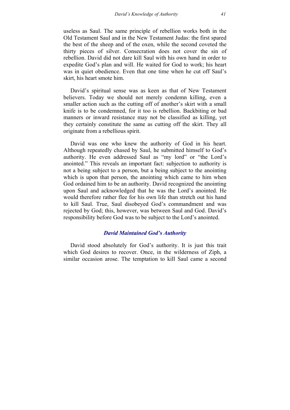useless as Saul. The same principle of rebellion works both in the Old Testament Saul and in the New Testament Judas: the first spared the best of the sheep and of the oxen, while the second coveted the thirty pieces of silver. Consecration does not cover the sin of rebellion. David did not dare kill Saul with his own hand in order to expedite God's plan and will. He waited for God to work; his heart was in quiet obedience. Even that one time when he cut off Saul's skirt, his heart smote him.

David's spiritual sense was as keen as that of New Testament believers. Today we should not merely condemn killing, even a smaller action such as the cutting off of another's skirt with a small knife is to be condemned, for it too is rebellion. Backbiting or bad manners or inward resistance may not be classified as killing, yet they certainly constitute the same as cutting off the skirt. They all originate from a rebellious spirit.

David was one who knew the authority of God in his heart. Although repeatedly chased by Saul, he submitted himself to God's authority. He even addressed Saul as "my lord" or "the Lord's anointed." This reveals an important fact: subjection to authority is not a being subject to a person, but a being subject to the anointing which is upon that person, the anointing which came to him when God ordained him to be an authority. David recognized the anointing upon Saul and acknowledged that he was the Lord's anointed. He would therefore rather flee for his own life than stretch out his hand to kill Saul. True, Saul disobeyed God's commandment and was rejected by God; this, however, was between Saul and God. David's responsibility before God was to be subject to the Lord's anointed.

#### *David Maintained God's Authority*

David stood absolutely for God's authority. It is just this trait which God desires to recover. Once, in the wilderness of Ziph, a similar occasion arose. The temptation to kill Saul came a second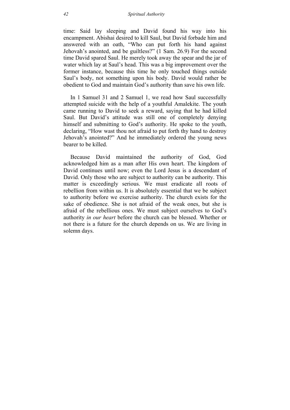time: Said lay sleeping and David found his way into his encampment. Abishai desired to kill Saul, but David forbade him and answered with an oath, "Who can put forth his hand against Jehovah's anointed, and be guiltless?" (1 Sam. 26.9) For the second time David spared Saul. He merely took away the spear and the jar of water which lay at Saul's head. This was a big improvement over the former instance, because this time he only touched things outside Saul's body, not something upon his body. David would rather be obedient to God and maintain God's authority than save his own life.

In 1 Samuel 31 and 2 Samuel 1, we read how Saul successfully attempted suicide with the help of a youthful Amalekite. The youth came running to David to seek a reward, saying that he had killed Saul. But David's attitude was still one of completely denying himself and submitting to God's authority. He spoke to the youth, declaring, "How wast thou not afraid to put forth thy hand to destroy Jehovah's anointed?" And he immediately ordered the young news bearer to be killed.

Because David maintained the authority of God, God acknowledged him as a man after His own heart. The kingdom of David continues until now; even the Lord Jesus is a descendant of David. Only those who are subject to authority can be authority. This matter is exceedingly serious. We must eradicate all roots of rebellion from within us. It is absolutely essential that we be subject to authority before we exercise authority. The church exists for the sake of obedience. She is not afraid of the weak ones, but she is afraid of the rebellious ones. We must subject ourselves to God's authority *in our heart* before the church can be blessed. Whether or not there is a future for the church depends on us. We are living in solemn days.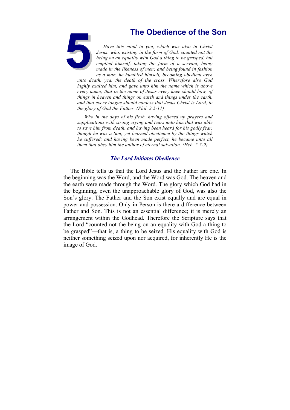**5The Obedience of the Son**<br>*Have this mind in you, which was also in Christ*<br>*Jesus: who, existing in the form of God, counted not the*<br>*being on an equality with God a thing to be grasped, but*<br>*emptied himself, taking t Have this mind in you, which was also in Christ Jesus: who, existing in the form of God, counted not the being on an equality with God a thing to be grasped, but emptied himself, taking the form of a servant, being made in the likeness of men; and being found in fashion as a man, he humbled himself, becoming obedient even* 

*unto death, yea, the death of the cross. Wherefore also God highly exalted him, and gave unto him the name which is above every name; that in the name of Jesus every knee should bow, of things in heaven and things on earth and things under the earth, and that every tongue should confess that Jesus Christ is Lord, to the glory of God the Father. (Phil. 2.5-11)*

*Who in the days of his flesh, having offered up prayers and supplications with strong crying and tears unto him that was able to save him from death, and having been heard for his godly fear, though he was a Son, yet learned obedience by the things which he suffered; and having been made perfect, he became unto all them that obey him the author of eternal salvation. (Heb. 5.7-9)*

#### *The Lord Initiates Obedience*

The Bible tells us that the Lord Jesus and the Father are one. In the beginning was the Word, and the Word was God. The heaven and the earth were made through the Word. The glory which God had in the beginning, even the unapproachable glory of God, was also the Son's glory. The Father and the Son exist equally and are equal in power and possession. Only in Person is there a difference between Father and Son. This is not an essential difference; it is merely an arrangement within the Godhead. Therefore the Scripture says that the Lord "counted not the being on an equality with God a thing to be grasped"—that is, a thing to be seized. His equality with God is neither something seized upon nor acquired, for inherently He is the image of God.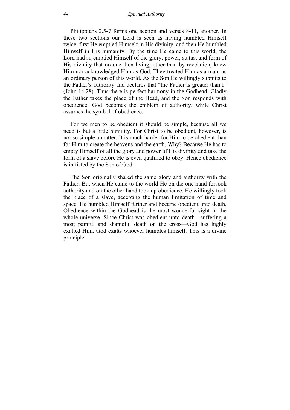Philippians 2.5-7 forms one section and verses 8-11, another. In these two sections our Lord is seen as having humbled Himself twice: first He emptied Himself in His divinity, and then He humbled Himself in His humanity. By the time He came to this world, the Lord had so emptied Himself of the glory, power, status, and form of His divinity that no one then living, other than by revelation, knew Him nor acknowledged Him as God. They treated Him as a man, as an ordinary person of this world. As the Son He willingly submits to the Father's authority and declares that "the Father is greater than I" (John 14.28). Thus there is perfect harmony in the Godhead. Gladly the Father takes the place of the Head, and the Son responds with obedience. God becomes the emblem of authority, while Christ assumes the symbol of obedience.

For we men to be obedient it should be simple, because all we need is but a little humility. For Christ to be obedient, however, is not so simple a matter. It is much harder for Him to be obedient than for Him to create the heavens and the earth. Why? Because He has to empty Himself of all the glory and power of His divinity and take the form of a slave before He is even qualified to obey. Hence obedience is initiated by the Son of God.

The Son originally shared the same glory and authority with the Father. But when He came to the world He on the one hand forsook authority and on the other hand took up obedience. He willingly took the place of a slave, accepting the human limitation of time and space. He humbled Himself further and became obedient unto death. Obedience within the Godhead is the most wonderful sight in the whole universe. Since Christ was obedient unto death—suffering a most painful and shameful death on the cross—God has highly exalted Him. God exalts whoever humbles himself. This is a divine principle.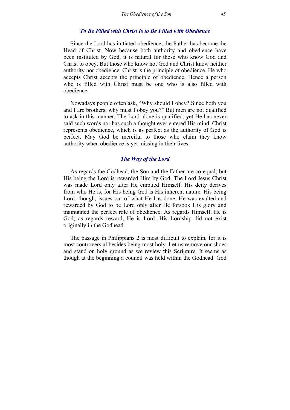#### *To Be Filled with Christ Is to Be Filled with Obedience*

Since the Lord has initiated obedience, the Father has become the Head of Christ. Now because both authority and obedience have been instituted by God, it is natural for those who know God and Christ to obey. But those who know not God and Christ know neither authority nor obedience. Christ is the principle of obedience. He who accepts Christ accepts the principle of obedience. Hence a person who is filled with Christ must be one who is also filled with obedience.

Nowadays people often ask, "Why should I obey? Since both you and I are brothers, why must I obey you?" But men are not qualified to ask in this manner. The Lord alone is qualified; yet He has never said such words nor has such a thought ever entered His mind. Christ represents obedience, which is as perfect as the authority of God is perfect. May God be merciful to those who claim they know authority when obedience is yet missing in their lives.

#### *The Way of the Lord*

As regards the Godhead, the Son and the Father are co-equal; but His being the Lord is rewarded Him by God. The Lord Jesus Christ was made Lord only after He emptied Himself. His deity derives from who He is, for His being God is His inherent nature. His being Lord, though, issues out of what He has done. He was exalted and rewarded by God to be Lord only after He forsook His glory and maintained the perfect role of obedience. As regards Himself, He is God; as regards reward, He is Lord. His Lordship did not exist originally in the Godhead.

The passage in Philippians 2 is most difficult to explain, for it is most controversial besides being most holy. Let us remove our shoes and stand on holy ground as we review this Scripture. It seems as though at the beginning a council was held within the Godhead. God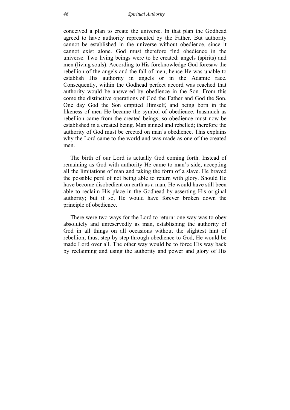conceived a plan to create the universe. In that plan the Godhead agreed to have authority represented by the Father. But authority cannot be established in the universe without obedience, since it cannot exist alone. God must therefore find obedience in the universe. Two living beings were to be created: angels (spirits) and men (living souls). According to His foreknowledge God foresaw the rebellion of the angels and the fall of men; hence He was unable to establish His authority in angels or in the Adamic race. Consequently, within the Godhead perfect accord was reached that authority would be answered by obedience in the Son. From this come the distinctive operations of God the Father and God the Son. One day God the Son emptied Himself, and being born in the likeness of men He became the symbol of obedience. Inasmuch as rebellion came from the created beings, so obedience must now be established in a created being. Man sinned and rebelled; therefore the authority of God must be erected on man's obedience. This explains why the Lord came to the world and was made as one of the created men.

The birth of our Lord is actually God coming forth. Instead of remaining as God with authority He came to man's side, accepting all the limitations of man and taking the form of a slave. He braved the possible peril of not being able to return with glory. Should He have become disobedient on earth as a man, He would have still been able to reclaim His place in the Godhead by asserting His original authority; but if so, He would have forever broken down the principle of obedience.

There were two ways for the Lord to return: one way was to obey absolutely and unreservedly as man, establishing the authority of God in all things on all occasions without the slightest hint of rebellion; thus, step by step through obedience to God, He would be made Lord over all. The other way would be to force His way back by reclaiming and using the authority and power and glory of His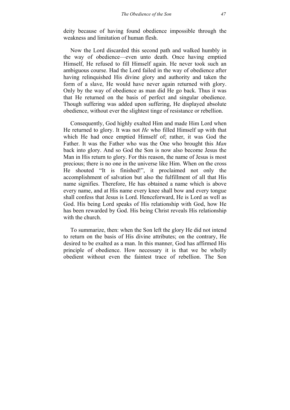deity because of having found obedience impossible through the weakness and limitation of human flesh.

Now the Lord discarded this second path and walked humbly in the way of obedience—even unto death. Once having emptied Himself, He refused to fill Himself again. He never took such an ambiguous course. Had the Lord failed in the way of obedience after having relinquished His divine glory and authority and taken the form of a slave, He would have never again returned with glory. Only by the way of obedience as man did He go back. Thus it was that He returned on the basis of perfect and singular obedience. Though suffering was added upon suffering, He displayed absolute obedience, without ever the slightest tinge of resistance or rebellion.

Consequently, God highly exalted Him and made Him Lord when He returned to glory. It was not *He* who filled Himself up with that which He had once emptied Himself of; rather, it was God the Father. It was the Father who was the One who brought this *Man* back into glory. And so God the Son is now also become Jesus the Man in His return to glory. For this reason, the name of Jesus is most precious; there is no one in the universe like Him. When on the cross He shouted "It is finished!", it proclaimed not only the accomplishment of salvation but also the fulfillment of all that His name signifies. Therefore, He has obtained a name which is above every name, and at His name every knee shall bow and every tongue shall confess that Jesus is Lord. Henceforward, He is Lord as well as God. His being Lord speaks of His relationship with God, how He has been rewarded by God. His being Christ reveals His relationship with the church.

To summarize, then: when the Son left the glory He did not intend to return on the basis of His divine attributes; on the contrary, He desired to be exalted as a man. In this manner, God has affirmed His principle of obedience. How necessary it is that we be wholly obedient without even the faintest trace of rebellion. The Son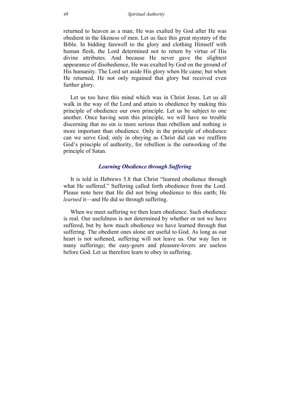returned to heaven as a man; He was exalted by God after He was obedient in the likeness of men. Let us face this great mystery of the Bible. In bidding farewell to the glory and clothing Himself with human flesh, the Lord determined not to return by virtue of His divine attributes. And because He never gave the slightest appearance of disobedience, He was exalted by God on the ground of His humanity. The Lord set aside His glory when He came; but when He returned, He not only regained that glory but received even further glory.

Let us too have this mind which was in Christ Jesus. Let us all walk in the way of the Lord and attain to obedience by making this principle of obedience our own principle. Let us be subject to one another. Once having seen this principle, we will have no trouble discerning that no sin is more serious than rebellion and nothing is more important than obedience. Only in the principle of obedience can we serve God; only in obeying as Christ did can we reaffirm God's principle of authority, for rebellion is the outworking of the principle of Satan.

#### *Learning Obedience through Suffering*

It is told in Hebrews 5.8 that Christ "learned obedience through what He suffered." Suffering called forth obedience from the Lord. Please note here that He did not bring obedience to this earth; He *learned* it—and He did so through suffering.

When we meet suffering we then learn obedience. Such obedience is real. Our usefulness is not determined by whether or not we have suffered, but by how much obedience we have learned through that suffering. The obedient ones alone are useful to God. As long as our heart is not softened, suffering will not leave us. Our way lies in many sufferings; the easy-goers and pleasure-lovers are useless before God. Let us therefore learn to obey in suffering.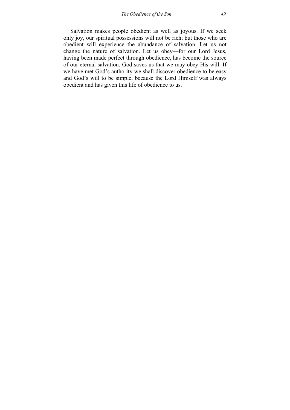Salvation makes people obedient as well as joyous. If we seek only joy, our spiritual possessions will not be rich; but those who are obedient will experience the abundance of salvation. Let us not change the nature of salvation. Let us obey—for our Lord Jesus, having been made perfect through obedience, has become the source of our eternal salvation. God saves us that we may obey His will. If we have met God's authority we shall discover obedience to be easy and God's will to be simple, because the Lord Himself was always obedient and has given this life of obedience to us.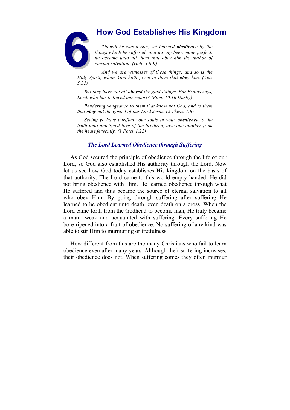

## **6How God Establishes His Kingdom**

*Though he was a Son, yet learned obedience by the things which he suffered; and having been made perfect, he became unto all them that obey him the author of eternal salvation. (Heb. 5.8-9)*

*And we are witnesses of these things; and so is the Holy Spirit, whom God hath given to them that obey him. (Acts 5.32)*

*But they have not all obeyed the glad tidings. For Esaias says, Lord, who has believed our report? (Rom. 10.16 Darby)* 

*Rendering vengeance to them that know not God, and to them that obey not the gospel of our Lord Jesus. (2 Thess. 1.8)*

*Seeing ye have purified your souls in your obedience to the truth unto unfeigned love of the brethren, love one another from the heart fervently. (1 Peter 1.22)*

#### *The Lord Learned Obedience through Suffering*

As God secured the principle of obedience through the life of our Lord, so God also established His authority through the Lord. Now let us see how God today establishes His kingdom on the basis of that authority. The Lord came to this world empty handed; He did not bring obedience with Him. He learned obedience through what He suffered and thus became the source of eternal salvation to all who obey Him. By going through suffering after suffering He learned to be obedient unto death, even death on a cross. When the Lord came forth from the Godhead to become man, He truly became a man—weak and acquainted with suffering. Every suffering He bore ripened into a fruit of obedience. No suffering of any kind was able to stir Him to murmuring or fretfulness.

How different from this are the many Christians who fail to learn obedience even after many years. Although their suffering increases, their obedience does not. When suffering comes they often murmur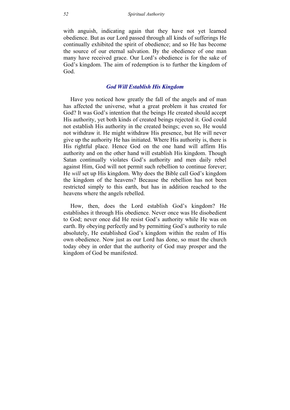with anguish, indicating again that they have not yet learned obedience. But as our Lord passed through all kinds of sufferings He continually exhibited the spirit of obedience; and so He has become the source of our eternal salvation. By the obedience of one man many have received grace. Our Lord's obedience is for the sake of God's kingdom. The aim of redemption is to further the kingdom of God.

#### *God Will Establish His Kingdom*

Have you noticed how greatly the fall of the angels and of man has affected the universe, what a great problem it has created for God? It was God's intention that the beings He created should accept His authority, yet both kinds of created beings rejected it. God could not establish His authority in the created beings; even so, He would not withdraw it. He might withdraw His presence, but He will never give up the authority He has initiated. Where His authority is, there is His rightful place. Hence God on the one hand will affirm His authority and on the other hand will establish His kingdom. Though Satan continually violates God's authority and men daily rebel against Him, God will not permit such rebellion to continue forever; He *will* set up His kingdom. Why does the Bible call God's kingdom the kingdom of the heavens? Because the rebellion has not been restricted simply to this earth, but has in addition reached to the heavens where the angels rebelled.

How, then, does the Lord establish God's kingdom? He establishes it through His obedience. Never once was He disobedient to God; never once did He resist God's authority while He was on earth. By obeying perfectly and by permitting God's authority to rule absolutely, He established God's kingdom within the realm of His own obedience. Now just as our Lord has done, so must the church today obey in order that the authority of God may prosper and the kingdom of God be manifested.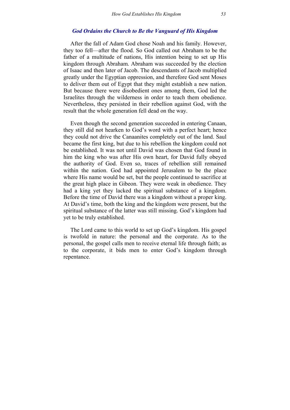#### *God Ordains the Church to Be the Vanguard of His Kingdom*

After the fall of Adam God chose Noah and his family. However, they too fell—after the flood. So God called out Abraham to be the father of a multitude of nations, His intention being to set up His kingdom through Abraham. Abraham was succeeded by the election of Isaac and then later of Jacob. The descendants of Jacob multiplied greatly under the Egyptian oppression, and therefore God sent Moses to deliver them out of Egypt that they might establish a new nation. But because there were disobedient ones among them, God led the Israelites through the wilderness in order to teach them obedience. Nevertheless, they persisted in their rebellion against God, with the result that the whole generation fell dead on the way.

Even though the second generation succeeded in entering Canaan, they still did not hearken to God's word with a perfect heart; hence they could not drive the Canaanites completely out of the land. Saul became the first king, but due to his rebellion the kingdom could not be established. It was not until David was chosen that God found in him the king who was after His own heart, for David fully obeyed the authority of God. Even so, traces of rebellion still remained within the nation. God had appointed Jerusalem to be the place where His name would be set, but the people continued to sacrifice at the great high place in Gibeon. They were weak in obedience. They had a king yet they lacked the spiritual substance of a kingdom. Before the time of David there was a kingdom without a proper king. At David's time, both the king and the kingdom were present, but the spiritual substance of the latter was still missing. God's kingdom had yet to be truly established.

The Lord came to this world to set up God's kingdom. His gospel is twofold in nature: the personal and the corporate. As to the personal, the gospel calls men to receive eternal life through faith; as to the corporate, it bids men to enter God's kingdom through repentance.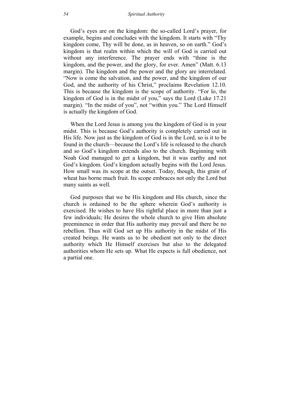God's eyes are on the kingdom: the so-called Lord's prayer, for example, begins and concludes with the kingdom. It starts with "Thy kingdom come, Thy will be done, as in heaven, so on earth." God's kingdom is that realm within which the will of God is carried out without any interference. The prayer ends with "thine is the kingdom, and the power, and the glory, for ever. Amen" (Matt. 6.13 margin). The kingdom and the power and the glory are interrelated. "Now is come the salvation, and the power, and the kingdom of our God, and the authority of his Christ," proclaims Revelation 12.10. This is because the kingdom is the scope of authority. "For lo, the kingdom of God is in the midst of you," says the Lord (Luke 17.21 margin). "In the midst of you", not "within you." The Lord Himself is actually the kingdom of God.

When the Lord Jesus is among you the kingdom of God is in your midst. This is because God's authority is completely carried out in His life. Now just as the kingdom of God is in the Lord, so is it to be found in the church—because the Lord's life is released to the church and so God's kingdom extends also to the church. Beginning with Noah God managed to get a kingdom, but it was earthy and not God's kingdom. God's kingdom actually begins with the Lord Jesus. How small was its scope at the outset. Today, though, this grain of wheat has borne much fruit. Its scope embraces not only the Lord but many saints as well.

God purposes that we be His kingdom and His church, since the church is ordained to be the sphere wherein God's authority is exercised. He wishes to have His rightful place in more than just a few individuals; He desires the whole church to give Him absolute preeminence in order that His authority may prevail and there be no rebellion. Thus will God set up His authority in the midst of His created beings. He wants us to be obedient not only to the direct authority which He Himself exercises but also to the delegated authorities whom He sets up. What He expects is full obedience, not a partial one.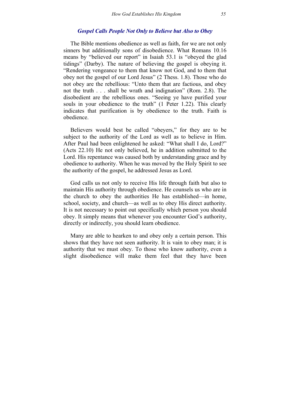#### *Gospel Calls People Not Only to Believe but Also to Obey*

The Bible mentions obedience as well as faith, for we are not only sinners but additionally sons of disobedience. What Romans 10.16 means by "believed our report" in Isaiah 53.1 is "obeyed the glad tidings" (Darby). The nature of believing the gospel is obeying it. "Rendering vengeance to them that know not God, and to them that obey not the gospel of our Lord Jesus" (2 Thess. 1.8). Those who do not obey are the rebellious: "Unto them that are factious, and obey not the truth . . . shall be wrath and indignation" (Rom. 2.8). The disobedient are the rebellious ones. "Seeing ye have purified your souls in your obedience to the truth" (1 Peter 1.22). This clearly indicates that purification is by obedience to the truth. Faith is obedience.

Believers would best be called "obeyers," for they are to be subject to the authority of the Lord as well as to believe in Him. After Paul had been enlightened he asked: "What shall I do, Lord?" (Acts 22.10) He not only believed, he in addition submitted to the Lord. His repentance was caused both by understanding grace and by obedience to authority. When he was moved by the Holy Spirit to see the authority of the gospel, he addressed Jesus as Lord.

God calls us not only to receive His life through faith but also to maintain His authority through obedience. He counsels us who are in the church to obey the authorities He has established—in home, school, society, and church—as well as to obey His direct authority. It is not necessary to point out specifically which person you should obey. It simply means that whenever you encounter God's authority, directly or indirectly, you should learn obedience.

Many are able to hearken to and obey only a certain person. This shows that they have not seen authority. It is vain to obey man; it is authority that we must obey. To those who know authority, even a slight disobedience will make them feel that they have been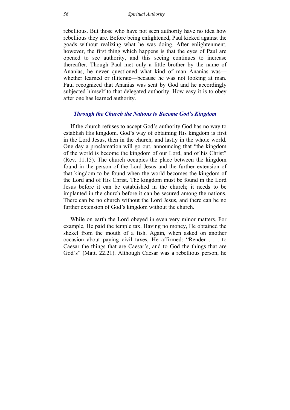rebellious. But those who have not seen authority have no idea how rebellious they are. Before being enlightened, Paul kicked against the goads without realizing what he was doing. After enlightenment, however, the first thing which happens is that the eyes of Paul are opened to see authority, and this seeing continues to increase thereafter. Though Paul met only a little brother by the name of Ananias, he never questioned what kind of man Ananias was whether learned or illiterate—because he was not looking at man. Paul recognized that Ananias was sent by God and he accordingly subjected himself to that delegated authority. How easy it is to obey after one has learned authority.

#### *Through the Church the Nations to Become God's Kingdom*

If the church refuses to accept God's authority God has no way to establish His kingdom. God's way of obtaining His kingdom is first in the Lord Jesus, then in the church, and lastly in the whole world. One day a proclamation will go out, announcing that "the kingdom of the world is become the kingdom of our Lord, and of his Christ" (Rev. 11.15). The church occupies the place between the kingdom found in the person of the Lord Jesus and the further extension of that kingdom to be found when the world becomes the kingdom of the Lord and of His Christ. The kingdom must be found in the Lord Jesus before it can be established in the church; it needs to be implanted in the church before it can be secured among the nations. There can be no church without the Lord Jesus, and there can be no further extension of God's kingdom without the church.

While on earth the Lord obeyed in even very minor matters. For example, He paid the temple tax. Having no money, He obtained the shekel from the mouth of a fish. Again, when asked on another occasion about paying civil taxes, He affirmed: "Render . . . to Caesar the things that are Caesar's, and to God the things that are God's" (Matt. 22.21). Although Caesar was a rebellious person, he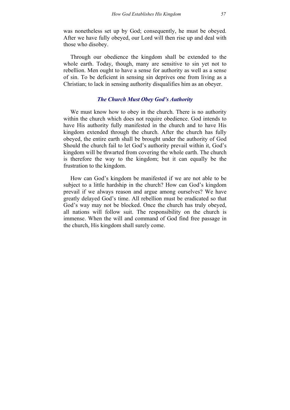was nonetheless set up by God; consequently, he must be obeyed. After we have fully obeyed, our Lord will then rise up and deal with those who disobey.

Through our obedience the kingdom shall be extended to the whole earth. Today, though, many are sensitive to sin yet not to rebellion. Men ought to have a sense for authority as well as a sense of sin. To be deficient in sensing sin deprives one from living as a Christian; to lack in sensing authority disqualifies him as an obeyer.

#### *The Church Must Obey God's Authority*

We must know how to obey in the church. There is no authority within the church which does not require obedience. God intends to have His authority fully manifested in the church and to have His kingdom extended through the church. After the church has fully obeyed, the entire earth shall be brought under the authority of God Should the church fail to let God's authority prevail within it, God's kingdom will be thwarted from covering the whole earth. The church is therefore the way to the kingdom; but it can equally be the frustration to the kingdom.

How can God's kingdom be manifested if we are not able to be subject to a little hardship in the church? How can God's kingdom prevail if we always reason and argue among ourselves? We have greatly delayed God's time. All rebellion must be eradicated so that God's way may not be blocked. Once the church has truly obeyed, all nations will follow suit. The responsibility on the church is immense. When the will and command of God find free passage in the church, His kingdom shall surely come.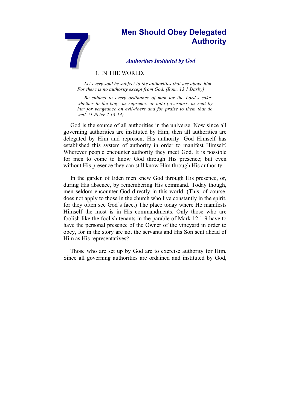

# **7Men Should Obey Delegated<br>Authority<br>Authorities Instituted by God<br>1. IN THE WORLD. Authority**

## *Authorities Instituted by God*

### 1. IN THE WORLD.

*Let every soul be subject to the authorities that are above him. For there is no authority except from God. (Rom. 13.1 Darby)*

*Be subject to every ordinance of man for the Lord's sake: whether to the king, as supreme; or unto governors, as sent by him for vengeance on evil-doers and for praise to them that do well. (1 Peter 2.13-14)*

God is the source of all authorities in the universe. Now since all governing authorities are instituted by Him, then all authorities are delegated by Him and represent His authority. God Himself has established this system of authority in order to manifest Himself. Wherever people encounter authority they meet God. It is possible for men to come to know God through His presence; but even without His presence they can still know Him through His authority.

In the garden of Eden men knew God through His presence, or, during His absence, by remembering His command. Today though, men seldom encounter God directly in this world. (This, of course, does not apply to those in the church who live constantly in the spirit, for they often see God's face.) The place today where He manifests Himself the most is in His commandments. Only those who are foolish like the foolish tenants in the parable of Mark 12.1-9 have to have the personal presence of the Owner of the vineyard in order to obey, for in the story are not the servants and His Son sent ahead of Him as His representatives?

Those who are set up by God are to exercise authority for Him. Since all governing authorities are ordained and instituted by God,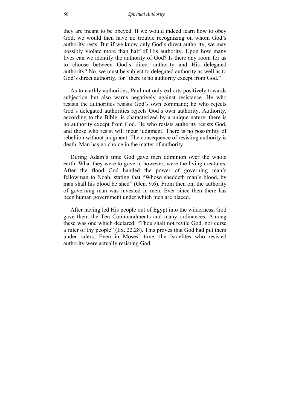they are meant to be obeyed. If we would indeed learn how to obey God, we would then have no trouble recognizing on whom God's authority rests. But if we know only God's direct authority, we may possibly violate more than half of His authority. Upon how many lives can we identify the authority of God? Is there any room for us to choose between God's direct authority and His delegated authority? No, we must be subject to delegated authority as well as to God's direct authority, for "there is no authority except from God."

As to earthly authorities, Paul not only exhorts positively towards subjection but also warns negatively against resistance. He who resists the authorities resists God's own command; he who rejects God's delegated authorities rejects God's own authority. Authority, according to the Bible, is characterized by a unique nature: there is no authority except from God. He who resists authority resists God, and those who resist will incur judgment. There is no possibility of rebellion without judgment. The consequence of resisting authority is death. Man has no choice in the matter of authority.

During Adam's time God gave men dominion over the whole earth. What they were to govern, however, were the living creatures. After the flood God handed the power of governing man's fellowman to Noah, stating that "Whoso sheddeth man's blood, by man shall his blood be shed" (Gen. 9.6). From then on, the authority of governing man was invested in men. Ever since then there has been human government under which men are placed.

After having led His people out of Egypt into the wilderness, God gave them the Ten Commandments and many ordinances. Among these was one which declared: "Thou shalt not revile God, nor curse a ruler of thy people" (Ex. 22.28). This proves that God had put them under rulers. Even in Moses' time, the Israelites who resisted authority were actually resisting God.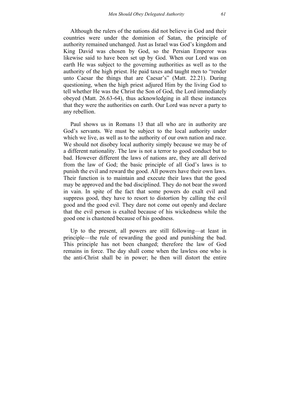Although the rulers of the nations did not believe in God and their countries were under the dominion of Satan, the principle of authority remained unchanged. Just as Israel was God's kingdom and King David was chosen by God, so the Persian Emperor was likewise said to have been set up by God. When our Lord was on earth He was subject to the governing authorities as well as to the authority of the high priest. He paid taxes and taught men to "render unto Caesar the things that are Caesar's" (Matt. 22.21). During questioning, when the high priest adjured Him by the living God to tell whether He was the Christ the Son of God, the Lord immediately obeyed (Matt. 26.63-64), thus acknowledging in all these instances that they were the authorities on earth. Our Lord was never a party to any rebellion.

Paul shows us in Romans 13 that all who are in authority are God's servants. We must be subject to the local authority under which we live, as well as to the authority of our own nation and race. We should not disobey local authority simply because we may be of a different nationality. The law is not a terror to good conduct but to bad. However different the laws of nations are, they are all derived from the law of God; the basic principle of all God's laws is to punish the evil and reward the good. All powers have their own laws. Their function is to maintain and execute their laws that the good may be approved and the bad disciplined. They do not bear the sword in vain. In spite of the fact that some powers do exalt evil and suppress good, they have to resort to distortion by calling the evil good and the good evil. They dare not come out openly and declare that the evil person is exalted because of his wickedness while the good one is chastened because of his goodness.

Up to the present, all powers are still following—at least in principle—the rule of rewarding the good and punishing the bad. This principle has not been changed; therefore the law of God remains in force. The day shall come when the lawless one who is the anti-Christ shall be in power; he then will distort the entire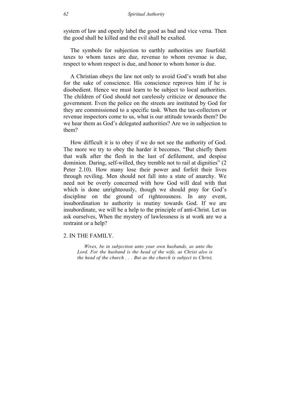system of law and openly label the good as bad and vice versa. Then the good shall be killed and the evil shall be exalted.

The symbols for subjection to earthly authorities are fourfold: taxes to whom taxes are due, revenue to whom revenue is due, respect to whom respect is due, and honor to whom honor is due.

A Christian obeys the law not only to avoid God's wrath but also for the sake of conscience. His conscience reproves him if he is disobedient. Hence we must learn to be subject to local authorities. The children of God should not carelessly criticize or denounce the government. Even the police on the streets are instituted by God for they are commissioned to a specific task. When the tax-collectors or revenue inspectors come to us, what is our attitude towards them? Do we hear them as God's delegated authorities? Are we in subjection to them?

How difficult it is to obey if we do not see the authority of God. The more we try to obey the harder it becomes. "But chiefly them that walk after the flesh in the lust of defilement, and despise dominion. Daring, self-willed, they tremble not to rail at dignities" (2 Peter 2.10). How many lose their power and forfeit their lives through reviling. Men should not fall into a state of anarchy. We need not be overly concerned with how God will deal with that which is done unrighteously, though we should pray for God's discipline on the ground of righteousness. In any event, insubordination to authority is mutiny towards God. If we are insubordinate, we will be a help to the principle of anti-Christ. Let us ask ourselves, When the mystery of lawlessness is at work are we a restraint or a help?

#### 2. IN THE FAMILY.

*Wives, be in subjection unto your own husbands, as unto the Lord. For the husband is the head of the wife, as Christ also is the head of the church . . . But as the church is subject to Christ,*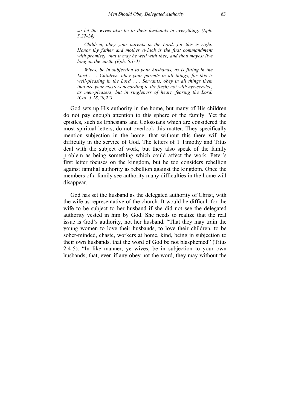*so let the wives also be to their husbands in everything. (Eph. 5.22-24)* 

*Children, obey your parents in the Lord: for this is right. Honor thy father and mother (which is the first commandment with promise), that it may be well with thee, and thou mayest live long on the earth. (Eph. 6.1-3)* 

*Wives, be in subjection to your husbands, as is fitting in the Lord . . . Children, obey your parents in all things, for this is well-pleasing in the Lord . . . Servants, obey in all things them that are your masters according to the flesh; not with eye-service, as men-pleasers, but in singleness of heart, fearing the Lord. (Col. 3.18,20,22)* 

God sets up His authority in the home, but many of His children do not pay enough attention to this sphere of the family. Yet the epistles, such as Ephesians and Colossians which are considered the most spiritual letters, do not overlook this matter. They specifically mention subjection in the home, that without this there will be difficulty in the service of God. The letters of 1 Timothy and Titus deal with the subject of work, but they also speak of the family problem as being something which could affect the work. Peter's first letter focuses on the kingdom, but he too considers rebellion against familial authority as rebellion against the kingdom. Once the members of a family see authority many difficulties in the home will disappear.

God has set the husband as the delegated authority of Christ, with the wife as representative of the church. It would be difficult for the wife to be subject to her husband if she did not see the delegated authority vested in him by God. She needs to realize that the real issue is God's authority, not her husband. "That they may train the young women to love their husbands, to love their children, to be sober-minded, chaste, workers at home, kind, being in subjection to their own husbands, that the word of God be not blasphemed" (Titus 2.4-5). "In like manner, ye wives, be in subjection to your own husbands; that, even if any obey not the word, they may without the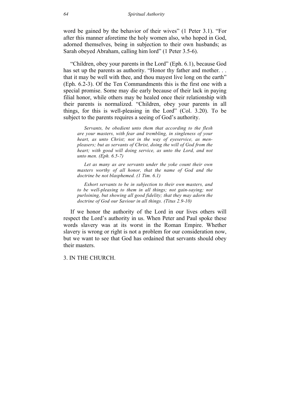word be gained by the behavior of their wives" (1 Peter 3.1). "For after this manner aforetime the holy women also, who hoped in God, adorned themselves, being in subjection to their own husbands; as Sarah obeyed Abraham, calling him lord" (1 Peter 3.5-6).

"Children, obey your parents in the Lord" (Eph. 6.1), because God has set up the parents as authority. "Honor thy father and mother. . . that it may be well with thee, and thou mayest live long on the earth" (Eph. 6.2-3). Of the Ten Commandments this is the first one with a special promise. Some may die early because of their lack in paying filial honor, while others may be healed once their relationship with their parents is normalized. "Children, obey your parents in all things, for this is well-pleasing in the Lord" (Col. 3.20). To be subject to the parents requires a seeing of God's authority.

*Servants, be obedient unto them that according to the flesh are your masters, with fear and trembling, in singleness of your heart, as unto Christ; not in the way of eyeservice, as menpleasers; but as servants of Christ, doing the will of God from the heart; with good will doing service, as unto the Lord, and not unto men. (Eph. 6.5-7)* 

*Let as many as are servants under the yoke count their own masters worthy of all honor, that the name of God and the doctrine be not blasphemed. (1 Tim. 6.1)* 

*Exhort servants to be in subjection to their own masters, and to be well-pleasing to them in all things; not gain-saying; not purloining, but showing all good fidelity; that they may adorn the doctrine of God our Saviour in all things. (Titus 2.9-10)* 

If we honor the authority of the Lord in our lives others will respect the Lord's authority in us. When Peter and Paul spoke these words slavery was at its worst in the Roman Empire. Whether slavery is wrong or right is not a problem for our consideration now, but we want to see that God has ordained that servants should obey their masters.

3. IN THE CHURCH.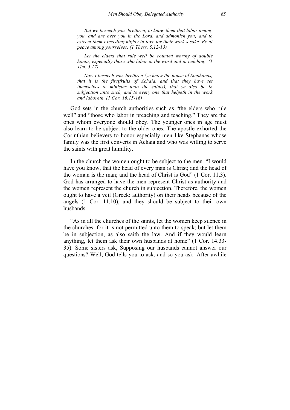*But we beseech you, brethren, to know them that labor among you, and are over you in the Lord, and admonish you; and to esteem them exceeding highly in love for their work's sake. Be at peace among yourselves. (1 Thess. 5.12-13)* 

Let the elders that rule well be counted worthy of double *honor, especially those who labor in the word and in teaching. (1 Tim. 5.17)* 

*Now I beseech you, brethren (ye know the house of Stephanas, that it is the firstfruits of Achaia, and that they have set themselves to minister unto the saints), that ye also be in subjection unto such, and to every one that helpeth in the work and laboreth. (1 Cor. 16.15-16)* 

God sets in the church authorities such as "the elders who rule well" and "those who labor in preaching and teaching." They are the ones whom everyone should obey. The younger ones in age must also learn to be subject to the older ones. The apostle exhorted the Corinthian believers to honor especially men like Stephanas whose family was the first converts in Achaia and who was willing to serve the saints with great humility.

In the church the women ought to be subject to the men. "I would have you know, that the head of every man is Christ; and the head of the woman is the man; and the head of Christ is God" (1 Cor. 11.3). God has arranged to have the men represent Christ as authority and the women represent the church in subjection. Therefore, the women ought to have a veil (Greek: authority) on their heads because of the angels (1 Cor. 11.10), and they should be subject to their own husbands.

"As in all the churches of the saints, let the women keep silence in the churches: for it is not permitted unto them to speak; but let them be in subjection, as also saith the law. And if they would learn anything, let them ask their own husbands at home" (1 Cor. 14.33- 35). Some sisters ask, Supposing our husbands cannot answer our questions? Well, God tells you to ask, and so you ask. After awhile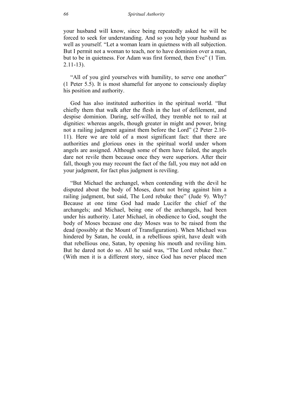your husband will know, since being repeatedly asked he will be forced to seek for understanding. And so you help your husband as well as yourself. "Let a woman learn in quietness with all subjection. But I permit not a woman to teach, nor to have dominion over a man, but to be in quietness. For Adam was first formed, then Eve" (1 Tim. 2.11-13).

"All of you gird yourselves with humility, to serve one another" (1 Peter 5.5). It is most shameful for anyone to consciously display his position and authority.

God has also instituted authorities in the spiritual world. "But chiefly them that walk after the flesh in the lust of defilement, and despise dominion. Daring, self-willed, they tremble not to rail at dignities: whereas angels, though greater in might and power, bring not a railing judgment against them before the Lord" (2 Peter 2.10- 11). Here we are told of a most significant fact: that there are authorities and glorious ones in the spiritual world under whom angels are assigned. Although some of them have failed, the angels dare not revile them because once they were superiors. After their fall, though you may recount the fact of the fall, you may not add on your judgment, for fact plus judgment is reviling.

"But Michael the archangel, when contending with the devil he disputed about the body of Moses, durst not bring against him a railing judgment, but said, The Lord rebuke thee" (Jude 9). Why? Because at one time God had made Lucifer the chief of the archangels; and Michael, being one of the archangels, had been under his authority. Later Michael, in obedience to God, sought the body of Moses because one day Moses was to be raised from the dead (possibly at the Mount of Transfiguration). When Michael was hindered by Satan, he could, in a rebellious spirit, have dealt with that rebellious one, Satan, by opening his mouth and reviling him. But he dared not do so. All he said was, "The Lord rebuke thee." (With men it is a different story, since God has never placed men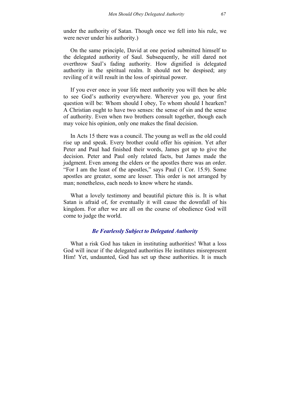under the authority of Satan. Though once we fell into his rule, we were never under his authority.)

On the same principle, David at one period submitted himself to the delegated authority of Saul. Subsequently, he still dared not overthrow Saul's fading authority. How dignified is delegated authority in the spiritual realm. It should not be despised; any reviling of it will result in the loss of spiritual power.

If you ever once in your life meet authority you will then be able to see God's authority everywhere. Wherever you go, your first question will be: Whom should I obey, To whom should I hearken? A Christian ought to have two senses: the sense of sin and the sense of authority. Even when two brothers consult together, though each may voice his opinion, only one makes the final decision.

In Acts 15 there was a council. The young as well as the old could rise up and speak. Every brother could offer his opinion. Yet after Peter and Paul had finished their words, James got up to give the decision. Peter and Paul only related facts, but James made the judgment. Even among the elders or the apostles there was an order. "For I am the least of the apostles," says Paul (1 Cor. 15.9). Some apostles are greater, some are lesser. This order is not arranged by man; nonetheless, each needs to know where he stands.

What a lovely testimony and beautiful picture this is. It is what Satan is afraid of, for eventually it will cause the downfall of his kingdom. For after we are all on the course of obedience God will come to judge the world.

#### *Be Fearlessly Subject to Delegated Authority*

What a risk God has taken in instituting authorities! What a loss God will incur if the delegated authorities He institutes misrepresent Him! Yet, undaunted, God has set up these authorities. It is much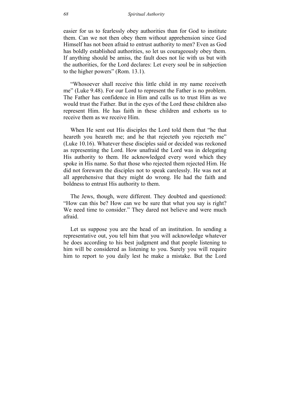easier for us to fearlessly obey authorities than for God to institute them. Can we not then obey them without apprehension since God Himself has not been afraid to entrust authority to men? Even as God has boldly established authorities, so let us courageously obey them. If anything should be amiss, the fault does not lie with us but with the authorities, for the Lord declares: Let every soul be in subjection to the higher powers" (Rom. 13.1).

"Whosoever shall receive this little child in my name receiveth me" (Luke 9.48). For our Lord to represent the Father is no problem. The Father has confidence in Him and calls us to trust Him as we would trust the Father. But in the eyes of the Lord these children also represent Him. He has faith in these children and exhorts us to receive them as we receive Him.

When He sent out His disciples the Lord told them that "he that heareth you heareth me; and he that rejecteth you rejecteth me" (Luke 10.16). Whatever these disciples said or decided was reckoned as representing the Lord. How unafraid the Lord was in delegating His authority to them. He acknowledged every word which they spoke in His name. So that those who rejected them rejected Him. He did not forewarn the disciples not to speak carelessly. He was not at all apprehensive that they might do wrong. He had the faith and boldness to entrust His authority to them.

The Jews, though, were different. They doubted and questioned: "How can this be? How can we be sure that what you say is right? We need time to consider." They dared not believe and were much afraid.

Let us suppose you are the head of an institution. In sending a representative out, you tell him that you will acknowledge whatever he does according to his best judgment and that people listening to him will be considered as listening to you. Surely you will require him to report to you daily lest he make a mistake. But the Lord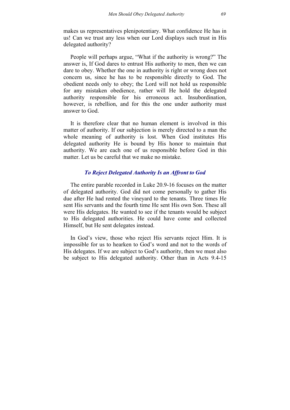makes us representatives plenipotentiary. What confidence He has in us! Can we trust any less when our Lord displays such trust in His delegated authority?

People will perhaps argue, "What if the authority is wrong?" The answer is, If God dares to entrust His authority to men, then we can dare to obey. Whether the one in authority is right or wrong does not concern us, since he has to be responsible directly to God. The obedient needs only to obey; the Lord will not hold us responsible for any mistaken obedience, rather will He hold the delegated authority responsible for his erroneous act. Insubordination, however, is rebellion, and for this the one under authority must answer to God.

It is therefore clear that no human element is involved in this matter of authority. If our subjection is merely directed to a man the whole meaning of authority is lost. When God institutes His delegated authority He is bound by His honor to maintain that authority. We are each one of us responsible before God in this matter. Let us be careful that we make no mistake.

#### *To Reject Delegated Authority Is an Affront to God*

The entire parable recorded in Luke 20.9-16 focuses on the matter of delegated authority. God did not come personally to gather His due after He had rented the vineyard to the tenants. Three times He sent His servants and the fourth time He sent His own Son. These all were His delegates. He wanted to see if the tenants would be subject to His delegated authorities. He could have come and collected Himself, but He sent delegates instead.

In God's view, those who reject His servants reject Him. It is impossible for us to hearken to God's word and not to the words of His delegates. If we are subject to God's authority, then we must also be subject to His delegated authority. Other than in Acts 9.4-15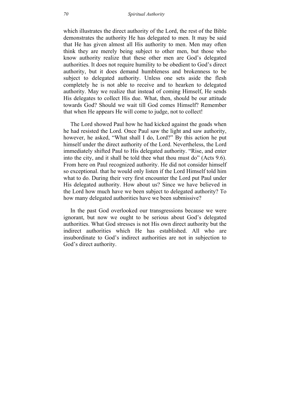which illustrates the direct authority of the Lord, the rest of the Bible demonstrates the authority He has delegated to men. It may be said that He has given almost all His authority to men. Men may often think they are merely being subject to other men, but those who know authority realize that these other men are God's delegated authorities. It does not require humility to be obedient to God's direct authority, but it does demand humbleness and brokenness to be subject to delegated authority. Unless one sets aside the flesh completely he is not able to receive and to hearken to delegated authority. May we realize that instead of coming Himself, He sends His delegates to collect His due. What, then, should be our attitude towards God? Should we wait till God comes Himself? Remember that when He appears He will come to judge, not to collect!

The Lord showed Paul how he had kicked against the goads when he had resisted the Lord. Once Paul saw the light and saw authority, however, he asked, "What shall I do, Lord?" By this action he put himself under the direct authority of the Lord. Nevertheless, the Lord immediately shifted Paul to His delegated authority. "Rise, and enter into the city, and it shall be told thee what thou must do" (Acts 9.6). From here on Paul recognized authority. He did not consider himself so exceptional. that he would only listen if the Lord Himself told him what to do. During their very first encounter the Lord put Paul under His delegated authority. How about us? Since we have believed in the Lord how much have we been subject to delegated authority? To how many delegated authorities have we been submissive?

In the past God overlooked our transgressions because we were ignorant, but now we ought to be serious about God's delegated authorities. What God stresses is not His own direct authority but the indirect authorities which He has established. All who are insubordinate to God's indirect authorities are not in subjection to God's direct authority.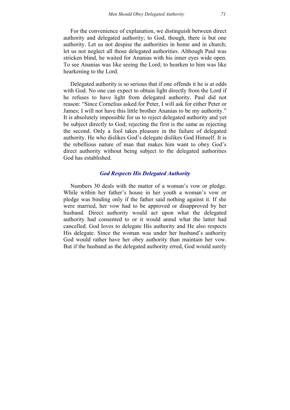For the convenience of explanation, we distinguish between direct authority and delegated authority; to God, though, there is but one authority. Let us not despise the authorities in home and in church; let us not neglect all those delegated authorities. Although Paul was stricken blind, he waited for Ananias with his inner eyes wide open. To see Ananias was like seeing the Lord; to hearken to him was like hearkening to the Lord.

Delegated authority is so serious that if one offends it he is at odds with God. No one can expect to obtain light directly from the Lord if he refuses to have light from delegated authority. Paul did not reason: "Since Cornelius asked for Peter, I will ask for either Peter or James; I will not have this little brother Ananias to be my authority." It is absolutely impossible for us to reject delegated authority and yet be subject directly to God; rejecting the first is the same as rejecting the second. Only a fool takes pleasure in the failure of delegated authority. He who dislikes God's delegate dislikes God Himself. It is the rebellious nature of man that makes him want to obey God's direct authority without being subject to the delegated authorities God has established.

#### *God Respects His Delegated Authority*

Numbers 30 deals with the matter of a woman's vow or pledge. While within her father's house in her youth a woman's vow or pledge was binding only if the father said nothing against it. If she were married, her vow had to be approved or disapproved by her husband. Direct authority would act upon what the delegated authority had consented to or it would annul what the latter had cancelled. God loves to delegate His authority and He also respects His delegate. Since the woman was under her husband's authority God would rather have her obey authority than maintain her vow. But if the husband as the delegated authority erred, God would surely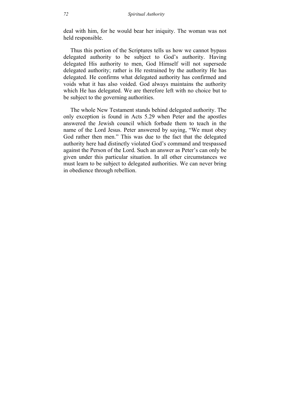deal with him, for he would bear her iniquity. The woman was not held responsible.

Thus this portion of the Scriptures tells us how we cannot bypass delegated authority to be subject to God's authority. Having delegated His authority to men, God Himself will not supersede delegated authority; rather is He restrained by the authority He has delegated. He confirms what delegated authority has confirmed and voids what it has also voided. God always maintains the authority which He has delegated. We are therefore left with no choice but to be subject to the governing authorities.

The whole New Testament stands behind delegated authority. The only exception is found in Acts 5.29 when Peter and the apostles answered the Jewish council which forbade them to teach in the name of the Lord Jesus. Peter answered by saying, "We must obey God rather then men." This was due to the fact that the delegated authority here had distinctly violated God's command and trespassed against the Person of the Lord. Such an answer as Peter's can only be given under this particular situation. In all other circumstances we must learn to be subject to delegated authorities. We can never bring in obedience through rebellion.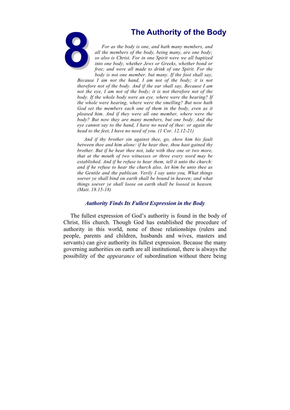**8The Authority of the Body**<br>
For as the body is one, and hath many members, and<br>
all the members of the body, being many, are one body;<br>
so also is Christ. For in one Spirit were we all baptized<br>
into one body, whether Je *For as the body is one, and hath many members, and all the members of the body, being many, are one body; so also is Christ. For in one Spirit were we all baptized into one body, whether Jews or Greeks, whether bond or free; and were all made to drink of one Spirit. For the body is not one member, but many. If the foot shall say,* 

*Because I am not the hand, I am not of the body; it is not therefore not of the body. And if the ear shall say, Because I am not the eye, I am not of the body; it is not therefore not of the body. If the whole body were an eye, where were the hearing? If the whole were hearing, where were the smelling? But now hath God set the members each one of them in the body, even as it pleased him. And if they were all one member, where were the body? But now they are many members, but one body. And the eye cannot say to the hand, I have no need of thee: or again the head to the feet, I have no need of you. (1 Cor. 12.12-21)*

*And if thy brother sin against thee, go, show him his fault between thee and him alone: if he hear thee, thou hast gained thy brother. But if he hear thee not, take with thee one or two more, that at the mouth of two witnesses or three every word may be established. And if he refuse to hear them, tell it unto the church: and if he refuse to hear the church also, let him be unto thee as the Gentile and the publican. Verily I say unto you, What things soever ye shall bind on earth shall be bound in heaven; and what things soever ye shall loose on earth shall be loosed in heaven. (Matt. 18.15-18)*

#### *Authority Finds Its Fullest Expression in the Body*

The fullest expression of God's authority is found in the body of Christ, His church. Though God has established the procedure of authority in this world, none of those relationships (rulers and people, parents and children, husbands and wives, masters and servants) can give authority its fullest expression. Because the many governing authorities on earth are all institutional, there is always the possibility of the *appearance* of subordination without there being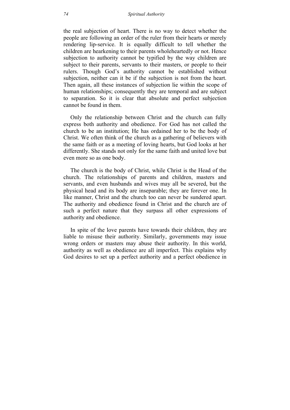the real subjection of heart. There is no way to detect whether the people are following an order of the ruler from their hearts or merely rendering lip-service. It is equally difficult to tell whether the children are hearkening to their parents wholeheartedly or not. Hence subjection to authority cannot be typified by the way children are subject to their parents, servants to their masters, or people to their rulers. Though God's authority cannot be established without subjection, neither can it be if the subjection is not from the heart. Then again, all these instances of subjection lie within the scope of human relationships; consequently they are temporal and are subject to separation. So it is clear that absolute and perfect subjection cannot be found in them.

Only the relationship between Christ and the church can fully express both authority and obedience. For God has not called the church to be an institution; He has ordained her to be the body of Christ. We often think of the church as a gathering of believers with the same faith or as a meeting of loving hearts, but God looks at her differently. She stands not only for the same faith and united love but even more so as one body.

The church is the body of Christ, while Christ is the Head of the church. The relationships of parents and children, masters and servants, and even husbands and wives may all be severed, but the physical head and its body are inseparable; they are forever one. In like manner, Christ and the church too can never be sundered apart. The authority and obedience found in Christ and the church are of such a perfect nature that they surpass all other expressions of authority and obedience.

In spite of the love parents have towards their children, they are liable to misuse their authority. Similarly, governments may issue wrong orders or masters may abuse their authority. In this world, authority as well as obedience are all imperfect. This explains why God desires to set up a perfect authority and a perfect obedience in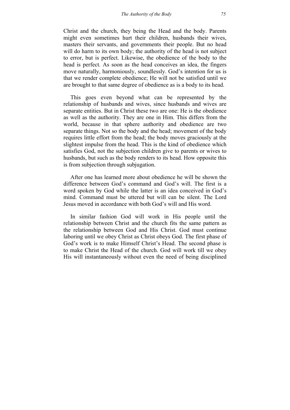Christ and the church, they being the Head and the body. Parents might even sometimes hurt their children, husbands their wives, masters their servants, and governments their people. But no head will do harm to its own body; the authority of the head is not subject to error, but is perfect. Likewise, the obedience of the body to the head is perfect. As soon as the head conceives an idea, the fingers move naturally, harmoniously, soundlessly. God's intention for us is that we render complete obedience; He will not be satisfied until we are brought to that same degree of obedience as is a body to its head.

This goes even beyond what can be represented by the relationship of husbands and wives, since husbands and wives are separate entities. But in Christ these two are one: He is the obedience as well as the authority. They are one in Him. This differs from the world, because in that sphere authority and obedience are two separate things. Not so the body and the head; movement of the body requires little effort from the head; the body moves graciously at the slightest impulse from the head. This is the kind of obedience which satisfies God, not the subjection children give to parents or wives to husbands, but such as the body renders to its head. How opposite this is from subjection through subjugation.

After one has learned more about obedience he will be shown the difference between God's command and God's will. The first is a word spoken by God while the latter is an idea conceived in God's mind. Command must be uttered but will can be silent. The Lord Jesus moved in accordance with both God's will and His word.

In similar fashion God will work in His people until the relationship between Christ and the church fits the same pattern as the relationship between God and His Christ. God must continue laboring until we obey Christ as Christ obeys God. The first phase of God's work is to make Himself Christ's Head. The second phase is to make Christ the Head of the church. God will work till we obey His will instantaneously without even the need of being disciplined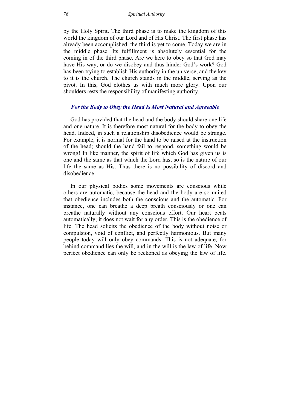by the Holy Spirit. The third phase is to make the kingdom of this world the kingdom of our Lord and of His Christ. The first phase has already been accomplished, the third is yet to come. Today we are in the middle phase. Its fulfillment is absolutely essential for the coming in of the third phase. Are we here to obey so that God may have His way, or do we disobey and thus hinder God's work? God has been trying to establish His authority in the universe, and the key to it is the church. The church stands in the middle, serving as the pivot. In this, God clothes us with much more glory. Upon our shoulders rests the responsibility of manifesting authority.

#### *For the Body to Obey the Head Is Most Natural and Agreeable*

God has provided that the head and the body should share one life and one nature. It is therefore most natural for the body to obey the head. Indeed, in such a relationship disobedience would be strange. For example, it is normal for the hand to be raised at the instruction of the head; should the hand fail to respond, something would be wrong! In like manner, the spirit of life which God has given us is one and the same as that which the Lord has; so is the nature of our life the same as His. Thus there is no possibility of discord and disobedience.

In our physical bodies some movements are conscious while others are automatic, because the head and the body are so united that obedience includes both the conscious and the automatic. For instance, one can breathe a deep breath consciously or one can breathe naturally without any conscious effort. Our heart beats automatically; it does not wait for any order. This is the obedience of life. The head solicits the obedience of the body without noise or compulsion, void of conflict, and perfectly harmonious. But many people today will only obey commands. This is not adequate, for behind command lies the will, and in the will is the law of life. Now perfect obedience can only be reckoned as obeying the law of life.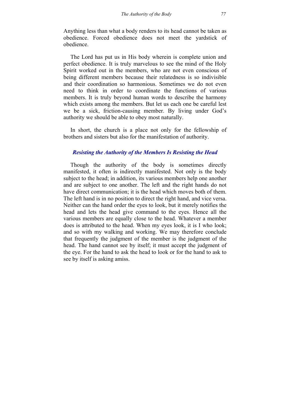Anything less than what a body renders to its head cannot be taken as obedience. Forced obedience does not meet the yardstick of obedience.

The Lord has put us in His body wherein is complete union and perfect obedience. It is truly marvelous to see the mind of the Holy Spirit worked out in the members, who are not even conscious of being different members because their relatedness is so indivisible and their coordination so harmonious. Sometimes we do not even need to think in order to coordinate the functions of various members. It is truly beyond human words to describe the harmony which exists among the members. But let us each one be careful lest we be a sick, friction-causing member. By living under God's authority we should be able to obey most naturally.

In short, the church is a place not only for the fellowship of brothers and sisters but also for the manifestation of authority.

#### *Resisting the Authority of the Members Is Resisting the Head*

Though the authority of the body is sometimes directly manifested, it often is indirectly manifested. Not only is the body subject to the head; in addition, its various members help one another and are subject to one another. The left and the right hands do not have direct communication; it is the head which moves both of them. The left hand is in no position to direct the right hand, and vice versa. Neither can the hand order the eyes to look, but it merely notifies the head and lets the head give command to the eyes. Hence all the various members are equally close to the head. Whatever a member does is attributed to the head. When my eyes look, it is I who look; and so with my walking and working. We may therefore conclude that frequently the judgment of the member is the judgment of the head. The hand cannot see by itself; it must accept the judgment of the eye. For the hand to ask the head to look or for the hand to ask to see by itself is asking amiss.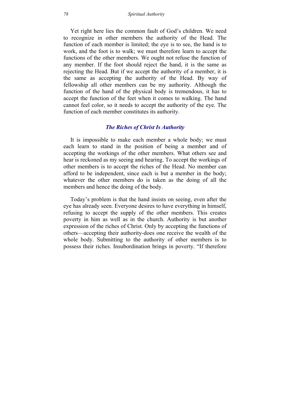Yet right here lies the common fault of God's children. We need to recognize in other members the authority of the Head. The function of each member is limited; the eye is to see, the hand is to work, and the foot is to walk; we must therefore learn to accept the functions of the other members. We ought not refuse the function of any member. If the foot should reject the hand, it is the same as rejecting the Head. But if we accept the authority of a member, it is the same as accepting the authority of the Head. By way of fellowship all other members can be my authority. Although the function of the hand of the physical body is tremendous, it has to accept the function of the feet when it comes to walking. The hand cannot feel color, so it needs to accept the authority of the eye. The function of each member constitutes its authority.

#### *The Riches of Christ Is Authority*

It is impossible to make each member a whole body; we must each learn to stand in the position of being a member and of accepting the workings of the other members. What others see and hear is reckoned as my seeing and hearing. To accept the workings of other members is to accept the riches of the Head. No member can afford to be independent, since each is but a member in the body; whatever the other members do is taken as the doing of all the members and hence the doing of the body.

Today's problem is that the hand insists on seeing, even after the eye has already seen. Everyone desires to have everything in himself, refusing to accept the supply of the other members. This creates poverty in him as well as in the church. Authority is but another expression of the riches of Christ. Only by accepting the functions of others—accepting their authority-does one receive the wealth of the whole body. Submitting to the authority of other members is to possess their riches. Insubordination brings in poverty. "If therefore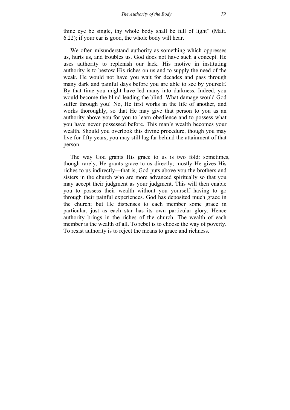thine eye be single, thy whole body shall be full of light" (Matt. 6.22); if your ear is good, the whole body will hear.

We often misunderstand authority as something which oppresses us, hurts us, and troubles us. God does not have such a concept. He uses authority to replenish our lack. His motive in instituting authority is to bestow His riches on us and to supply the need of the weak. He would not have you wait for decades and pass through many dark and painful days before you are able to see by yourself. By that time you might have led many into darkness. Indeed, you would become the blind leading the blind. What damage would God suffer through you! No, He first works in the life of another, and works thoroughly, so that He may give that person to you as an authority above you for you to learn obedience and to possess what you have never possessed before. This man's wealth becomes your wealth. Should you overlook this divine procedure, though you may live for fifty years, you may still lag far behind the attainment of that person.

The way God grants His grace to us is two fold: sometimes, though rarely, He grants grace to us directly; mostly He gives His riches to us indirectly—that is, God puts above you the brothers and sisters in the church who are more advanced spiritually so that you may accept their judgment as your judgment. This will then enable you to possess their wealth without you yourself having to go through their painful experiences. God has deposited much grace in the church; but He dispenses to each member some grace in particular, just as each star has its own particular glory. Hence authority brings in the riches of the church. The wealth of each member is the wealth of all. To rebel is to choose the way of poverty. To resist authority is to reject the means to grace and richness.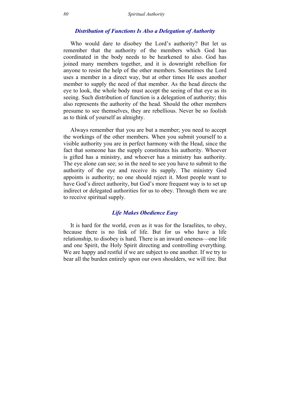#### *Distribution of Functions Is Also a Delegation of Authority*

Who would dare to disobey the Lord's authority? But let us remember that the authority of the members which God has coordinated in the body needs to be hearkened to also. God has joined many members together, and it is downright rebellion for anyone to resist the help of the other members. Sometimes the Lord uses a member in a direct way, but at other times He uses another member to supply the need of that member. As the head directs the eye to look, the whole body must accept the seeing of that eye as its seeing. Such distribution of function is a delegation of authority; this also represents the authority of the head. Should the other members presume to see themselves, they are rebellious. Never be so foolish as to think of yourself as almighty.

Always remember that you are but a member; you need to accept the workings of the other members. When you submit yourself to a visible authority you are in perfect harmony with the Head, since the fact that someone has the supply constitutes his authority. Whoever is gifted has a ministry, and whoever has a ministry has authority. The eye alone can see; so in the need to see you have to submit to the authority of the eye and receive its supply. The ministry God appoints is authority; no one should reject it. Most people want to have God's direct authority, but God's more frequent way is to set up indirect or delegated authorities for us to obey. Through them we are to receive spiritual supply.

#### *Life Makes Obedience Easy*

It is hard for the world, even as it was for the Israelites, to obey, because there is no link of life. But for us who have a life relationship, to disobey is hard. There is an inward oneness—one life and one Spirit, the Holy Spirit directing and controlling everything. We are happy and restful if we are subject to one another. If we try to bear all the burden entirely upon our own shoulders, we will tire. But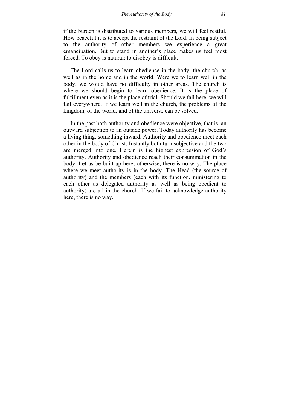if the burden is distributed to various members, we will feel restful. How peaceful it is to accept the restraint of the Lord. In being subject to the authority of other members we experience a great emancipation. But to stand in another's place makes us feel most forced. To obey is natural; to disobey is difficult.

The Lord calls us to learn obedience in the body, the church, as well as in the home and in the world. Were we to learn well in the body, we would have no difficulty in other areas. The church is where we should begin to learn obedience. It is the place of fulfillment even as it is the place of trial. Should we fail here, we will fail everywhere. If we learn well in the church, the problems of the kingdom, of the world, and of the universe can be solved.

In the past both authority and obedience were objective, that is, an outward subjection to an outside power. Today authority has become a living thing, something inward. Authority and obedience meet each other in the body of Christ. Instantly both turn subjective and the two are merged into one. Herein is the highest expression of God's authority. Authority and obedience reach their consummation in the body. Let us be built up here; otherwise, there is no way. The place where we meet authority is in the body. The Head (the source of authority) and the members (each with its function, ministering to each other as delegated authority as well as being obedient to authority) are all in the church. If we fail to acknowledge authority here, there is no way.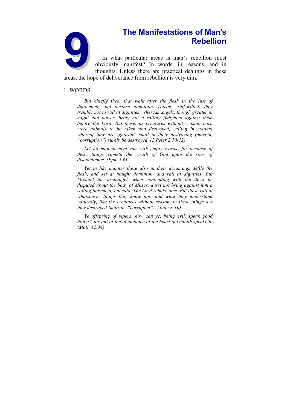

# **Rebellion**

**19The Manifestations of Man's Rebellion**<br>
In what particular areas is man's rebellion most<br>
obviously manifest? In words, in reasons, and in<br>
thoughts. Unless there are practical dealings in these In what particular areas is man's rebellion most obviously manifest? In words, in reasons, and in thoughts. Unless there are practical dealings in these

areas, the hope of deliverance from rebellion is very dim.

#### 1. WORDS.

*But chiefly them that walk after the flesh in the lust of defilement, and despise dominion. Daring, self-willed, they tremble not to rail at dignities: whereas angels, though greater in might and power, bring not a railing judgment against them before the Lord. But these, as creatures without reason, born mere animals to be taken and destroyed, railing in matters whereof they are ignorant, shall in their destroying (margin, "corruption") surely be destroyed. (2 Peter 2.10-12)*

*Let no man deceive you with empty words: for because of these things cometh the wrath of God upon the sons of disobedience. (Eph. 5.6)*

*Yet in like manner these also in their dreamings defile the flesh, and set at nought dominion, and rail at dignities. But Michael the archangel, when contending with the devil he disputed about the body of Moses, durst not bring against him a railing judgment, but said, The Lord rebuke thee. But these rail at whatsoever things they know not: and what they understand naturally, like the creatures without reason, in these things are they destroyed (margin, "corrupted"). (Jude 8-10)* 

*Ye offspring of vipers, how can ye, being evil, speak good things? for out of the abundance of the heart the mouth speaketh. (Matt. 12.34)*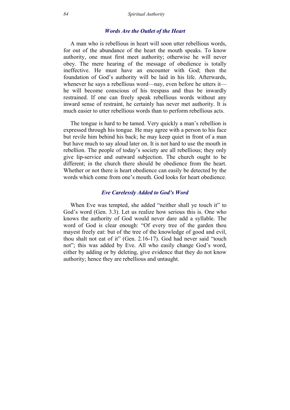#### *Words Are the Outlet of the Heart*

A man who is rebellious in heart will soon utter rebellious words, for out of the abundance of the heart the mouth speaks. To know authority, one must first meet authority; otherwise he will never obey. The mere hearing of the message of obedience is totally ineffective. He must have an encounter with God; then the foundation of God's authority will be laid in his life. Afterwards, whenever he says a rebellious word—nay, even before he utters it he will become conscious of his trespass and thus be inwardly restrained. If one can freely speak rebellious words without any inward sense of restraint, he certainly has never met authority. It is much easier to utter rebellious words than to perform rebellious acts.

The tongue is hard to be tamed. Very quickly a man's rebellion is expressed through his tongue. He may agree with a person to his face but revile him behind his back; he may keep quiet in front of a man but have much to say aloud later on. It is not hard to use the mouth in rebellion. The people of today's society are all rebellious; they only give lip-service and outward subjection. The church ought to be different; in the church there should be obedience from the heart. Whether or not there is heart obedience can easily be detected by the words which come from one's mouth. God looks for heart obedience.

#### *Eve Carelessly Added to God's Word*

When Eve was tempted, she added "neither shall ye touch it" to God's word (Gen. 3.3). Let us realize how serious this is. One who knows the authority of God would never dare add a syllable. The word of God is clear enough: "Of every tree of the garden thou mayest freely eat: but of the tree of the knowledge of good and evil, thou shalt not eat of it" (Gen. 2.16-17). God had never said "touch not"; this was added by Eve. All who easily change God's word, either by adding or by deleting, give evidence that they do not know authority; hence they are rebellious and untaught.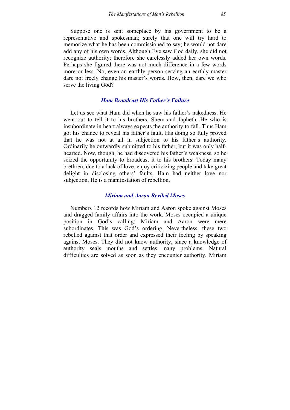Suppose one is sent someplace by his government to be a representative and spokesman; surely that one will try hard to memorize what he has been commissioned to say; he would not dare add any of his own words. Although Eve saw God daily, she did not recognize authority; therefore she carelessly added her own words. Perhaps she figured there was not much difference in a few words more or less. No, even an earthly person serving an earthly master dare not freely change his master's words. How, then, dare we who serve the living God?

#### *Ham Broadcast His Father's Failure*

Let us see what Ham did when he saw his father's nakedness. He went out to tell it to his brothers, Shem and Japheth. He who is insubordinate in heart always expects the authority to fall. Thus Ham got his chance to reveal his father's fault. His doing so fully proved that he was not at all in subjection to his father's authority. Ordinarily he outwardly submitted to his father, but it was only halfhearted. Now, though, he had discovered his father's weakness, so he seized the opportunity to broadcast it to his brothers. Today many brethren, due to a lack of love, enjoy criticizing people and take great delight in disclosing others' faults. Ham had neither love nor subjection. He is a manifestation of rebellion.

#### *Miriam and Aaron Reviled Moses*

Numbers 12 records how Miriam and Aaron spoke against Moses and dragged family affairs into the work. Moses occupied a unique position in God's calling; Miriam and Aaron were mere subordinates. This was God's ordering. Nevertheless, these two rebelled against that order and expressed their feeling by speaking against Moses. They did not know authority, since a knowledge of authority seals mouths and settles many problems. Natural difficulties are solved as soon as they encounter authority. Miriam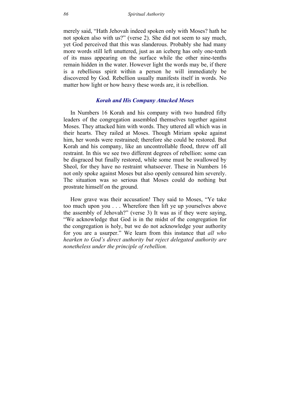merely said, "Hath Jehovah indeed spoken only with Moses? hath he not spoken also with us?" (verse 2). She did not seem to say much, yet God perceived that this was slanderous. Probably she had many more words still left unuttered, just as an iceberg has only one-tenth of its mass appearing on the surface while the other nine-tenths remain hidden in the water. However light the words may be, if there is a rebellious spirit within a person he will immediately be discovered by God. Rebellion usually manifests itself in words. No matter how light or how heavy these words are, it is rebellion.

#### *Korah and His Company Attacked Moses*

In Numbers 16 Korah and his company with two hundred fifty leaders of the congregation assembled themselves together against Moses. They attacked him with words. They uttered all which was in their hearts. They railed at Moses. Though Miriam spoke against him, her words were restrained; therefore she could be restored. But Korah and his company, like an uncontrollable flood, threw off all restraint. In this we see two different degrees of rebellion: some can be disgraced but finally restored, while some must be swallowed by Sheol, for they have no restraint whatsoever. These in Numbers 16 not only spoke against Moses but also openly censured him severely. The situation was so serious that Moses could do nothing but prostrate himself on the ground.

How grave was their accusation! They said to Moses, "Ye take too much upon you . . . Wherefore then lift ye up yourselves above the assembly of Jehovah?" (verse 3) It was as if they were saying, "We acknowledge that God is in the midst of the congregation for the congregation is holy, but we do not acknowledge your authority for you are a usurper." We learn from this instance that *all who hearken to God's direct authority but reject delegated authority are nonetheless under the principle of rebellion.*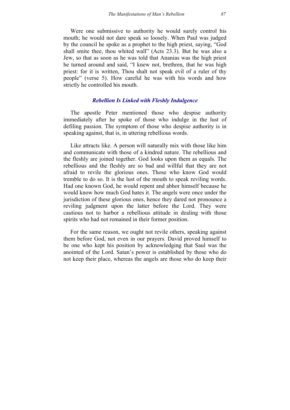Were one submissive to authority he would surely control his mouth; he would not dare speak so loosely. When Paul was judged by the council he spoke as a prophet to the high priest, saying, "God shall smite thee, thou whited wall" (Acts 23.3). But he was also a Jew, so that as soon as he was told that Ananias was the high priest he turned around and said, "I knew not, brethren, that he was high priest: for it is written, Thou shalt not speak evil of a ruler of thy people" (verse 5). How careful he was with his words and how strictly he controlled his mouth.

#### *Rebellion Is Linked with Fleshly Indulgence*

The apostle Peter mentioned those who despise authority immediately after he spoke of those who indulge in the lust of defiling passion. The symptom of those who despise authority is in speaking against, that is, in uttering rebellious words.

Like attracts like. A person will naturally mix with those like him and communicate with those of a kindred nature. The rebellious and the fleshly are joined together. God looks upon them as equals. The rebellious and the fleshly are so bad and willful that they are not afraid to revile the glorious ones. Those who know God would tremble to do so. It is the lust of the mouth to speak reviling words. Had one known God, he would repent and abhor himself because he would know how much God hates it. The angels were once under the jurisdiction of these glorious ones, hence they dared not pronounce a reviling judgment upon the latter before the Lord. They were cautious not to harbor a rebellious attitude in dealing with those spirits who had not remained in their former position.

For the same reason, we ought not revile others, speaking against them before God, not even in our prayers. David proved himself to be one who kept his position by acknowledging that Saul was the anointed of the Lord. Satan's power is established by those who do not keep their place, whereas the angels are those who do keep their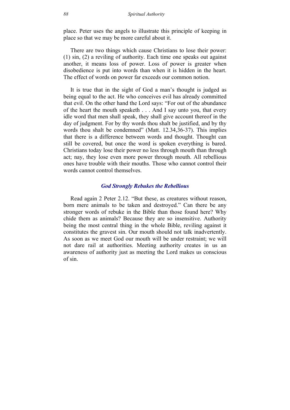place. Peter uses the angels to illustrate this principle of keeping in place so that we may be more careful about it.

There are two things which cause Christians to lose their power: (1) sin, (2) a reviling of authority. Each time one speaks out against another, it means loss of power. Loss of power is greater when disobedience is put into words than when it is hidden in the heart. The effect of words on power far exceeds our common notion.

It is true that in the sight of God a man's thought is judged as being equal to the act. He who conceives evil has already committed that evil. On the other hand the Lord says: "For out of the abundance of the heart the mouth speaketh . . . And I say unto you, that every idle word that men shall speak, they shall give account thereof in the day of judgment. For by thy words thou shalt be justified, and by thy words thou shalt be condemned" (Matt. 12.34,36-37). This implies that there is a difference between words and thought. Thought can still be covered, but once the word is spoken everything is bared. Christians today lose their power no less through mouth than through act; nay, they lose even more power through mouth. All rebellious ones have trouble with their mouths. Those who cannot control their words cannot control themselves.

#### *God Strongly Rebukes the Rebellious*

Read again 2 Peter 2.12. "But these, as creatures without reason, born mere animals to be taken and destroyed." Can there be any stronger words of rebuke in the Bible than those found here? Why chide them as animals? Because they are so insensitive. Authority being the most central thing in the whole Bible, reviling against it constitutes the gravest sin. Our mouth should not talk inadvertently. As soon as we meet God our mouth will be under restraint; we will not dare rail at authorities. Meeting authority creates in us an awareness of authority just as meeting the Lord makes us conscious of sin.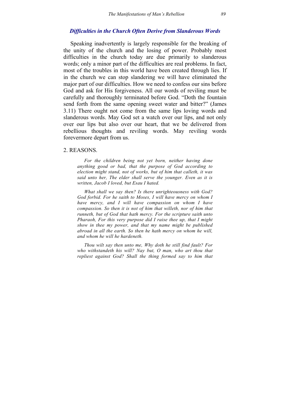#### *Difficulties in the Church Often Derive from Slanderous Words*

Speaking inadvertently is largely responsible for the breaking of the unity of the church and the losing of power. Probably most difficulties in the church today are due primarily to slanderous words; only a minor part of the difficulties are real problems. In fact, most of the troubles in this world have been created through lies. If in the church we can stop slandering we will have eliminated the major part of our difficulties. How we need to confess our sins before God and ask for His forgiveness. All our words of reviling must be carefully and thoroughly terminated before God. "Doth the fountain send forth from the same opening sweet water and bitter?" (James 3.11) There ought not come from the same lips loving words and slanderous words. May God set a watch over our lips, and not only over our lips but also over our heart, that we be delivered from rebellious thoughts and reviling words. May reviling words forevermore depart from us.

#### 2. REASONS.

*For the children being not yet born, neither having done anything good or bad, that the purpose of God according to election might stand, not of works, but of him that calleth, it was said unto her, The elder shall serve the younger. Even as it is written, Jacob I loved, but Esau I hated.* 

*What shall we say then? Is there unrighteousness with God? God forbid. For he saith to Moses, I will have mercy on whom I have mercy, and I will have compassion on whom I have compassion. So then it is not of him that willeth, nor of him that runneth, but of God that hath mercy. For the scripture saith unto Pharaoh, For this very purpose did I raise thee up, that I might show in thee my power, and that my name might be published abroad in all the earth. So then he hath mercy on whom he will, and whom he will he hardeneth.* 

*Thou wilt say then unto me, Why doth he still find fault? For who withstandeth his will? Nay but, O man, who art thou that repliest against God? Shall the thing formed say to him that*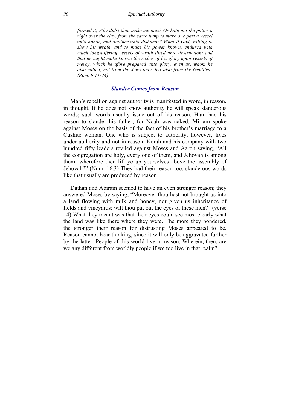*formed it, Why didst thou make me thus? Or hath not the potter a right over the clay, from the same lump to make one part a vessel unto honor, and another unto dishonor? What if God, willing to show his wrath, and to make his power known, endured with much longsuffering vessels of wrath fitted unto destruction: and that he might make known the riches of his glory upon vessels of mercy, which he afore prepared unto glory, even us, whom he also called, not from the Jews only, but also from the Gentiles? (Rom. 9.11-24)* 

#### *Slander Comes from Reason*

Man's rebellion against authority is manifested in word, in reason, in thought. If he does not know authority he will speak slanderous words; such words usually issue out of his reason. Ham had his reason to slander his father, for Noah was naked. Miriam spoke against Moses on the basis of the fact of his brother's marriage to a Cushite woman. One who is subject to authority, however, lives under authority and not in reason. Korah and his company with two hundred fifty leaders reviled against Moses and Aaron saying, "All the congregation are holy, every one of them, and Jehovah is among them: wherefore then lift ye up yourselves above the assembly of Jehovah?" (Num. 16.3) They had their reason too; slanderous words like that usually are produced by reason.

Dathan and Abiram seemed to have an even stronger reason; they answered Moses by saying, "Moreover thou hast not brought us into a land flowing with milk and honey, nor given us inheritance of fields and vineyards: wilt thou put out the eyes of these men?" (verse 14) What they meant was that their eyes could see most clearly what the land was like there where they were. The more they pondered, the stronger their reason for distrusting Moses appeared to be. Reason cannot bear thinking, since it will only be aggravated further by the latter. People of this world live in reason. Wherein, then, are we any different from worldly people if we too live in that realm?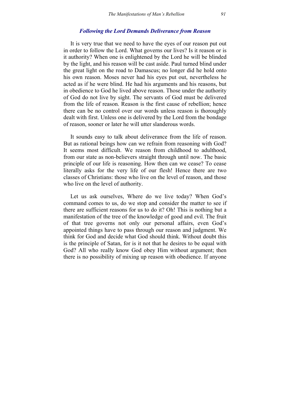#### *Following the Lord Demands Deliverance from Reason*

It is very true that we need to have the eyes of our reason put out in order to follow the Lord. What governs our lives? Is it reason or is it authority? When one is enlightened by the Lord he will be blinded by the light, and his reason will be cast aside. Paul turned blind under the great light on the road to Damascus; no longer did he hold onto his own reason. Moses never had his eyes put out, nevertheless he acted as if he were blind. He had his arguments and his reasons, but in obedience to God he lived above reason. Those under the authority of God do not live by sight. The servants of God must be delivered from the life of reason. Reason is the first cause of rebellion; hence there can be no control over our words unless reason is thoroughly dealt with first. Unless one is delivered by the Lord from the bondage of reason, sooner or later he will utter slanderous words.

It sounds easy to talk about deliverance from the life of reason. But as rational beings how can we refrain from reasoning with God? It seems most difficult. We reason from childhood to adulthood, from our state as non-believers straight through until now. The basic principle of our life is reasoning. How then can we cease? To cease literally asks for the very life of our flesh! Hence there are two classes of Christians: those who live on the level of reason, and those who live on the level of authority.

Let us ask ourselves, Where do we live today? When God's command comes to us, do we stop and consider the matter to see if there are sufficient reasons for us to do it? Oh! This is nothing but a manifestation of the tree of the knowledge of good and evil. The fruit of that tree governs not only our personal affairs, even God's appointed things have to pass through our reason and judgment. We think for God and decide what God should think. Without doubt this is the principle of Satan, for is it not that he desires to be equal with God? All who really know God obey Him without argument; then there is no possibility of mixing up reason with obedience. If anyone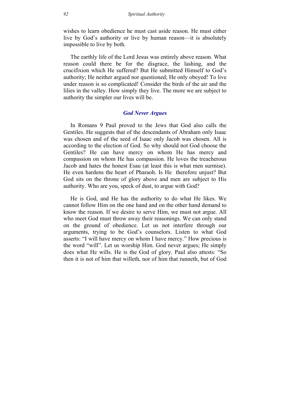wishes to learn obedience he must cast aside reason. He must either live by God's authority or live by human reason—it is absolutely impossible to live by both.

The earthly life of the Lord Jesus was entirely above reason. What reason could there be for the disgrace, the lashing, and the crucifixion which He suffered? But He submitted Himself to God's authority; He neither argued nor questioned; He only obeyed! To live under reason is so complicated! Consider the birds of the air and the lilies in the valley. How simply they live. The more we are subject to authority the simpler our lives will be.

#### *God Never Argues*

In Romans 9 Paul proved to the Jews that God also calls the Gentiles. He suggests that of the descendants of Abraham only Isaac was chosen and of the seed of Isaac only Jacob was chosen. All is according to the election of God. So why should not God choose the Gentiles? He can have mercy on whom He has mercy and compassion on whom He has compassion. He loves the treacherous Jacob and hates the honest Esau (at least this is what men surmise). He even hardens the heart of Pharaoh. Is He therefore unjust? But God sits on the throne of glory above and men are subject to His authority. Who are you, speck of dust, to argue with God?

He is God, and He has the authority to do what He likes. We cannot follow Him on the one hand and on the other hand demand to know the reason. If we desire to serve Him, we must not argue. All who meet God must throw away their reasonings. We can only stand on the ground of obedience. Let us not interfere through our arguments, trying to be God's counselors. Listen to what God asserts: "I will have mercy on whom I have mercy." How precious is the word "will". Let us worship Him. God never argues; He simply does what He wills. He is the God of glory. Paul also attests: "So then it is not of him that willeth, nor of him that runneth, but of God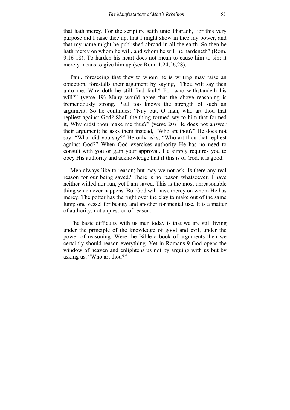that hath mercy. For the scripture saith unto Pharaoh, For this very purpose did I raise thee up, that I might show in thee my power, and that my name might be published abroad in all the earth. So then he hath mercy on whom he will, and whom he will he hardeneth" (Rom. 9.16-18). To harden his heart does not mean to cause him to sin; it merely means to give him up (see Rom. 1.24,26,28).

Paul, foreseeing that they to whom he is writing may raise an objection, forestalls their argument by saying, "Thou wilt say then unto me, Why doth he still find fault? For who withstandeth his will?" (verse 19) Many would agree that the above reasoning is tremendously strong. Paul too knows the strength of such an argument. So he continues: "Nay but, O man, who art thou that repliest against God? Shall the thing formed say to him that formed it, Why didst thou make me thus?" (verse 20) He does not answer their argument; he asks them instead, "Who art thou?" He does not say, "What did you say?" He only asks, "Who art thou that repliest against God?" When God exercises authority He has no need to consult with you or gain your approval. He simply requires you to obey His authority and acknowledge that if this is of God, it is good.

Men always like to reason; but may we not ask, Is there any real reason for our being saved? There is no reason whatsoever. I have neither willed nor run, yet I am saved. This is the most unreasonable thing which ever happens. But God will have mercy on whom He has mercy. The potter has the right over the clay to make out of the same lump one vessel for beauty and another for menial use. It is a matter of authority, not a question of reason.

The basic difficulty with us men today is that we are still living under the principle of the knowledge of good and evil, under the power of reasoning. Were the Bible a book of arguments then we certainly should reason everything. Yet in Romans 9 God opens the window of heaven and enlightens us not by arguing with us but by asking us, "Who art thou?"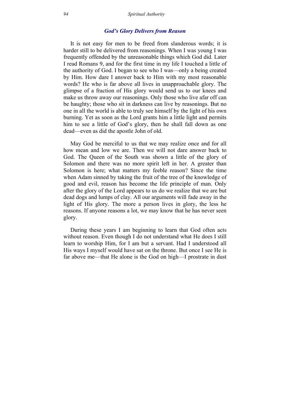#### *God's Glory Delivers from Reason*

It is not easy for men to be freed from slanderous words; it is harder still to be delivered from reasonings. When I was young I was frequently offended by the unreasonable things which God did. Later I read Romans 9, and for the first time in my life I touched a little of the authority of God. I began to see who I was—only a being created by Him. How dare I answer back to Him with my most reasonable words? He who is far above all lives in unapproachable glory. The glimpse of a fraction of His glory would send us to our knees and make us throw away our reasonings. Only those who live afar off can be haughty; those who sit in darkness can live by reasonings. But no one in all the world is able to truly see himself by the light of his own burning. Yet as soon as the Lord grants him a little light and permits him to see a little of God's glory, then he shall fall down as one dead—even as did the apostle John of old.

May God be merciful to us that we may realize once and for all how mean and low we are. Then we will not dare answer back to God. The Queen of the South was shown a little of the glory of Solomon and there was no more spirit left in her. A greater than Solomon is here; what matters my feeble reason? Since the time when Adam sinned by taking the fruit of the tree of the knowledge of good and evil, reason has become the life principle of man. Only after the glory of the Lord appears to us do we realize that we are but dead dogs and lumps of clay. All our arguments will fade away in the light of His glory. The more a person lives in glory, the less he reasons. If anyone reasons a lot, we may know that he has never seen glory.

During these years I am beginning to learn that God often acts without reason. Even though I do not understand what He does I still learn to worship Him, for I am but a servant. Had I understood all His ways I myself would have sat on the throne. But once I see He is far above me—that He alone is the God on high—I prostrate in dust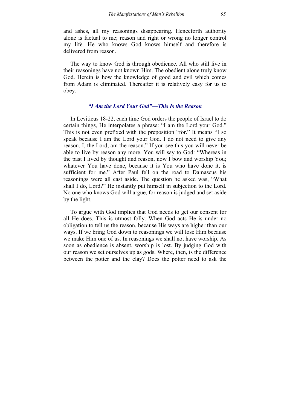and ashes, all my reasonings disappearing. Henceforth authority alone is factual to me; reason and right or wrong no longer control my life. He who knows God knows himself and therefore is delivered from reason.

The way to know God is through obedience. All who still live in their reasonings have not known Him. The obedient alone truly know God. Herein is how the knowledge of good and evil which comes from Adam is eliminated. Thereafter it is relatively easy for us to obey.

#### *"I Am the Lord Your God"—This Is the Reason*

In Leviticus 18-22, each time God orders the people of Israel to do certain things, He interpolates a phrase: "I am the Lord your God." This is not even prefixed with the preposition "for." It means "I so speak because I am the Lord your God. I do not need to give any reason. I, the Lord, am the reason." If you see this you will never be able to live by reason any more. You will say to God: "Whereas in the past I lived by thought and reason, now I bow and worship You; whatever You have done, because it is You who have done it, is sufficient for me." After Paul fell on the road to Damascus his reasonings were all cast aside. The question he asked was, "What shall I do, Lord?" He instantly put himself in subjection to the Lord. No one who knows God will argue, for reason is judged and set aside by the light.

To argue with God implies that God needs to get our consent for all He does. This is utmost folly. When God acts He is under no obligation to tell us the reason, because His ways are higher than our ways. If we bring God down to reasonings we will lose Him because we make Him one of us. In reasonings we shall not have worship. As soon as obedience is absent, worship is lost. By judging God with our reason we set ourselves up as gods. Where, then, is the difference between the potter and the clay? Does the potter need to ask the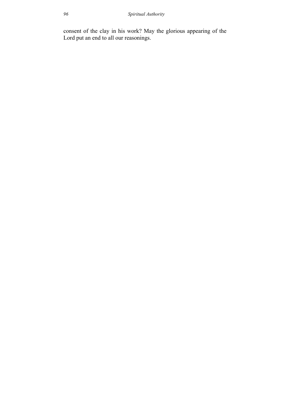consent of the clay in his work? May the glorious appearing of the Lord put an end to all our reasonings.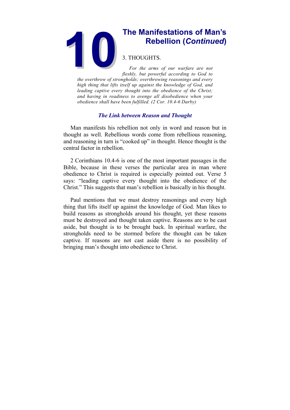

# **Rebellion (***Continued***)**

3. THOUGHTS.

*For the arms of our warfare are not fleshly, but powerful according to God to the overthrow of strongholds; overthrowing reasonings and every high thing that lifts itself up against the knowledge of God, and leading captive every thought into the obedience of the Christ; and having in readiness to avenge all disobedience when your obedience shall have been fulfilled. (2 Cor. 10.4-6 Darby)*

*The Link between Reason and Thought* 

Man manifests his rebellion not only in word and reason but in thought as well. Rebellious words come from rebellious reasoning, and reasoning in turn is "cooked up" in thought. Hence thought is the central factor in rebellion.

2 Corinthians 10.4-6 is one of the most important passages in the Bible, because in these verses the particular area in man where obedience to Christ is required is especially pointed out. Verse 5 says: "leading captive every thought into the obedience of the Christ." This suggests that man's rebellion is basically in his thought.

Paul mentions that we must destroy reasonings and every high thing that lifts itself up against the knowledge of God. Man likes to build reasons as strongholds around his thought, yet these reasons must be destroyed and thought taken captive. Reasons are to be cast aside, but thought is to be brought back. In spiritual warfare, the strongholds need to be stormed before the thought can be taken captive. If reasons are not cast aside there is no possibility of bringing man's thought into obedience to Christ.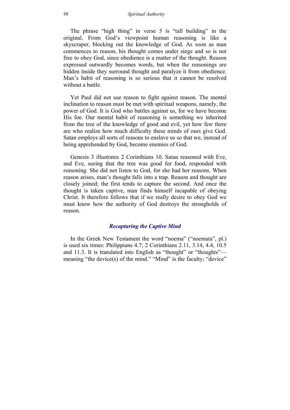The phrase "high thing" in verse 5 is "tall building" in the original. From God's viewpoint human reasoning is like a skyscraper, blocking out the knowledge of God. As soon as man commences to reason, his thought comes under siege and so is not free to obey God, since obedience is a matter of the thought. Reason expressed outwardly becomes words, but when the reasonings are hidden inside they surround thought and paralyze it from obedience. Man's habit of reasoning is so serious that it cannot be resolved without a battle

Yet Paul did not use reason to fight against reason. The mental inclination to reason must be met with spiritual weapons, namely, the power of God. It is God who battles against us, for we have become His foe. Our mental habit of reasoning is something we inherited from the tree of the knowledge of good and evil, yet how few there are who realize how much difficulty these minds of ours give God. Satan employs all sorts of reasons to enslave us so that we, instead of being apprehended by God, become enemies of God.

Genesis 3 illustrates 2 Corinthians 10. Satan reasoned with Eve, and Eve, seeing that the tree was good for food, responded with reasoning. She did not listen to God, for she had her reasons. When reason arises, man's thought falls into a trap. Reason and thought are closely joined; the first tends to capture the second. And once the thought is taken captive, man finds himself incapable of obeying Christ. It therefore follows that if we really desire to obey God we must know how the authority of God destroys the strongholds of reason.

#### *Recapturing the Captive Mind*

In the Greek New Testament the word "noema" ("noemata", pl.) is used six times: Philippians 4.7; 2 Corinthians 2.11, 3.14, 4.4, 10.5 and 11.3. It is translated into English as "thought" or "thoughts" meaning "the device(s) of the mind." "Mind" is the faculty; "device"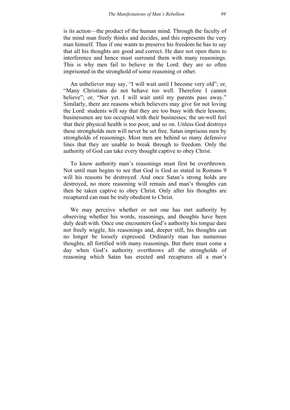is its action—the product of the human mind. Through the faculty of the mind man freely thinks and decides, and this represents the very man himself. Thus if one wants to preserve his freedom he has to say that all his thoughts are good and correct. He dare not open them to interference and hence must surround them with many reasonings. This is why men fail to believe in the Lord: they are so often imprisoned in the stronghold of some reasoning or other.

An unbeliever may say, "I will wait until I become very old"; or, "Many Christians do not behave too well. Therefore I cannot believe"; or, "Not yet. I will wait until my parents pass away." Similarly, there are reasons which believers may give for not loving the Lord: students will say that they are too busy with their lessons; businessmen are too occupied with their businesses; the un-well feel that their physical health is too poor, and so on. Unless God destroys these strongholds men will never be set free. Satan imprisons men by strongholds of reasonings. Most men are behind so many defensive lines that they are unable to break through to freedom. Only the authority of God can take every thought captive to obey Christ.

To know authority man's reasonings must first be overthrown. Not until man begins to see that God is God as stated in Romans 9 will his reasons be destroyed. And once Satan's strong holds are destroyed, no more reasoning will remain and man's thoughts can then be taken captive to obey Christ. Only after his thoughts are recaptured can man be truly obedient to Christ.

We may perceive whether or not one has met authority by observing whether his words, reasonings, and thoughts have been duly dealt with. Once one encounters God's authority his tongue dare not freely wiggle, his reasonings and, deeper still, his thoughts can no longer be loosely expressed. Ordinarily man has numerous thoughts, all fortified with many reasonings. But there must come a day when God's authority overthrows all the strongholds of reasoning which Satan has erected and recaptures all a man's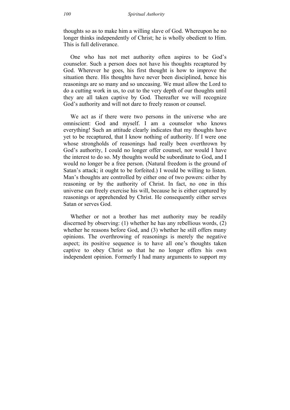thoughts so as to make him a willing slave of God. Whereupon he no longer thinks independently of Christ; he is wholly obedient to Him. This is full deliverance.

One who has not met authority often aspires to be God's counselor. Such a person does not have his thoughts recaptured by God. Wherever he goes, his first thought is how to improve the situation there. His thoughts have never been disciplined, hence his reasonings are so many and so unceasing. We must allow the Lord to do a cutting work in us, to cut to the very depth of our thoughts until they are all taken captive by God. Thereafter we will recognize God's authority and will not dare to freely reason or counsel.

We act as if there were two persons in the universe who are omniscient: God and myself. I am a counselor who knows everything! Such an attitude clearly indicates that my thoughts have yet to be recaptured, that I know nothing of authority. If I were one whose strongholds of reasonings had really been overthrown by God's authority, I could no longer offer counsel, nor would I have the interest to do so. My thoughts would be subordinate to God, and I would no longer be a free person. (Natural freedom is the ground of Satan's attack; it ought to be forfeited.) I would be willing to listen. Man's thoughts are controlled by either one of two powers: either by reasoning or by the authority of Christ. In fact, no one in this universe can freely exercise his will, because he is either captured by reasonings or apprehended by Christ. He consequently either serves Satan or serves God.

Whether or not a brother has met authority may be readily discerned by observing: (1) whether he has any rebellious words, (2) whether he reasons before God, and (3) whether he still offers many opinions. The overthrowing of reasonings is merely the negative aspect; its positive sequence is to have all one's thoughts taken captive to obey Christ so that he no longer offers his own independent opinion. Formerly I had many arguments to support my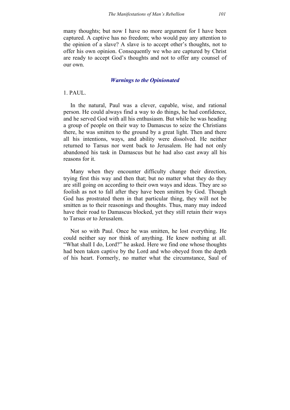many thoughts; but now I have no more argument for I have been captured. A captive has no freedom; who would pay any attention to the opinion of a slave? A slave is to accept other's thoughts, not to offer his own opinion. Consequently we who are captured by Christ are ready to accept God's thoughts and not to offer any counsel of our own.

#### *Warnings to the Opinionated*

1. PAUL.

In the natural, Paul was a clever, capable, wise, and rational person. He could always find a way to do things, he had confidence, and he served God with all his enthusiasm. But while he was heading a group of people on their way to Damascus to seize the Christians there, he was smitten to the ground by a great light. Then and there all his intentions, ways, and ability were dissolved. He neither returned to Tarsus nor went back to Jerusalem. He had not only abandoned his task in Damascus but he had also cast away all his reasons for it.

Many when they encounter difficulty change their direction, trying first this way and then that; but no matter what they do they are still going on according to their own ways and ideas. They are so foolish as not to fall after they have been smitten by God. Though God has prostrated them in that particular thing, they will not be smitten as to their reasonings and thoughts. Thus, many may indeed have their road to Damascus blocked, yet they still retain their ways to Tarsus or to Jerusalem.

Not so with Paul. Once he was smitten, he lost everything. He could neither say nor think of anything. He knew nothing at all. "What shall I do, Lord?" he asked. Here we find one whose thoughts had been taken captive by the Lord and who obeyed from the depth of his heart. Formerly, no matter what the circumstance, Saul of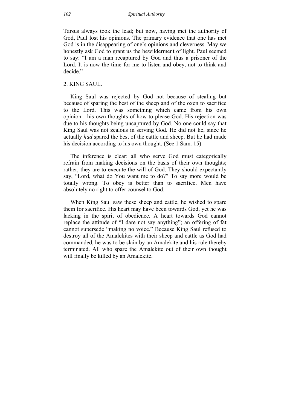Tarsus always took the lead; but now, having met the authority of God, Paul lost his opinions. The primary evidence that one has met God is in the disappearing of one's opinions and cleverness. May we honestly ask God to grant us the bewilderment of light. Paul seemed to say: "I am a man recaptured by God and thus a prisoner of the Lord. It is now the time for me to listen and obey, not to think and decide<sup>"</sup>

2. KING SAUL.

King Saul was rejected by God not because of stealing but because of sparing the best of the sheep and of the oxen to sacrifice to the Lord. This was something which came from his own opinion—his own thoughts of how to please God. His rejection was due to his thoughts being uncaptured by God. No one could say that King Saul was not zealous in serving God. He did not lie, since he actually *had* spared the best of the cattle and sheep. But he had made his decision according to his own thought. (See 1 Sam. 15)

The inference is clear: all who serve God must categorically refrain from making decisions on the basis of their own thoughts; rather, they are to execute the will of God. They should expectantly say, "Lord, what do You want me to do?" To say more would be totally wrong. To obey is better than to sacrifice. Men have absolutely no right to offer counsel to God.

When King Saul saw these sheep and cattle, he wished to spare them for sacrifice. His heart may have been towards God, yet he was lacking in the spirit of obedience. A heart towards God cannot replace the attitude of "I dare not say anything"; an offering of fat cannot supersede "making no voice." Because King Saul refused to destroy all of the Amalekites with their sheep and cattle as God had commanded, he was to be slain by an Amalekite and his rule thereby terminated. All who spare the Amalekite out of their own thought will finally be killed by an Amalekite.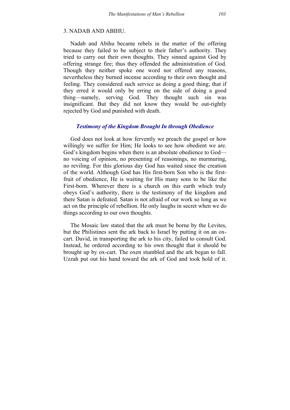#### 3. NADAB AND ABIHU.

Nadab and Abihu became rebels in the matter of the offering because they failed to be subject to their father's authority. They tried to carry out their own thoughts. They sinned against God by offering strange fire; thus they offended the administration of God. Though they neither spoke one word nor offered any reasons, nevertheless they burned incense according to their own thought and feeling. They considered such service as doing a good thing; that if they erred it would only be erring on the side of doing a good thing—namely, serving God. They thought such sin was insignificant. But they did not know they would be out-rightly rejected by God and punished with death.

#### *Testimony of the Kingdom Brought In through Obedience*

God does not look at how fervently we preach the gospel or how willingly we suffer for Him; He looks to see how obedient we are. God's kingdom begins when there is an absolute obedience to God no voicing of opinion, no presenting of reasonings, no murmuring, no reviling. For this glorious day God has waited since the creation of the world. Although God has His first-born Son who is the firstfruit of obedience, He is waiting for His many sons to be like the First-born. Wherever there is a church on this earth which truly obeys God's authority, there is the testimony of the kingdom and there Satan is defeated. Satan is not afraid of our work so long as we act on the principle of rebellion. He only laughs in secret when we do things according to our own thoughts.

The Mosaic law stated that the ark must be borne by the Levites, but the Philistines sent the ark back to Israel by putting it on an oxcart. David, in transporting the ark to his city, failed to consult God. Instead, he ordered according to his own thought that it should be brought up by ox-cart. The oxen stumbled and the ark began to fall. Uzzah put out his hand toward the ark of God and took hold of it.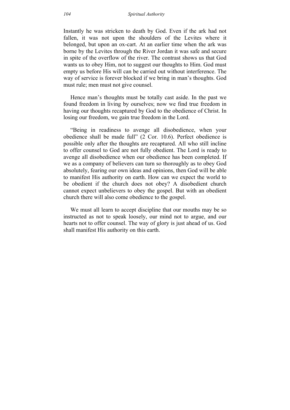Instantly he was stricken to death by God. Even if the ark had not fallen, it was not upon the shoulders of the Levites where it belonged, but upon an ox-cart. At an earlier time when the ark was borne by the Levites through the River Jordan it was safe and secure in spite of the overflow of the river. The contrast shows us that God wants us to obey Him, not to suggest our thoughts to Him. God must empty us before His will can be carried out without interference. The way of service is forever blocked if we bring in man's thoughts. God must rule; men must not give counsel.

Hence man's thoughts must be totally cast aside. In the past we found freedom in living by ourselves; now we find true freedom in having our thoughts recaptured by God to the obedience of Christ. In losing our freedom, we gain true freedom in the Lord.

"Being in readiness to avenge all disobedience, when your obedience shall be made full" (2 Cor. 10.6). Perfect obedience is possible only after the thoughts are recaptured. All who still incline to offer counsel to God are not fully obedient. The Lord is ready to avenge all disobedience when our obedience has been completed. If we as a company of believers can turn so thoroughly as to obey God absolutely, fearing our own ideas and opinions, then God will be able to manifest His authority on earth. How can we expect the world to be obedient if the church does not obey? A disobedient church cannot expect unbelievers to obey the gospel. But with an obedient church there will also come obedience to the gospel.

We must all learn to accept discipline that our mouths may be so instructed as not to speak loosely, our mind not to argue, and our hearts not to offer counsel. The way of glory is just ahead of us. God shall manifest His authority on this earth.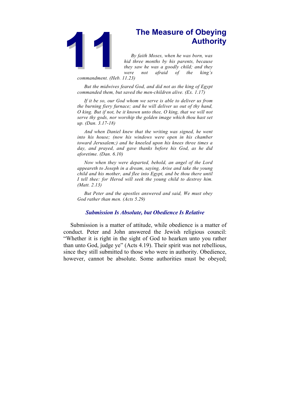

## **The Measure of Obeying Authority**

*hid t hree months by his parents, because they saw he was a goodly child; and they*  were *y faith Moses, when he was born, was not afraid of the king's* 

*commandment. (Heb. 11.23 )*

*But the midwives feared God, and did not as the king of Egypt commanded them, but saved the men-children alive. (Ex. 1.17)*

*If it be so, our God whom we serve is able to deliver us from the burning fiery furnace; and he will deliver us out of thy hand, O king. But if not, be it known unto thee, O king, that we will not serve thy gods, nor worship the golden image which thou hast set up. (Dan. 3.17-18)*

*And when Daniel knew that the writing was signed, he went into his house; (now his windows were open in his chamber toward Jerusalem;) and he kneeled upon his knees three times a day, and prayed, and gave thanks before his God, as he did aforetime. (Dan. 6.10)*

*Now when they were departed, behold, an angel of the Lord appeareth to Joseph in a dream, saying, Arise and take the young child and his mother, and flee into Egypt, and be thou there until I tell thee: for Herod will seek the young child to destroy him. (Matt. 2.13)*

*But Peter and the apostles answered and said, We must obey God rather than men. (Acts 5.29)*

#### *Submission Is Absolute, but Obedience Is Relative*

Submission is a matter of attitude, while obedience is a matter of conduct. Peter and John answered the Jewish religious council: "Whether it is right in the sight of God to hearken unto you rather than unto God, judge ye" (Acts 4.19). Their spirit was not rebellious, since they still submitted to those who were in authority. Obedience, however, cannot be absolute. Some authorities must be obeyed;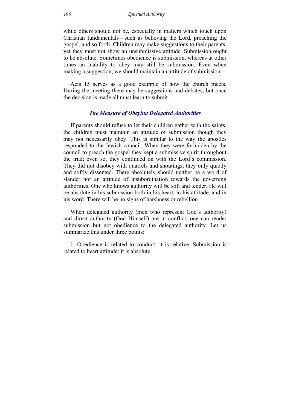while others should not be, especially in matters which touch upon Christian fundamentals—such as believing the Lord, preaching the gospel, and so forth. Children may make suggestions to their parents, yet they must not show an unsubmissive attitude. Submission ought to be absolute. Sometimes obedience is submission, whereas at other times an inability to obey may still be submission. Even when making a suggestion, we should maintain an attitude of submission.

Acts 15 serves as a good example of how the church meets. During the meeting there may be suggestions and debates, but once the decision is made all must learn to submit.

#### *The Measure of Obeying Delegated Authorities*

If parents should refuse to let their children gather with the saints, the children must maintain an attitude of submission though they may not necessarily obey. This is similar to the way the apostles responded to the Jewish council. When they were forbidden by the council to preach the gospel they kept a submissive spirit throughout the trial; even so, they continued on with the Lord's commission. They did not disobey with quarrels and shoutings, they only quietly and softly dissented. There absolutely should neither be a word of slander nor an attitude of insubordination towards the governing authorities. One who knows authority will be soft and tender. He will be absolute in his submission both in his heart, in his attitude, and in his word. There will be no signs of harshness or rebellion.

When delegated authority (men who represent God's authority) and direct authority (God Himself) are in conflict, one can render submission but not obedience to the delegated authority. Let us summarize this under three points:

1. Obedience is related to conduct: it is relative. Submission is related to heart attitude: it is absolute.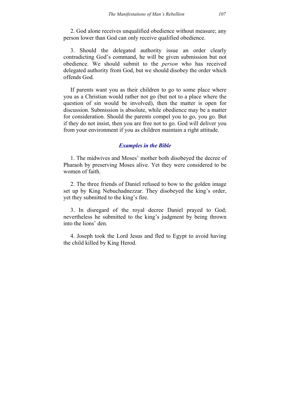2. God alone receives unqualified obedience without measure; any person lower than God can only receive qualified obedience.

3. Should the delegated authority issue an order clearly contradicting God's command, he will be given submission but not obedience. We should submit to the *person* who has received delegated authority from God, but we should disobey the order which offends God.

If parents want you as their children to go to some place where you as a Christian would rather not go (but not to a place where the question of sin would be involved), then the matter is open for discussion. Submission is absolute, while obedience may be a matter for consideration. Should the parents compel you to go, you go. But if they do not insist, then you are free not to go. God will deliver you from your environment if you as children maintain a right attitude.

### *Examples in the Bible*

1. The midwives and Moses' mother both disobeyed the decree of Pharaoh by preserving Moses alive. Yet they were considered to be women of faith.

2. The three friends of Daniel refused to bow to the golden image set up by King Nebuchadnezzar. They disobeyed the king's order, yet they submitted to the king's fire.

3. In disregard of the royal decree Daniel prayed to God; nevertheless he submitted to the king's judgment by being thrown into the lions' den.

4. Joseph took the Lord Jesus and fled to Egypt to avoid having the child killed by King Herod.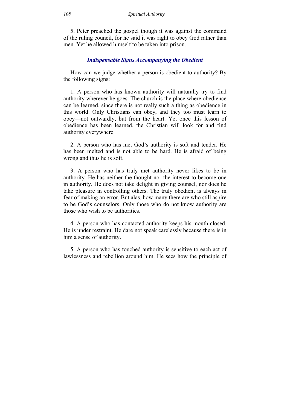5. Peter preached the gospel though it was against the command of the ruling council, for he said it was right to obey God rather than men. Yet he allowed himself to be taken into prison.

### *Indispensable Signs Accompanying the Obedient*

How can we judge whether a person is obedient to authority? By the following signs:

1. A person who has known authority will naturally try to find authority wherever he goes. The church is the place where obedience can be learned, since there is not really such a thing as obedience in this world. Only Christians can obey, and they too must learn to obey—not outwardly, but from the heart. Yet once this lesson of obedience has been learned, the Christian will look for and find authority everywhere.

2. A person who has met God's authority is soft and tender. He has been melted and is not able to be hard. He is afraid of being wrong and thus he is soft.

3. A person who has truly met authority never likes to be in authority. He has neither the thought nor the interest to become one in authority. He does not take delight in giving counsel, nor does he take pleasure in controlling others. The truly obedient is always in fear of making an error. But alas, how many there are who still aspire to be God's counselors. Only those who do not know authority are those who wish to be authorities.

4. A person who has contacted authority keeps his mouth closed. He is under restraint. He dare not speak carelessly because there is in him a sense of authority.

5. A person who has touched authority is sensitive to each act of lawlessness and rebellion around him. He sees how the principle of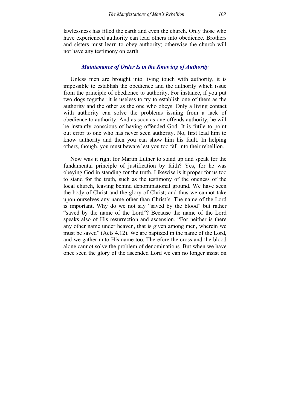lawlessness has filled the earth and even the church. Only those who have experienced authority can lead others into obedience. Brothers and sisters must learn to obey authority; otherwise the church will not have any testimony on earth.

#### *Maintenance of Order Is in the Knowing of Authority*

Unless men are brought into living touch with authority, it is impossible to establish the obedience and the authority which issue from the principle of obedience to authority. For instance, if you put two dogs together it is useless to try to establish one of them as the authority and the other as the one who obeys. Only a living contact with authority can solve the problems issuing from a lack of obedience to authority. And as soon as one offends authority, he will be instantly conscious of having offended God. It is futile to point out error to one who has never seen authority. No, first lead him to know authority and then you can show him his fault. In helping others, though, you must beware lest you too fall into their rebellion.

Now was it right for Martin Luther to stand up and speak for the fundamental principle of justification by faith? Yes, for he was obeying God in standing for the truth. Likewise is it proper for us too to stand for the truth, such as the testimony of the oneness of the local church, leaving behind denominational ground. We have seen the body of Christ and the glory of Christ; and thus we cannot take upon ourselves any name other than Christ's. The name of the Lord is important. Why do we not say "saved by the blood" but rather "saved by the name of the Lord"? Because the name of the Lord speaks also of His resurrection and ascension. "For neither is there any other name under heaven, that is given among men, wherein we must be saved" (Acts 4.12). We are baptized in the name of the Lord, and we gather unto His name too. Therefore the cross and the blood alone cannot solve the problem of denominations. But when we have once seen the glory of the ascended Lord we can no longer insist on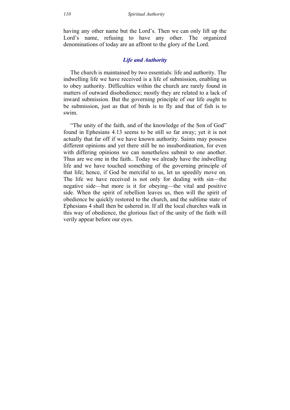having any other name but the Lord's. Then we can only lift up the Lord's name, refusing to have any other. The organized denominations of today are an affront to the glory of the Lord.

#### *Life and Authority*

The church is maintained by two essentials: life and authority. The indwelling life we have received is a life of submission, enabling us to obey authority. Difficulties within the church are rarely found in matters of outward disobedience; mostly they are related to a lack of inward submission. But the governing principle of our life ought to be submission, just as that of birds is to fly and that of fish is to swim.

"The unity of the faith, and of the knowledge of the Son of God" found in Ephesians 4.13 seems to be still so far away; yet it is not actually that far off if we have known authority. Saints may possess different opinions and yet there still be no insubordination, for even with differing opinions we can nonetheless submit to one another. Thus are we one in the faith.. Today we already have the indwelling life and we have touched something of the governing principle of that life; hence, if God be merciful to us, let us speedily move on. The life we have received is not only for dealing with sin—the negative side—but more is it for obeying—the vital and positive side. When the spirit of rebellion leaves us, then will the spirit of obedience be quickly restored to the church, and the sublime state of Ephesians 4 shall then be ushered in. If all the local churches walk in this way of obedience, the glorious fact of the unity of the faith will verily appear before our eyes.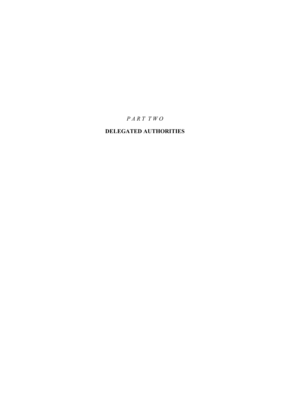## *P A R T T W O*

## **DELEGATED AUTHORITIES**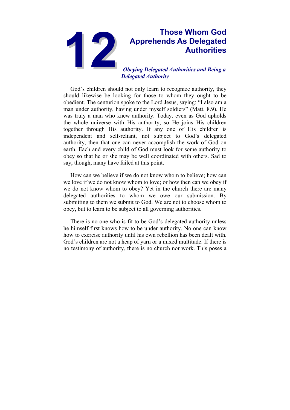

# **Apprehends As Delegated Authorities**

### *Obeying Delegated Authorities and Being a Delegated Authority*

God's children should not only learn to recognize authority, they should likewise be looking for those to whom they ought to be obedient. The centurion spoke to the Lord Jesus, saying: "I also am a man under authority, having under myself soldiers" (Matt. 8.9). He was truly a man who knew authority. Today, even as God upholds the whole universe with His authority, so He joins His children together through His authority. If any one of His children is independent and self-reliant, not subject to God's delegated authority, then that one can never accomplish the work of God on earth. Each and every child of God must look for some authority to obey so that he or she may be well coordinated with others. Sad to say, though, many have failed at this point.

How can we believe if we do not know whom to believe; how can we love if we do not know whom to love; or how then can we obey if we do not know whom to obey? Yet in the church there are many delegated authorities to whom we owe our submission. By submitting to them we submit to God. We are not to choose whom to obey, but to learn to be subject to all governing authorities.

There is no one who is fit to be God's delegated authority unless he himself first knows how to be under authority. No one can know how to exercise authority until his own rebellion has been dealt with. God's children are not a heap of yarn or a mixed multitude. If there is no testimony of authority, there is no church nor work. This poses a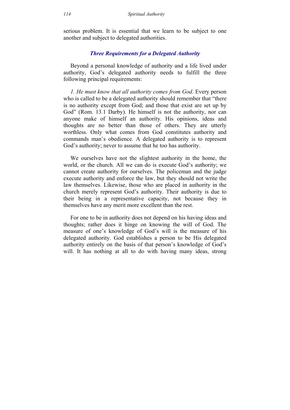serious problem. It is essential that we learn to be subject to one another and subject to delegated authorities.

#### *Three Requirements for a Delegated Authority*

Beyond a personal knowledge of authority and a life lived under authority, God's delegated authority needs to fulfill the three following principal requirements:

*1. He must know that all authority comes from God*. Every person who is called to be a delegated authority should remember that "there is no authority except from God; and those that exist are set up by God" (Rom. 13.1 Darby). He himself is not the authority, nor can anyone make of himself an authority. His opinions, ideas and thoughts are no better than those of others. They are utterly worthless. Only what comes from God constitutes authority and commands man's obedience. A delegated authority is to represent God's authority; never to assume that he too has authority.

We ourselves have not the slightest authority in the home, the world, or the church. All we can do is execute God's authority; we cannot create authority for ourselves. The policeman and the judge execute authority and enforce the law, but they should not write the law themselves. Likewise, those who are placed in authority in the church merely represent God's authority. Their authority is due to their being in a representative capacity, not because they in themselves have any merit more excellent than the rest.

For one to be in authority does not depend on his having ideas and thoughts; rather does it hinge on knowing the will of God. The measure of one's knowledge of God's will is the measure of his delegated authority. God establishes a person to be His delegated authority entirely on the basis of that person's knowledge of God's will. It has nothing at all to do with having many ideas, strong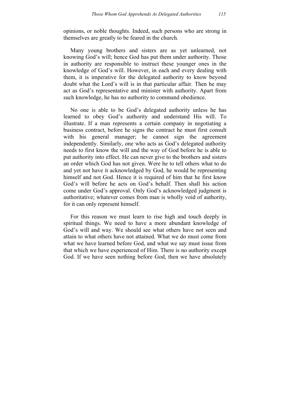opinions, or noble thoughts. Indeed, such persons who are strong in themselves are greatly to be feared in the church.

Many young brothers and sisters are as yet unlearned, not knowing God's will; hence God has put them under authority. Those in authority are responsible to instruct these younger ones in the knowledge of God's will. However, in each and every dealing with them, it is imperative for the delegated authority to know beyond doubt what the Lord's will is in that particular affair. Then he may act as God's representative and minister with authority. Apart from such knowledge, he has no authority to command obedience.

No one is able to be God's delegated authority unless he has learned to obey God's authority and understand His will. To illustrate. If a man represents a certain company in negotiating a business contract, before he signs the contract he must first consult with his general manager; he cannot sign the agreement independently. Similarly, one who acts as God's delegated authority needs to first know the will and the way of God before he is able to put authority into effect. He can never give to the brothers and sisters an order which God has not given. Were he to tell others what to do and yet not have it acknowledged by God, he would be representing himself and not God. Hence it is required of him that he first know God's will before he acts on God's behalf. Then shall his action come under God's approval. Only God's acknowledged judgment is authoritative; whatever comes from man is wholly void of authority, for it can only represent himself.

For this reason we must learn to rise high and touch deeply in spiritual things. We need to have a more abundant knowledge of God's will and way. We should see what others have not seen and attain to what others have not attained. What we do must come from what we have learned before God, and what we say must issue from that which we have experienced of Him. There is no authority except God. If we have seen nothing before God, then we have absolutely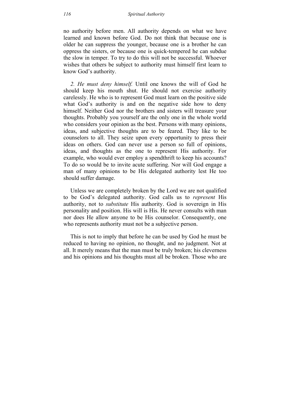no authority before men. All authority depends on what we have learned and known before God. Do not think that because one is older he can suppress the younger, because one is a brother he can oppress the sisters, or because one is quick-tempered he can subdue the slow in temper. To try to do this will not be successful. Whoever wishes that others be subject to authority must himself first learn to know God's authority.

*2. He must deny himself.* Until one knows the will of God he should keep his mouth shut. He should not exercise authority carelessly. He who is to represent God must learn on the positive side what God's authority is and on the negative side how to deny himself. Neither God nor the brothers and sisters will treasure your thoughts. Probably you yourself are the only one in the whole world who considers your opinion as the best. Persons with many opinions, ideas, and subjective thoughts are to be feared. They like to be counselors to all. They seize upon every opportunity to press their ideas on others. God can never use a person so full of opinions, ideas, and thoughts as the one to represent His authority. For example, who would ever employ a spendthrift to keep his accounts? To do so would be to invite acute suffering. Nor will God engage a man of many opinions to be His delegated authority lest He too should suffer damage.

Unless we are completely broken by the Lord we are not qualified to be God's delegated authority. God calls us to *represent* His authority, not to *substitute* His authority. God is sovereign in His personality and position. His will is His. He never consults with man nor does He allow anyone to be His counselor. Consequently, one who represents authority must not be a subjective person.

This is not to imply that before he can be used by God he must be reduced to having no opinion, no thought, and no judgment. Not at all. It merely means that the man must be truly broken; his cleverness and his opinions and his thoughts must all be broken. Those who are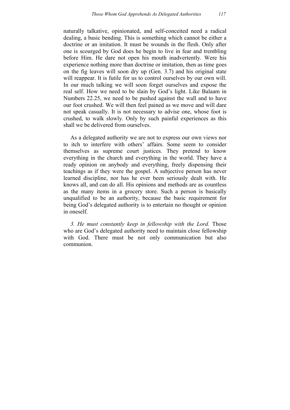naturally talkative, opinionated, and self-conceited need a radical dealing, a basic bending. This is something which cannot be either a doctrine or an imitation. It must be wounds in the flesh. Only after one is scourged by God does he begin to live in fear and trembling before Him. He dare not open his mouth inadvertently. Were his experience nothing more than doctrine or imitation, then as time goes on the fig leaves will soon dry up (Gen. 3.7) and his original state will reappear. It is futile for us to control ourselves by our own will. In our much talking we will soon forget ourselves and expose the real self. How we need to be slain by God's light. Like Balaam in Numbers 22.25, we need to be pushed against the wall and to have our foot crushed. We will then feel pained as we move and will dare not speak casually. It is not necessary to advise one, whose foot is crushed, to walk slowly. Only by such painful experiences as this shall we be delivered from ourselves.

As a delegated authority we are not to express our own views nor to itch to interfere with others' affairs. Some seem to consider themselves as supreme court justices. They pretend to know everything in the church and everything in the world. They have a ready opinion on anybody and everything, freely dispensing their teachings as if they were the gospel. A subjective person has never learned discipline, nor has he ever been seriously dealt with. He knows all, and can do all. His opinions and methods are as countless as the many items in a grocery store. Such a person is basically unqualified to be an authority, because the basic requirement for being God's delegated authority is to entertain no thought or opinion in oneself.

*3. He must constantly keep in fellowship with the Lord.* Those who are God's delegated authority need to maintain close fellowship with God. There must be not only communication but also communion.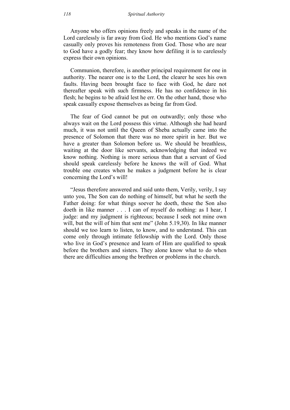Anyone who offers opinions freely and speaks in the name of the Lord carelessly is far away from God. He who mentions God's name casually only proves his remoteness from God. Those who are near to God have a godly fear; they know how defiling it is to carelessly express their own opinions.

Communion, therefore, is another principal requirement for one in authority. The nearer one is to the Lord, the clearer he sees his own faults. Having been brought face to face with God, he dare not thereafter speak with such firmness. He has no confidence in his flesh; he begins to be afraid lest he err. On the other hand, those who speak casually expose themselves as being far from God.

The fear of God cannot be put on outwardly; only those who always wait on the Lord possess this virtue. Although she had heard much, it was not until the Queen of Sheba actually came into the presence of Solomon that there was no more spirit in her. But we have a greater than Solomon before us. We should be breathless, waiting at the door like servants, acknowledging that indeed we know nothing. Nothing is more serious than that a servant of God should speak carelessly before he knows the will of God. What trouble one creates when he makes a judgment before he is clear concerning the Lord's will!

"Jesus therefore answered and said unto them, Verily, verily, I say unto you, The Son can do nothing of himself, but what he seeth the Father doing: for what things soever he doeth, these the Son also doeth in like manner . . . I can of myself do nothing: as I hear, I judge: and my judgment is righteous; because I seek not mine own will, but the will of him that sent me" (John 5.19,30). In like manner should we too learn to listen, to know, and to understand. This can come only through intimate fellowship with the Lord. Only those who live in God's presence and learn of Him are qualified to speak before the brothers and sisters. They alone know what to do when there are difficulties among the brethren or problems in the church.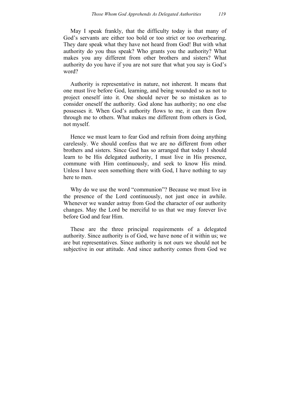May I speak frankly, that the difficulty today is that many of God's servants are either too bold or too strict or too overbearing. They dare speak what they have not heard from God! But with what authority do you thus speak? Who grants you the authority? What makes you any different from other brothers and sisters? What authority do you have if you are not sure that what you say is God's word?

Authority is representative in nature, not inherent. It means that one must live before God, learning, and being wounded so as not to project oneself into it. One should never be so mistaken as to consider oneself the authority. God alone has authority; no one else possesses it. When God's authority flows to me, it can then flow through me to others. What makes me different from others is God, not myself.

Hence we must learn to fear God and refrain from doing anything carelessly. We should confess that we are no different from other brothers and sisters. Since God has so arranged that today I should learn to be His delegated authority, I must live in His presence, commune with Him continuously, and seek to know His mind. Unless I have seen something there with God, I have nothing to say here to men.

Why do we use the word "communion"? Because we must live in the presence of the Lord continuously, not just once in awhile. Whenever we wander astray from God the character of our authority changes. May the Lord be merciful to us that we may forever live before God and fear Him.

These are the three principal requirements of a delegated authority. Since authority is of God, we have none of it within us; we are but representatives. Since authority is not ours we should not be subjective in our attitude. And since authority comes from God we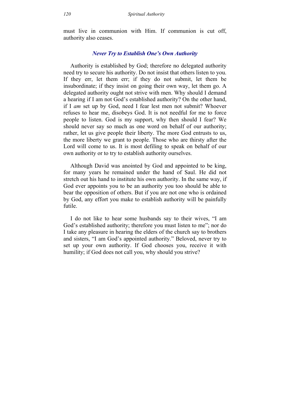must live in communion with Him. If communion is cut off, authority also ceases.

#### *Never Try to Establish One's Own Authority*

Authority is established by God; therefore no delegated authority need try to secure his authority. Do not insist that others listen to you. If they err, let them err; if they do not submit, let them be insubordinate; if they insist on going their own way, let them go. A delegated authority ought not strive with men. Why should I demand a hearing if I am not God's established authority? On the other hand, if I *am* set up by God, need I fear lest men not submit? Whoever refuses to hear me, disobeys God. It is not needful for me to force people to listen. God is my support, why then should I fear? We should never say so much as one word on behalf of our authority; rather, let us give people their liberty. The more God entrusts to us, the more liberty we grant to people. Those who are thirsty after the Lord will come to us. It is most defiling to speak on behalf of our own authority or to try to establish authority ourselves.

Although David was anointed by God and appointed to be king, for many years he remained under the hand of Saul. He did not stretch out his hand to institute his own authority. In the same way, if God ever appoints you to be an authority you too should be able to bear the opposition of others. But if you are not one who is ordained by God, any effort you make to establish authority will be painfully futile.

I do not like to hear some husbands say to their wives, "I am God's established authority; therefore you must listen to me"; nor do I take any pleasure in hearing the elders of the church say to brothers and sisters, "I am God's appointed authority." Beloved, never try to set up your own authority. If God chooses you, receive it with humility; if God does not call you, why should you strive?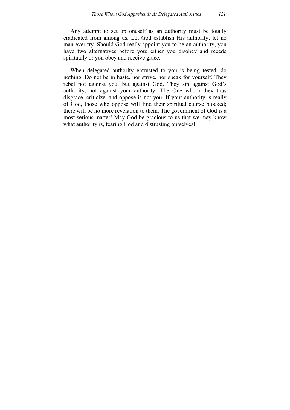Any attempt to set up oneself as an authority must be totally eradicated from among us. Let God establish His authority; let no man ever try. Should God really appoint you to be an authority, you have two alternatives before you: either you disobey and recede spiritually or you obey and receive grace.

When delegated authority entrusted to you is being tested, do nothing. Do not be in haste, nor strive, nor speak for yourself. They rebel not against you, but against God. They sin against God's authority, not against your authority. The One whom they thus disgrace, criticize, and oppose is not you. If your authority is really of God, those who oppose will find their spiritual course blocked; there will be no more revelation to them. The government of God is a most serious matter! May God be gracious to us that we may know what authority is, fearing God and distrusting ourselves!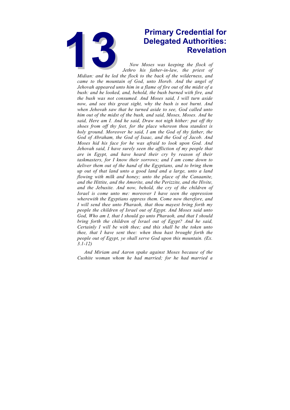# **13Primary Credential for<br>
13Primary Credential for<br>
13Primary Credential for<br>
13Primary Credential for<br>
13Primary Credential for<br>
13Primary Credential for Revelation<br>
13Primary Credential for Revelation<br>
13Primary Credent Delegated Authorities: Revelation**

*Now Moses was keeping the flock of Jethro his father-in-law, the priest of Midian: and he led the flock to the back of the wilderness, and came to the mountain of God, unto Horeb. And the angel of Jehovah appeared unto him in a flame of fire out of the midst of a bush: and he looked, and, behold, the bush burned with fire, and the bush was not consumed. And Moses said, I will turn aside now, and see this great sight, why the bush is not burnt. And when Jehovah saw that he turned aside to see, God called unto him out of the midst of the bush, and said, Moses, Moses. And he said, Here am I. And he said, Draw not nigh hither: put off thy shoes from off thy feet, for the place whereon thou standest is holy ground. Moreover he said, I am the God of thy father, the God of Abraham, the God of Isaac, and the God of Jacob. And Moses hid his face for he was afraid to look upon God. And Jehovah said, I have surely seen the affliction of my people that are in Egypt, and have heard their cry by reason of their taskmasters, for I know their sorrows; and I am come down to deliver them out of the hand of the Egyptians, and to bring them up out of that land unto a good land and a large, unto a land flowing with milk and honey; unto the place of the Canaanite, and the Hittite, and the Amorite, and the Perizzite, and the Hivite, and the Jebusite. And now, behold, the cry of the children of Israel is come unto me: moreover I have seen the oppression wherewith the Egyptians oppress them. Come now therefore, and I will send thee unto Pharaoh, that thou mayest bring forth my people the children of Israel out of Egypt. And Moses said unto God, Who am I, that I should go unto Pharaoh, and that I should bring forth the children of Israel out of Egypt? And he said, Certainly I will be with thee; and this shall be the token unto thee, that I have sent thee: when thou hast brought forth the people out of Egypt, ye shall serve God upon this mountain. (Ex. 3.1-12)*

*And Miriam and Aaron spake against Moses because of the Cushite woman whom he had married; for he had married a*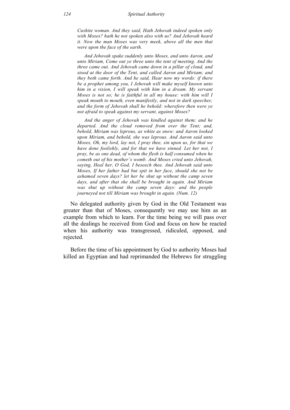*Cushite woman. And they said, Hath Jehovah indeed spoken only with Moses? hath he not spoken also with us? And Jehovah heard it. Now the man Moses was very meek, above all the men that were upon the face of the earth.* 

*And Jehovah spake suddenly unto Moses, and unto Aaron, and unto Miriam, Come out ye three unto the tent of meeting. And the three came out. And Jehovah came down in a pillar of cloud, and stood at the door of the Tent, and called Aaron and Miriam; and they both came forth. And he said, Hear now my words: if there be a prophet among you, I Jehovah will make myself known unto him in a vision, I will speak with him in a dream. My servant Moses is not so; he is faithful in all my house: with him will I speak mouth to mouth, even manifestly, and not in dark speeches; and the form of Jehovah shall he behold: wherefore then were ye not afraid to speak against my servant, against Moses?* 

*And the anger of Jehovah was kindled against them; and he departed. And the cloud removed from over the Tent; and, behold, Miriam was leprous, as white as snow: and Aaron looked upon Miriam, and behold, she was leprous. And Aaron said unto Moses, Oh, my lord, lay not, I pray thee, sin upon us, for that we have done foolishly, and for that we have sinned. Let her not, I pray, be as one dead, of whom the flesh is half consumed when he cometh out of his mother's womb. And Moses cried unto Jehovah, saying, Heal her, O God, I beseech thee. And Jehovah said unto Moses, If her father had but spit in her face, should she not be ashamed seven days? let her be shut up without the camp seven days, and after that she shall be brought in again. And Miriam was shut up without the camp seven days: and the people journeyed not till Miriam was brought in again. (Num. 12)* 

No delegated authority given by God in the Old Testament was greater than that of Moses, consequently we may use him as an example from which to learn. For the time being we will pass over all the dealings he received from God and focus on how he reacted when his authority was transgressed, ridiculed, opposed, and rejected.

Before the time of his appointment by God to authority Moses had killed an Egyptian and had reprimanded the Hebrews for struggling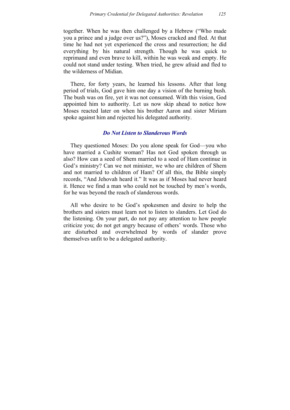together. When he was then challenged by a Hebrew ("Who made you a prince and a judge over us?"), Moses cracked and fled. At that time he had not yet experienced the cross and resurrection; he did everything by his natural strength. Though he was quick to reprimand and even brave to kill, within he was weak and empty. He could not stand under testing. When tried, he grew afraid and fled to the wilderness of Midian.

There, for forty years, he learned his lessons. After that long period of trials, God gave him one day a vision of the burning bush. The bush was on fire, yet it was not consumed. With this vision, God appointed him to authority. Let us now skip ahead to notice how Moses reacted later on when his brother Aaron and sister Miriam spoke against him and rejected his delegated authority.

#### *Do Not Listen to Slanderous Words*

They questioned Moses: Do you alone speak for God—you who have married a Cushite woman? Has not God spoken through us also? How can a seed of Shem married to a seed of Ham continue in God's ministry? Can we not minister, we who are children of Shem and not married to children of Ham? Of all this, the Bible simply records, "And Jehovah heard it." It was as if Moses had never heard it. Hence we find a man who could not be touched by men's words, for he was beyond the reach of slanderous words.

All who desire to be God's spokesmen and desire to help the brothers and sisters must learn not to listen to slanders. Let God do the listening. On your part, do not pay any attention to how people criticize you; do not get angry because of others' words. Those who are disturbed and overwhelmed by words of slander prove themselves unfit to be a delegated authority.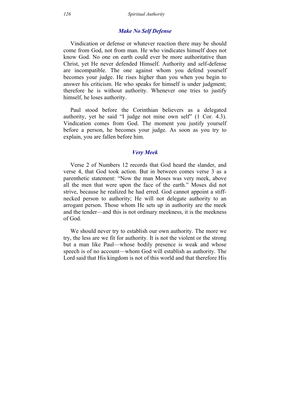#### *Make No Self Defense*

Vindication or defense or whatever reaction there may be should come from God, not from man. He who vindicates himself does not know God. No one on earth could ever be more authoritative than Christ, yet He never defended Himself. Authority and self-defense are incompatible. The one against whom you defend yourself becomes your judge. He rises higher than you when you begin to answer his criticism. He who speaks for himself is under judgment; therefore he is without authority. Whenever one tries to justify himself, he loses authority.

Paul stood before the Corinthian believers as a delegated authority, yet he said "I judge not mine own self" (1 Cor. 4.3). Vindication comes from God. The moment you justify yourself before a person, he becomes your judge. As soon as you try to explain, you are fallen before him.

#### *Very Meek*

Verse 2 of Numbers 12 records that God heard the slander, and verse 4, that God took action. But in between comes verse 3 as a parenthetic statement: "Now the man Moses was very meek, above all the men that were upon the face of the earth." Moses did not strive, because he realized he had erred. God cannot appoint a stiffnecked person to authority; He will not delegate authority to an arrogant person. Those whom He sets up in authority are the meek and the tender—and this is not ordinary meekness, it is the meekness of God.

We should never try to establish our own authority. The more we try, the less are we fit for authority. It is not the violent or the strong but a man like Paul—whose bodily presence is weak and whose speech is of no account—whom God will establish as authority. The Lord said that His kingdom is not of this world and that therefore His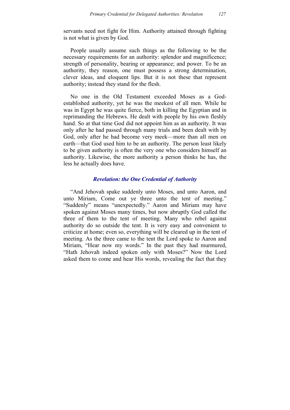servants need not fight for Him. Authority attained through fighting is not what is given by God.

People usually assume such things as the following to be the necessary requirements for an authority: splendor and magnificence; strength of personality, bearing or appearance; and power. To be an authority, they reason, one must possess a strong determination, clever ideas, and eloquent lips. But it is not these that represent authority; instead they stand for the flesh.

No one in the Old Testament exceeded Moses as a Godestablished authority, yet he was the meekest of all men. While he was in Egypt he was quite fierce, both in killing the Egyptian and in reprimanding the Hebrews. He dealt with people by his own fleshly hand. So at that time God did not appoint him as an authority. It was only after he had passed through many trials and been dealt with by God, only after he had become very meek—more than all men on earth—that God used him to be an authority. The person least likely to be given authority is often the very one who considers himself an authority. Likewise, the more authority a person thinks he has, the less he actually does have.

#### *Revelation: the One Credential of Authority*

"And Jehovah spake suddenly unto Moses, and unto Aaron, and unto Miriam, Come out ye three unto the tent of meeting." "Suddenly" means "unexpectedly." Aaron and Miriam may have spoken against Moses many times, but now abruptly God called the three of them to the tent of meeting. Many who rebel against authority do so outside the tent. It is very easy and convenient to criticize at home; even so, everything will be cleared up in the tent of meeting. As the three came to the tent the Lord spoke to Aaron and Miriam, "Hear now my words." In the past they had murmured, "Hath Jehovah indeed spoken only with Moses?" Now the Lord asked them to come and hear His words, revealing the fact that they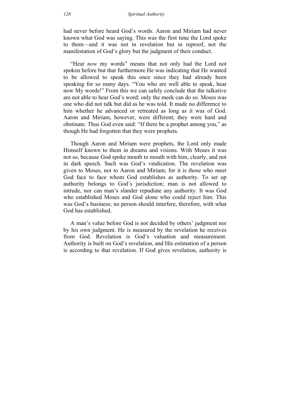had never before heard God's words. Aaron and Miriam had never known what God was saying. This was the first time the Lord spoke to them—and it was not in revelation but in reproof, not the manifestation of God's glory but the judgment of their conduct.

"Hear *now* my words" means that not only had the Lord not spoken before but that furthermore He was indicating that He wanted to be allowed to speak this once since they had already been speaking for so many days. "You who are well able to speak, hear now My words!" From this we can safely conclude that the talkative are not able to hear God's word; only the meek can do so. Moses was one who did not talk but did as he was told. It made no difference to him whether he advanced or retreated as long as it was of God. Aaron and Miriam, however, were different; they were hard and obstinate. Thus God even said: "If there be a prophet among you," as though He had forgotten that they were prophets.

Though Aaron and Miriam were prophets, the Lord only made Himself known to them in dreams and visions. With Moses it was not so, because God spoke mouth to mouth with him, clearly, and not in dark speech. Such was God's vindication. The revelation was given to Moses, not to Aaron and Miriam; for it is those who meet God face to face whom God establishes as authority. To set up authority belongs to God's jurisdiction; man is not allowed to intrude, nor can man's slander repudiate any authority. It was God who established Moses and God alone who could reject him. This was God's business; no person should interfere, therefore, with what God has established.

A man's value before God is not decided by others' judgment nor by his own judgment. He is measured by the revelation he receives from God. Revelation is God's valuation and measurement. Authority is built on God's revelation, and His estimation of a person is according to that revelation. If God gives revelation, authority is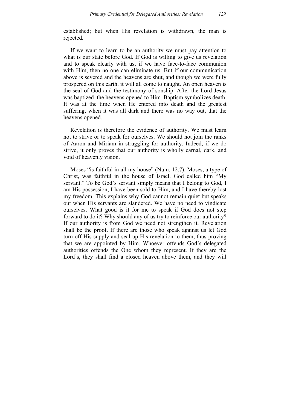established; but when His revelation is withdrawn, the man is rejected.

If we want to learn to be an authority we must pay attention to what is our state before God. If God is willing to give us revelation and to speak clearly with us, if we have face-to-face communion with Him, then no one can eliminate us. But if our communication above is severed and the heavens are shut, and though we were fully prospered on this earth, it will all come to naught. An open heaven is the seal of God and the testimony of sonship. After the Lord Jesus was baptized, the heavens opened to Him. Baptism symbolizes death. It was at the time when He entered into death and the greatest suffering, when it was all dark and there was no way out, that the heavens opened.

Revelation is therefore the evidence of authority. We must learn not to strive or to speak for ourselves. We should not join the ranks of Aaron and Miriam in struggling for authority. Indeed, if we do strive, it only proves that our authority is wholly carnal, dark, and void of heavenly vision.

Moses "is faithful in all my house" (Num. 12.7). Moses, a type of Christ, was faithful in the house of Israel. God called him "My servant." To be God's servant simply means that I belong to God, I am His possession, I have been sold to Him, and I have thereby lost my freedom. This explains why God cannot remain quiet but speaks out when His servants are slandered. We have no need to vindicate ourselves. What good is it for me to speak if God does not step forward to do it? Why should any of us try to reinforce our authority? If our authority is from God we need not strengthen it. Revelation shall be the proof. If there are those who speak against us let God turn off His supply and seal up His revelation to them, thus proving that we are appointed by Him. Whoever offends God's delegated authorities offends the One whom they represent. If they are the Lord's, they shall find a closed heaven above them, and they will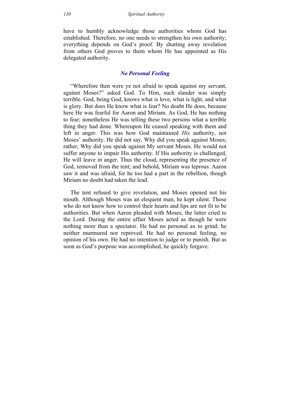have to humbly acknowledge those authorities whom God has established. Therefore, no one needs to strengthen his own authority; everything depends on God's proof. By shutting away revelation from others God proves to them whom He has appointed as His delegated authority.

#### *No Personal Feeling*

"Wherefore then were ye not afraid to speak against my servant, against Moses?" asked God. To Him, such slander was simply terrible. God, being God, knows what is love, what is light, and what is glory. But does He know what is fear? No doubt He does, because here He was fearful for Aaron and Miriam. As God, He has nothing to fear; nonetheless He was telling these two persons what a terrible thing they had done. Whereupon He ceased speaking with them and left in anger. This was how God maintained *His* authority, not Moses' authority. He did not say, Why did you speak against Moses; rather, Why did you speak against My servant Moses. He would not suffer anyone to impair His authority. If His authority is challenged, He will leave in anger. Thus the cloud, representing the presence of God, removed from the tent; and behold, Miriam was leprous. Aaron saw it and was afraid, for he too had a part in the rebellion, though Miriam no doubt had taken the lead.

The tent refused to give revelation, and Moses opened not his mouth. Although Moses was an eloquent man, he kept silent. Those who do not know how to control their hearts and lips are not fit to be authorities. But when Aaron pleaded with Moses, the latter cried to the Lord. During the entire affair Moses acted as though he were nothing more than a spectator. He had no personal ax to grind; he neither murmured nor reproved. He had no personal feeling, no opinion of his own. He had no intention to judge or to punish. But as soon as God's purpose was accomplished, he quickly forgave.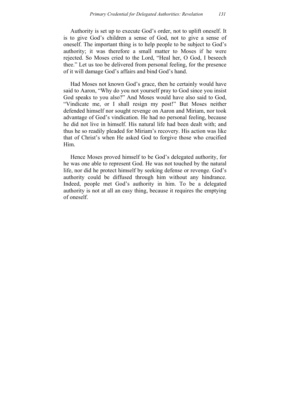Authority is set up to execute God's order, not to uplift oneself. It is to give God's children a sense of God, not to give a sense of oneself. The important thing is to help people to be subject to God's authority; it was therefore a small matter to Moses if he were rejected. So Moses cried to the Lord, "Heal her, O God, I beseech thee." Let us too be delivered from personal feeling, for the presence of it will damage God's affairs and bind God's hand.

Had Moses not known God's grace, then he certainly would have said to Aaron, "Why do you not yourself pray to God since you insist God speaks to you also?" And Moses would have also said to God, "Vindicate me, or I shall resign my post!" But Moses neither defended himself nor sought revenge on Aaron and Miriam, nor took advantage of God's vindication. He had no personal feeling, because he did not live in himself. His natural life had been dealt with; and thus he so readily pleaded for Miriam's recovery. His action was like that of Christ's when He asked God to forgive those who crucified Him.

Hence Moses proved himself to be God's delegated authority, for he was one able to represent God. He was not touched by the natural life, nor did he protect himself by seeking defense or revenge. God's authority could be diffused through him without any hindrance. Indeed, people met God's authority in him. To be a delegated authority is not at all an easy thing, because it requires the emptying of oneself.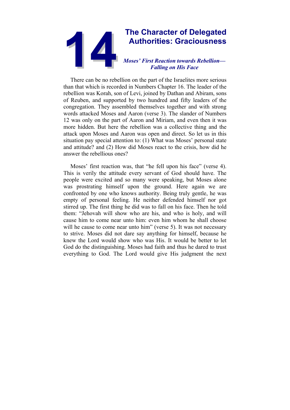## **14The Character of Delegated Authorities: Graciousness**<br>Moses' First Reaction towards Rebellion—<br>Falling on His Face **Authorities: Graciousness**  *Moses' First Reaction towards Rebellion— Falling on His Face*

There can be no rebellion on the part of the Israelites more serious than that which is recorded in Numbers Chapter 16. The leader of the rebellion was Korah, son of Levi, joined by Dathan and Abiram, sons of Reuben, and supported by two hundred and fifty leaders of the congregation. They assembled themselves together and with strong words attacked Moses and Aaron (verse 3). The slander of Numbers 12 was only on the part of Aaron and Miriam, and even then it was more hidden. But here the rebellion was a collective thing and the attack upon Moses and Aaron was open and direct. So let us in this situation pay special attention to: (1) What was Moses' personal state and attitude? and (2) How did Moses react to the crisis, how did he answer the rebellious ones?

Moses' first reaction was, that "he fell upon his face" (verse 4). This is verily the attitude every servant of God should have. The people were excited and so many were speaking, but Moses alone was prostrating himself upon the ground. Here again we are confronted by one who knows authority. Being truly gentle, he was empty of personal feeling. He neither defended himself nor got stirred up. The first thing he did was to fall on his face. Then he told them: "Jehovah will show who are his, and who is holy, and will cause him to come near unto him: even him whom he shall choose will he cause to come near unto him" (verse 5). It was not necessary to strive. Moses did not dare say anything for himself, because he knew the Lord would show who was His. It would be better to let God do the distinguishing. Moses had faith and thus he dared to trust everything to God. The Lord would give His judgment the next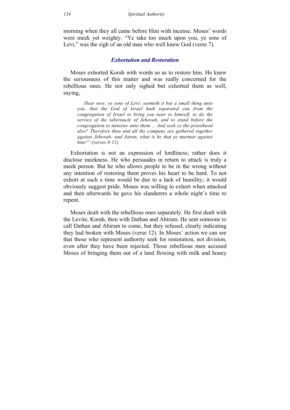morning when they all came before Him with incense. Moses' words were meek yet weighty. "Ye take too much upon you, ye sons of Levi," was the sigh of an old man who well knew God (verse 7).

#### *Exhortation and Restoration*

Moses exhorted Korah with words so as to restore him. He knew the seriousness of this matter and was really concerned for the rebellious ones. He not only sighed but exhorted them as well, saying,

*Hear now, ye sons of Levi: seemeth it but a small thing unto you, that the God of Israel hath separated you from the congregation of Israel to bring you near to himself, to do the service of the tabernacle of Jehovah, and to stand before the congregation to minister unto them ... And seek ye the priesthood also? Therefore thou and all thy company are gathered together against Jehovah: and Aaron, what is he that ye murmur against him?" (verses 8-11)* 

Exhortation is not an expression of lordliness; rather does it disclose meekness. He who persuades in return to attack is truly a meek person. But he who allows people to be in the wrong without any intention of restoring them proves his heart to be hard. To not exhort at such a time would be due to a lack of humility; it would obviously suggest pride. Moses was willing to exhort when attacked and then afterwards he gave his slanderers a whole night's time to repent.

Moses dealt with the rebellious ones separately. He first dealt with the Levite, Korah, then with Dathan and Abiram. He sent someone to call Dathan and Abiram to come, but they refused, clearly indicating they had broken with Moses (verse 12). In Moses' action we can see that those who represent authority seek for restoration, not division, even after they have been rejected. Those rebellious men accused Moses of bringing them out of a land flowing with milk and honey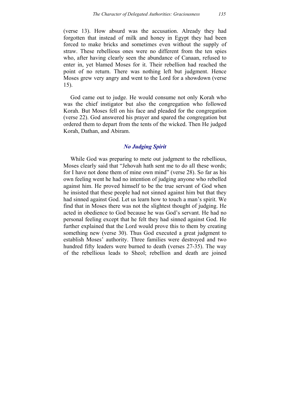(verse 13). How absurd was the accusation. Already they had forgotten that instead of milk and honey in Egypt they had been forced to make bricks and sometimes even without the supply of straw. These rebellious ones were no different from the ten spies who, after having clearly seen the abundance of Canaan, refused to enter in, yet blamed Moses for it. Their rebellion had reached the point of no return. There was nothing left but judgment. Hence Moses grew very angry and went to the Lord for a showdown (verse 15).

God came out to judge. He would consume not only Korah who was the chief instigator but also the congregation who followed Korah. But Moses fell on his face and pleaded for the congregation (verse 22). God answered his prayer and spared the congregation but ordered them to depart from the tents of the wicked. Then He judged Korah, Dathan, and Abiram.

#### *No Judging Spirit*

While God was preparing to mete out judgment to the rebellious, Moses clearly said that "Jehovah hath sent me to do all these words; for I have not done them of mine own mind" (verse 28). So far as his own feeling went he had no intention of judging anyone who rebelled against him. He proved himself to be the true servant of God when he insisted that these people had not sinned against him but that they had sinned against God. Let us learn how to touch a man's spirit. We find that in Moses there was not the slightest thought of judging. He acted in obedience to God because he was God's servant. He had no personal feeling except that he felt they had sinned against God. He further explained that the Lord would prove this to them by creating something new (verse 30). Thus God executed a great judgment to establish Moses' authority. Three families were destroyed and two hundred fifty leaders were burned to death (verses 27-35). The way of the rebellious leads to Sheol; rebellion and death are joined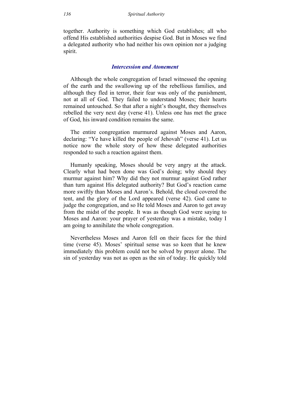together. Authority is something which God establishes; all who offend His established authorities despise God. But in Moses we find a delegated authority who had neither his own opinion nor a judging spirit.

#### *Intercession and Atonement*

Although the whole congregation of Israel witnessed the opening of the earth and the swallowing up of the rebellious families, and although they fled in terror, their fear was only of the punishment, not at all of God. They failed to understand Moses; their hearts remained untouched. So that after a night's thought, they themselves rebelled the very next day (verse 41). Unless one has met the grace of God, his inward condition remains the same.

The entire congregation murmured against Moses and Aaron, declaring: "Ye have killed the people of Jehovah" (verse 41). Let us notice now the whole story of how these delegated authorities responded to such a reaction against them.

Humanly speaking, Moses should be very angry at the attack. Clearly what had been done was God's doing; why should they murmur against him? Why did they not murmur against God rather than turn against His delegated authority? But God's reaction came more swiftly than Moses and Aaron's. Behold, the cloud covered the tent, and the glory of the Lord appeared (verse 42). God came to judge the congregation, and so He told Moses and Aaron to get away from the midst of the people. It was as though God were saying to Moses and Aaron: your prayer of yesterday was a mistake, today I am going to annihilate the whole congregation.

Nevertheless Moses and Aaron fell on their faces for the third time (verse 45). Moses' spiritual sense was so keen that he knew immediately this problem could not be solved by prayer alone. The sin of yesterday was not as open as the sin of today. He quickly told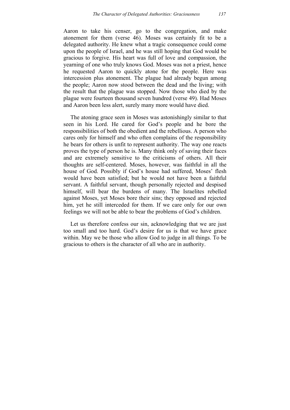Aaron to take his censer, go to the congregation, and make atonement for them (verse 46). Moses was certainly fit to be a delegated authority. He knew what a tragic consequence could come upon the people of Israel, and he was still hoping that God would be gracious to forgive. His heart was full of love and compassion, the yearning of one who truly knows God. Moses was not a priest, hence he requested Aaron to quickly atone for the people. Here was intercession plus atonement. The plague had already begun among the people; Aaron now stood between the dead and the living; with the result that the plague was stopped. Now those who died by the plague were fourteen thousand seven hundred (verse 49). Had Moses and Aaron been less alert, surely many more would have died.

The atoning grace seen in Moses was astonishingly similar to that seen in his Lord. He cared for God's people and he bore the responsibilities of both the obedient and the rebellious. A person who cares only for himself and who often complains of the responsibility he bears for others is unfit to represent authority. The way one reacts proves the type of person he is. Many think only of saving their faces and are extremely sensitive to the criticisms of others. All their thoughts are self-centered. Moses, however, was faithful in all the house of God. Possibly if God's house had suffered, Moses' flesh would have been satisfied; but he would not have been a faithful servant. A faithful servant, though personally rejected and despised himself, will bear the burdens of many. The Israelites rebelled against Moses, yet Moses bore their sins; they opposed and rejected him, yet he still interceded for them. If we care only for our own feelings we will not be able to bear the problems of God's children.

Let us therefore confess our sin, acknowledging that we are just too small and too hard. God's desire for us is that we have grace within. May we be those who allow God to judge in all things. To be gracious to others is the character of all who are in authority.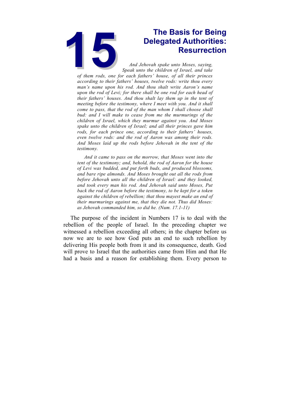

# **15The Basis for Being<br>
Delegated Authorities:**<br> **15The Basis for Being Resurrection**<br> *15The Speak unto the children of Israel, and take*<br>
of them rods one for each fathers' house of all their princes **Delegated Authorities: Resurrection**

*And Jehovah spake unto Moses, saying, Speak unto the children of Israel, and take of them rods, one for each fathers' house, of all their princes according to their fathers' houses, twelve rods: write thou every man's name upon his rod. And thou shalt write Aaron's name upon the rod of Levi; for there shall be one rod for each head of their fathers' houses. And thou shalt lay them up in the tent of meeting before the testimony, where I meet with you. And it shall come to pass, that the rod of the man whom I shall choose shall bud: and I will make to cease from me the murmurings of the children of Israel, which they murmur against you. And Moses spake unto the children of Israel; and all their princes gave him rods, for each prince one, according to their fathers' houses, even twelve rods: and the rod of Aaron was among their rods. And Moses laid up the rods before Jehovah in the tent of the testimony.* 

*And it came to pass on the morrow, that Moses went into the tent of the testimony; and, behold, the rod of Aaron for the house of Levi was budded, and put forth buds, and produced blossoms, and bare ripe almonds. And Moses brought out all the rods from before Jehovah unto all the children of Israel: and they looked, and took every man his rod. And Jehovah said unto Moses, Put back the rod of Aaron before the testimony, to be kept for a token against the children of rebellion; that thou mayest make an end of their murmurings against me, that they die not. Thus did Moses: as Jehovah commanded him, so did he. (Num. 17.1-11)*

The purpose of the incident in Numbers 17 is to deal with the rebellion of the people of Israel. In the preceding chapter we witnessed a rebellion exceeding all others; in the chapter before us now we are to see how God puts an end to such rebellion by delivering His people both from it and its consequence, death. God will prove to Israel that the authorities came from Him and that He had a basis and a reason for establishing them. Every person to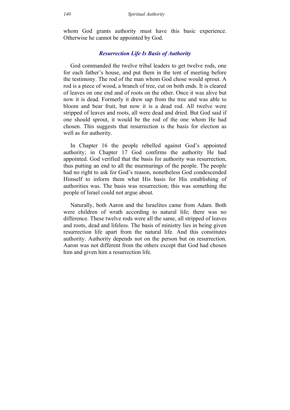whom God grants authority must have this basic experience. Otherwise he cannot be appointed by God.

#### *Resurrection Life Is Basis of Authority*

God commanded the twelve tribal leaders to get twelve rods, one for each father's house, and put them in the tent of meeting before the testimony. The rod of the man whom God chose would sprout. A rod is a piece of wood, a branch of tree, cut on both ends. It is cleared of leaves on one end and of roots on the other. Once it was alive but now it is dead. Formerly it drew sap from the tree and was able to bloom and bear fruit, but now it is a dead rod. All twelve were stripped of leaves and roots, all were dead and dried. But God said if one should sprout, it would be the rod of the one whom He had chosen. This suggests that resurrection is the basis for election as well as for authority.

In Chapter 16 the people rebelled against God's appointed authority; in Chapter 17 God confirms the authority He had appointed. God verified that the basis for authority was resurrection, thus putting an end to all the murmurings of the people. The people had no right to ask for God's reason, nonetheless God condescended Himself to inform them what His basis for His establishing of authorities was. The basis was resurrection; this was something the people of Israel could not argue about.

Naturally, both Aaron and the Israelites came from Adam. Both were children of wrath according to natural life; there was no difference. These twelve rods were all the same, all stripped of leaves and roots, dead and lifeless. The basis of ministry lies in being given resurrection life apart from the natural life. And this constitutes authority. Authority depends not on the person but on resurrection. Aaron was not different from the others except that God had chosen him and given him a resurrection life.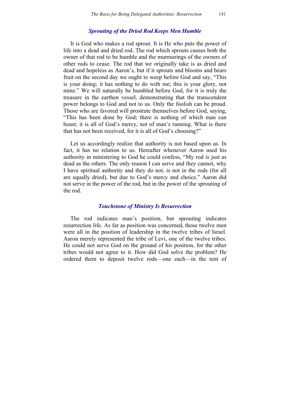#### *Sprouting of the Dried Rod Keeps Men Humble*

It is God who makes a rod sprout. It is He who puts the power of life into a dead and dried rod. The rod which sprouts causes both the owner of that rod to be humble and the murmurings of the owners of other rods to cease. The rod that we originally take is as dried and dead and hopeless as Aaron's, but if it sprouts and blooms and bears fruit on the second day we ought to weep before God and say, "This is your doing; it has nothing to do with me; this is your glory, not mine." We will naturally be humbled before God, for it is truly the treasure in the earthen vessel, demonstrating that the transcendent power belongs to God and not to us. Only the foolish can be proud. Those who are favored will prostrate themselves before God, saying, "This has been done by God; there is nothing of which man can boast; it is all of God's mercy, not of man's running. What is there that has not been received, for it is all of God's choosing?"

Let us accordingly realize that authority is not based upon us. In fact, it has no relation to us. Hereafter whenever Aaron used his authority in ministering to God he could confess, "My rod is just as dead as the others. The only reason I can serve and they cannot, why I have spiritual authority and they do not, is not in the rods (for all are equally dried), but due to God's mercy and choice." Aaron did not serve in the power of the rod, but in the power of the sprouting of the rod.

#### *Touchstone of Ministry Is Resurrection*

The rod indicates man's position, but sprouting indicates resurrection life. As far as position was concerned, those twelve men were all in the position of leadership in the twelve tribes of Israel. Aaron merely represented the tribe of Levi, one of the twelve tribes. He could not serve God on the ground of his position, for the other tribes would not agree to it. How did God solve the problem? He ordered them to deposit twelve rods—one each—in the tent of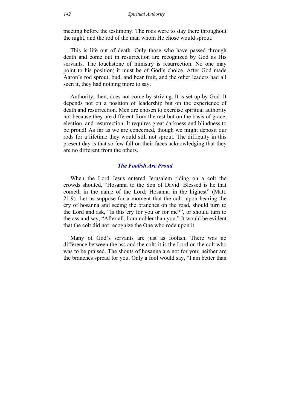meeting before the testimony. The rods were to stay there throughout the night, and the rod of the man whom He chose would sprout.

This is life out of death. Only those who have passed through death and come out in resurrection are recognized by God as His servants. The touchstone of ministry is resurrection. No one may point to his position; it must be of God's choice. After God made Aaron's rod sprout, bud, and bear fruit, and the other leaders had all seen it, they had nothing more to say.

Authority, then, does not come by striving. It is set up by God. It depends not on a position of leadership but on the experience of death and resurrection. Men are chosen to exercise spiritual authority not because they are different from the rest but on the basis of grace, election, and resurrection. It requires great darkness and blindness to be proud! As far as we are concerned, though we might deposit our rods for a lifetime they would still not sprout. The difficulty in this present day is that so few fall on their faces acknowledging that they are no different from the others.

#### *The Foolish Are Proud*

When the Lord Jesus entered Jerusalem riding on a colt the crowds shouted, "Hosanna to the Son of David: Blessed is he that cometh in the name of the Lord; Hosanna in the highest" (Matt. 21.9). Let us suppose for a moment that the colt, upon hearing the cry of hosanna and seeing the branches on the road, should turn to the Lord and ask, "Is this cry for you or for me?", or should turn to the ass and say, "After all, I am nobler than you." It would be evident that the colt did not recognize the One who rode upon it.

Many of God's servants are just as foolish. There was no difference between the ass and the colt; it is the Lord on the colt who was to be praised. The shouts of hosanna are not for you; neither are the branches spread for you. Only a fool would say, "I am better than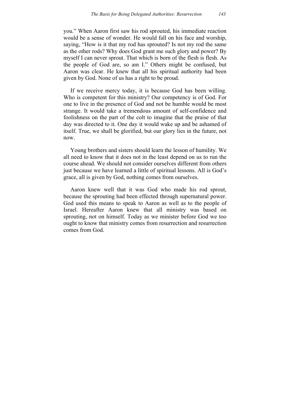you." When Aaron first saw his rod sprouted, his immediate reaction would be a sense of wonder. He would fall on his face and worship, saying, "How is it that my rod has sprouted? Is not my rod the same as the other rods? Why does God grant me such glory and power? By myself I can never sprout. That which is born of the flesh is flesh. As the people of God are, so am I." Others might be confused, but Aaron was clear. He knew that all his spiritual authority had been given by God. None of us has a right to be proud.

If we receive mercy today, it is because God has been willing. Who is competent for this ministry? Our competency is of God. For one to live in the presence of God and not be humble would be most strange. It would take a tremendous amount of self-confidence and foolishness on the part of the colt to imagine that the praise of that day was directed to it. One day it would wake up and be ashamed of itself. True, we shall be glorified, but our glory lies in the future, not now.

Young brothers and sisters should learn the lesson of humility. We all need to know that it does not in the least depend on us to run the course ahead. We should not consider ourselves different from others just because we have learned a little of spiritual lessons. All is God's grace, all is given by God, nothing comes from ourselves.

Aaron knew well that it was God who made his rod sprout, because the sprouting had been effected through supernatural power. God used this means to speak to Aaron as well as to the people of Israel. Hereafter Aaron knew that all ministry was based on sprouting, not on himself. Today as we minister before God we too ought to know that ministry comes from resurrection and resurrection comes from God.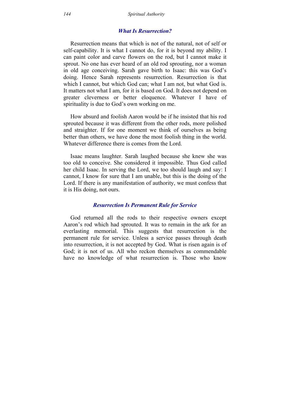#### *What Is Resurrection?*

Resurrection means that which is not of the natural, not of self or self-capability. It is what I cannot do, for it is beyond my ability. I can paint color and carve flowers on the rod, but I cannot make it sprout. No one has ever heard of an old rod sprouting, nor a woman in old age conceiving. Sarah gave birth to Isaac: this was God's doing. Hence Sarah represents resurrection. Resurrection is that which I cannot, but which God can; what I am not, but what God is. It matters not what I am, for it is based on God. It does not depend on greater cleverness or better eloquence. Whatever I have of spirituality is due to God's own working on me.

How absurd and foolish Aaron would be if he insisted that his rod sprouted because it was different from the other rods, more polished and straighter. If for one moment we think of ourselves as being better than others, we have done the most foolish thing in the world. Whatever difference there is comes from the Lord.

Isaac means laughter. Sarah laughed because she knew she was too old to conceive. She considered it impossible. Thus God called her child Isaac. In serving the Lord, we too should laugh and say: I cannot, I know for sure that I am unable, but this is the doing of the Lord. If there is any manifestation of authority, we must confess that it is His doing, not ours.

#### *Resurrection Is Permanent Rule for Service*

God returned all the rods to their respective owners except Aaron's rod which had sprouted. It was to remain in the ark for an everlasting memorial. This suggests that resurrection is the permanent rule for service. Unless a service passes through death into resurrection, it is not accepted by God. What is risen again is of God; it is not of us. All who reckon themselves as commendable have no knowledge of what resurrection is. Those who know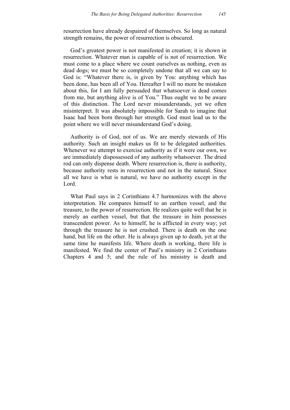resurrection have already despaired of themselves. So long as natural strength remains, the power of resurrection is obscured.

God's greatest power is not manifested in creation; it is shown in resurrection. Whatever man is capable of is not of resurrection. We must come to a place where we count ourselves as nothing, even as dead dogs; we must be so completely undone that all we can say to God is: "Whatever there is, is given by You: anything which has been done, has been all of You. Hereafter I will no more be mistaken about this, for I am fully persuaded that whatsoever is dead comes from me, but anything alive is of You." Thus ought we to be aware of this distinction. The Lord never misunderstands, yet we often misinterpret. It was absolutely impossible for Sarah to imagine that Isaac had been born through her strength. God must lead us to the point where we will never misunderstand God's doing.

Authority is of God, not of us. We are merely stewards of His authority. Such an insight makes us fit to be delegated authorities. Whenever we attempt to exercise authority as if it were our own, we are immediately dispossessed of any authority whatsoever. The dried rod can only dispense death. Where resurrection is, there is authority, because authority rests in resurrection and not in the natural. Since all we have is what is natural, we have no authority except in the Lord.

What Paul says in 2 Corinthians 4.7 harmonizes with the above interpretation. He compares himself to an earthen vessel, and the treasure, to the power of resurrection. He realizes quite well that he is merely an earthen vessel, but that the treasure in him possesses transcendent power. As to himself, he is afflicted in every way; yet through the treasure he is not crushed. There is death on the one hand, but life on the other. He is always given up to death, yet at the same time he manifests life. Where death is working, there life is manifested. We find the center of Paul's ministry in 2 Corinthians Chapters 4 and 5; and the rule of his ministry is death and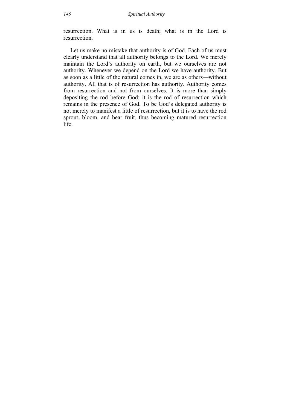resurrection. What is in us is death; what is in the Lord is resurrection.

Let us make no mistake that authority is of God. Each of us must clearly understand that all authority belongs to the Lord. We merely maintain the Lord's authority on earth, but we ourselves are not authority. Whenever we depend on the Lord we have authority. But as soon as a little of the natural comes in, we are as others—without authority. All that is of resurrection has authority. Authority comes from resurrection and not from ourselves. It is more than simply depositing the rod before God; it is the rod of resurrection which remains in the presence of God. To be God's delegated authority is not merely to manifest a little of resurrection, but it is to have the rod sprout, bloom, and bear fruit, thus becoming matured resurrection life.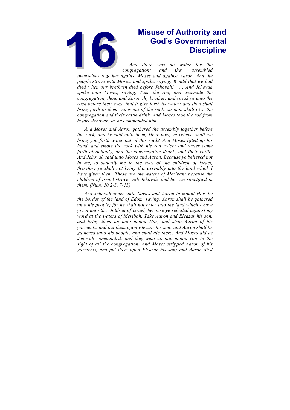

# **16 Misuse of Authority and God's Governmental Discipline God's Governmental Discipline**

*And there was no water for the congregation; and they assembled themselves together against Moses and against Aaron. And the people strove with Moses, and spake, saying, Would that we had died when our brethren died before Jehovah! . . . And Jehovah spake unto Moses, saying, Take the rod, and assemble the congregation, thou, and Aaron thy brother, and speak ye unto the rock before their eyes, that it give forth its water; and thou shalt bring forth to them water out of the rock; so thou shalt give the congregation and their cattle drink. And Moses took the rod from before Jehovah, as he commanded him.* 

*And Moses and Aaron gathered the assembly together before the rock, and he said unto them, Hear now, ye rebels; shall we bring you forth water out of this rock? And Moses lifted up his hand, and smote the rock with his rod twice: and water came forth abundantly, and the congregation drank, and their cattle. And Jehovah said unto Moses and Aaron, Because ye believed not in me, to sanctify me in the eyes of the children of Israel, therefore ye shall not bring this assembly into the land which I have given them. These are the waters of Meribah; because the children of Israel strove with Jehovah, and he was sanctified in them. (Num. 20.2-3, 7-13)*

*And Jehovah spake unto Moses and Aaron in mount Hor, by the border of the land of Edom, saying, Aaron shall be gathered unto his people; for he shall not enter into the land which I have given unto the children of Israel, because ye rebelled against my word at the waters of Meribah. Take Aaron and Eleazar his son, and bring them up unto mount Hor; and strip Aaron of his garments, and put them upon Eleazar his son: and Aaron shall be gathered unto his people, and shall die there. And Moses did as Jehovah commanded: and they went up into mount Hor in the sight of all the congregation. And Moses stripped Aaron of his garments, and put them upon Eleazar his son; and Aaron died*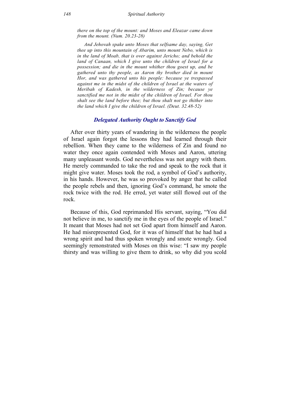*there on the top of the mount: and Moses and Eleazar came down from the mount. (Num. 20.23-28)* 

*And Jehovah spake unto Moses that selfsame day, saying, Get thee up into this mountain of Abarim, unto mount Nebo, which is in the land of Moab, that is over against Jericho; and behold the land of Canaan, which I give unto the children of Israel for a possession; and die in the mount whither thou goest up, and be gathered unto thy people, as Aaron thy brother died in mount Hor, and was gathered unto his people: because ye trespassed against me in the midst of the children of Israel at the waters of Meribah of Kadesh, in the wilderness of Zin; because ye sanctified me not in the midst of the children of Israel. For thou shalt see the land before thee; but thou shalt not go thither into the land which I give the children of Israel. (Deut. 32.48-52)* 

#### *Delegated Authority Ought to Sanctify God*

After over thirty years of wandering in the wilderness the people of Israel again forgot the lessons they had learned through their rebellion. When they came to the wilderness of Zin and found no water they once again contended with Moses and Aaron, uttering many unpleasant words. God nevertheless was not angry with them. He merely commanded to take the rod and speak to the rock that it might give water. Moses took the rod, a symbol of God's authority, in his hands. However, he was so provoked by anger that he called the people rebels and then, ignoring God's command, he smote the rock twice with the rod. He erred, yet water still flowed out of the rock.

Because of this, God reprimanded His servant, saying, "You did not believe in me, to sanctify me in the eyes of the people of Israel." It meant that Moses had not set God apart from himself and Aaron. He had misrepresented God, for it was of himself that he had had a wrong spirit and had thus spoken wrongly and smote wrongly. God seemingly remonstrated with Moses on this wise: "I saw my people thirsty and was willing to give them to drink, so why did you scold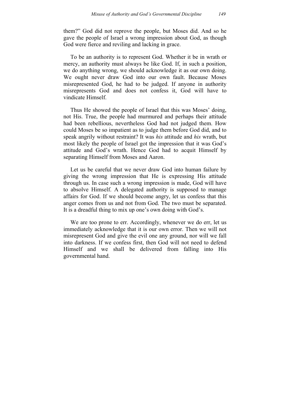them?" God did not reprove the people, but Moses did. And so he gave the people of Israel a wrong impression about God, as though God were fierce and reviling and lacking in grace.

To be an authority is to represent God. Whether it be in wrath or mercy, an authority must always be like God. If, in such a position, we do anything wrong, we should acknowledge it as our own doing. We ought never draw God into our own fault. Because Moses misrepresented God, he had to be judged. If anyone in authority misrepresents God and does not confess it, God will have to vindicate Himself.

Thus He showed the people of Israel that this was Moses' doing, not His. True, the people had murmured and perhaps their attitude had been rebellious, nevertheless God had not judged them. How could Moses be so impatient as to judge them before God did, and to speak angrily without restraint? It was *his* attitude and *his* wrath, but most likely the people of Israel got the impression that it was God's attitude and God's wrath. Hence God had to acquit Himself by separating Himself from Moses and Aaron.

Let us be careful that we never draw God into human failure by giving the wrong impression that He is expressing His attitude through us. In case such a wrong impression is made, God will have to absolve Himself. A delegated authority is supposed to manage affairs for God. If we should become angry, let us confess that this anger comes from us and not from God. The two must be separated. It is a dreadful thing to mix up one's own doing with God's.

We are too prone to err. Accordingly, whenever we do err, let us immediately acknowledge that it is our own error. Then we will not misrepresent God and give the evil one any ground, nor will we fall into darkness. If we confess first, then God will not need to defend Himself and we shall be delivered from falling into His governmental hand.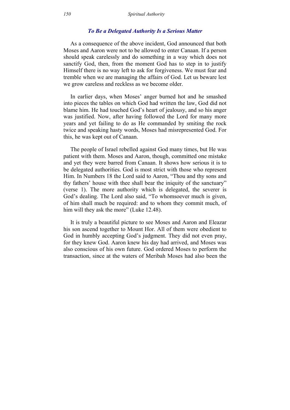#### *To Be a Delegated Authority Is a Serious Matter*

As a consequence of the above incident, God announced that both Moses and Aaron were not to be allowed to enter Canaan. If a person should speak carelessly and do something in a way which does not sanctify God, then, from the moment God has to step in to justify Himself there is no way left to ask for forgiveness. We must fear and tremble when we are managing the affairs of God. Let us beware lest we grow careless and reckless as we become older.

In earlier days, when Moses' anger burned hot and he smashed into pieces the tables on which God had written the law, God did not blame him. He had touched God's heart of jealousy, and so his anger was justified. Now, after having followed the Lord for many more years and yet failing to do as He commanded by smiting the rock twice and speaking hasty words, Moses had misrepresented God. For this, he was kept out of Canaan.

The people of Israel rebelled against God many times, but He was patient with them. Moses and Aaron, though, committed one mistake and yet they were barred from Canaan. It shows how serious it is to be delegated authorities. God is most strict with those who represent Him. In Numbers 18 the Lord said to Aaron, "Thou and thy sons and thy fathers' house with thee shall bear the iniquity of the sanctuary" (verse 1). The more authority which is delegated, the severer is God's dealing. The Lord also said, "To whomsoever much is given, of him shall much be required: and to whom they commit much, of him will they ask the more" (Luke 12.48).

It is truly a beautiful picture to see Moses and Aaron and Eleazar his son ascend together to Mount Hor. All of them were obedient to God in humbly accepting God's judgment. They did not even pray, for they knew God. Aaron knew his day had arrived, and Moses was also conscious of his own future. God ordered Moses to perform the transaction, since at the waters of Meribah Moses had also been the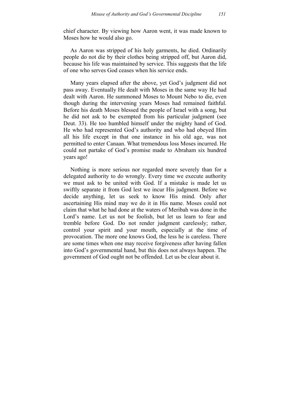chief character. By viewing how Aaron went, it was made known to Moses how he would also go.

As Aaron was stripped of his holy garments, he died. Ordinarily people do not die by their clothes being stripped off, but Aaron did, because his life was maintained by service. This suggests that the life of one who serves God ceases when his service ends.

Many years elapsed after the above, yet God's judgment did not pass away. Eventually He dealt with Moses in the same way He had dealt with Aaron. He summoned Moses to Mount Nebo to die, even though during the intervening years Moses had remained faithful. Before his death Moses blessed the people of Israel with a song, but he did not ask to be exempted from his particular judgment (see Deut. 33). He too humbled himself under the mighty hand of God. He who had represented God's authority and who had obeyed Him all his life except in that one instance in his old age, was not permitted to enter Canaan. What tremendous loss Moses incurred. He could not partake of God's promise made to Abraham six hundred years ago!

Nothing is more serious nor regarded more severely than for a delegated authority to do wrongly. Every time we execute authority we must ask to be united with God. If a mistake is made let us swiftly separate it from God lest we incur His judgment. Before we decide anything, let us seek to know His mind. Only after ascertaining His mind may we do it in His name. Moses could not claim that what he had done at the waters of Meribah was done in the Lord's name. Let us not be foolish, but let us learn to fear and tremble before God. Do not render judgment carelessly; rather, control your spirit and your mouth, especially at the time of provocation. The more one knows God, the less he is careless. There are some times when one may receive forgiveness after having fallen into God's governmental hand, but this does not always happen. The government of God ought not be offended. Let us be clear about it.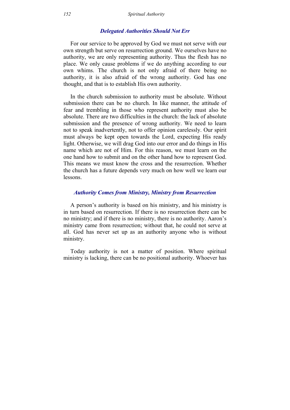#### *Delegated Authorities Should Not Err*

For our service to be approved by God we must not serve with our own strength but serve on resurrection ground. We ourselves have no authority, we are only representing authority. Thus the flesh has no place. We only cause problems if we do anything according to our own whims. The church is not only afraid of there being no authority, it is also afraid of the wrong authority. God has one thought, and that is to establish His own authority.

In the church submission to authority must be absolute. Without submission there can be no church. In like manner, the attitude of fear and trembling in those who represent authority must also be absolute. There are two difficulties in the church: the lack of absolute submission and the presence of wrong authority. We need to learn not to speak inadvertently, not to offer opinion carelessly. Our spirit must always be kept open towards the Lord, expecting His ready light. Otherwise, we will drag God into our error and do things in His name which are not of Him. For this reason, we must learn on the one hand how to submit and on the other hand how to represent God. This means we must know the cross and the resurrection. Whether the church has a future depends very much on how well we learn our lessons.

#### *Authority Comes from Ministry, Ministry from Resurrection*

A person's authority is based on his ministry, and his ministry is in turn based on resurrection. If there is no resurrection there can be no ministry; and if there is no ministry, there is no authority. Aaron's ministry came from resurrection; without that, he could not serve at all. God has never set up as an authority anyone who is without ministry.

Today authority is not a matter of position. Where spiritual ministry is lacking, there can be no positional authority. Whoever has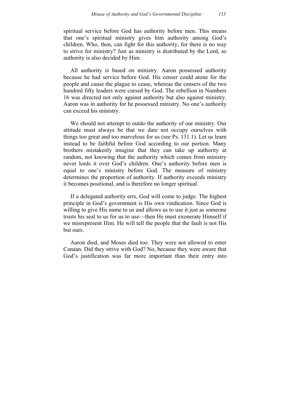spiritual service before God has authority before men. This means that one's spiritual ministry gives him authority among God's children. Who, then, can fight for this authority, for there is no way to strive for ministry? Just as ministry is distributed by the Lord, so authority is also decided by Him.

All authority is based on ministry. Aaron possessed authority because he had service before God. His censer could atone for the people and cause the plague to cease, whereas the censers of the two hundred fifty leaders were cursed by God. The rebellion in Numbers 16 was directed not only against authority but also against ministry. Aaron was in authority for he possessed ministry. No one's authority can exceed his ministry.

We should not attempt to outdo the authority of our ministry. Our attitude must always be that we dare not occupy ourselves with things too great and too marvelous for us (see Ps. 131.1). Let us learn instead to be faithful before God according to our portion. Many brothers mistakenly imagine that they can take up authority at random, not knowing that the authority which comes from ministry never lords it over God's children. One's authority before men is equal to one's ministry before God. The measure of ministry determines the proportion of authority. If authority exceeds ministry it becomes positional, and is therefore no longer spiritual.

If a delegated authority errs, God will come to judge. The highest principle in God's government is His own vindication. Since God is willing to give His name to us and allows us to use it just as someone trusts his seal to us for us to use—then He must exonerate Himself if we misrepresent Him. He will tell the people that the fault is not His but ours.

Aaron died, and Moses died too. They were not allowed to enter Canaan. Did they strive with God? No, because they were aware that God's justification was far more important than their entry into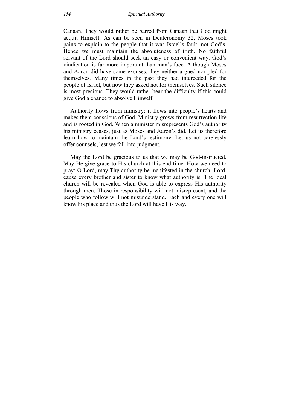Canaan. They would rather be barred from Canaan that God might acquit Himself. As can be seen in Deuteronomy 32, Moses took pains to explain to the people that it was Israel's fault, not God's. Hence we must maintain the absoluteness of truth. No faithful servant of the Lord should seek an easy or convenient way. God's vindication is far more important than man's face. Although Moses and Aaron did have some excuses, they neither argued nor pled for themselves. Many times in the past they had interceded for the people of Israel, but now they asked not for themselves. Such silence is most precious. They would rather bear the difficulty if this could give God a chance to absolve Himself.

Authority flows from ministry: it flows into people's hearts and makes them conscious of God. Ministry grows from resurrection life and is rooted in God. When a minister misrepresents God's authority his ministry ceases, just as Moses and Aaron's did. Let us therefore learn how to maintain the Lord's testimony. Let us not carelessly offer counsels, lest we fall into judgment.

May the Lord be gracious to us that we may be God-instructed. May He give grace to His church at this end-time. How we need to pray: O Lord, may Thy authority be manifested in the church; Lord, cause every brother and sister to know what authority is. The local church will be revealed when God is able to express His authority through men. Those in responsibility will not misrepresent, and the people who follow will not misunderstand. Each and every one will know his place and thus the Lord will have His way.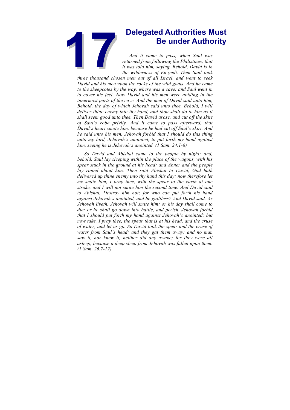

# **Be under Authority**

*And it came to pass, when Saul was returned from following the Philistines, that it was told him, saying, Behold, David is in the wilderness of En-gedi. Then Saul took* 

*three thousand chosen men out of all Israel, and went to seek David and his men upon the rocks of the wild goats. And he came to the sheepcotes by the way, where was a cave; and Saul went in to cover his feet. Now David and his men were abiding in the innermost parts of the cave. And the men of David said unto him, Behold, the day of which Jehovah said unto thee, Behold, I will deliver thine enemy into thy hand, and thou shalt do to him as it shall seem good unto thee. Then David arose, and cut off the skirt of Saul's robe privily. And it came to pass afterward, that David's heart smote him, because he had cut off Saul's skirt. And he said unto his men, Jehovah forbid that I should do this thing unto my lord, Jehovah's anointed, to put forth my hand against him, seeing he is Jehovah's anointed. (1 Sam. 24.1-6)*

*So David and Abishai came to the people by night: and, behold, Saul lay sleeping within the place of the wagons, with his spear stuck in the ground at his head; and Abner and the people lay round about him. Then said Abishai to David, God hath delivered up thine enemy into thy hand this day: now therefore let me smite him, I pray thee, with the spear to the earth at one stroke, and I will not smite him the second time. And David said to Abishai, Destroy him not; for who can put forth his hand against Jehovah's anointed, and be guiltless? And David said, As Jehovah liveth, Jehovah will smite him; or his day shall come to die; or he shall go down into battle, and perish. Jehovah forbid that I should put forth my hand against Jehovah's anointed: but now take, I pray thee, the spear that is at his head, and the cruse of water, and let us go. So David took the spear and the cruse of water from Saul's head; and they gat them away: and no man saw it, nor knew it, neither did any awake; for they were all asleep, because a deep sleep from Jehovah was fallen upon them. (1 Sam. 26.7-12)*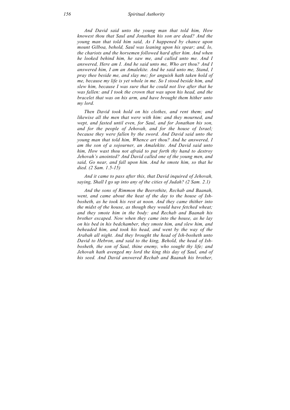*And David said unto the young man that told him, How knowest thou that Saul and Jonathan his son are dead? And the young man that told him said, As I happened by chance upon mount Gilboa, behold, Saul was leaning upon his spear; and, lo, the chariots and the horsemen followed hard after him. And when he looked behind him, he saw me, and called unto me. And I answered, Here am I. And he said unto me, Who art thou? And I answered him, I am an Amalekite. And he said unto me, Stand, I pray thee beside me, and slay me; for anguish hath taken hold of me, because my life is yet whole in me. So I stood beside him, and slew him, because I was sure that he could not live after that he was fallen: and I took the crown that was upon his head, and the bracelet that was on his arm, and have brought them hither unto my lord.* 

*Then David took hold on his clothes, and rent them; and likewise all the men that were with him: and they mourned, and wept, and fasted until even, for Saul, and for Jonathan his son, and for the people of Jehovah, and for the house of Israel; because they were fallen by the sword. And David said unto the young man that told him, Whence art thou? And he answered, I am the son of a sojourner, an Amalekite. And David said unto him, How wast thou not afraid to put forth thy hand to destroy Jehovah's anointed? And David called one of the young men, and said, Go near, and fall upon him. And he smote him, so that he died. (2 Sam. 1.5-15)* 

*And it came to pass after this, that David inquired of Jehovah, saying, Shall I go up into any of the cities of Judah? (2 Sam. 2.1)* 

*And the sons of Rimmon the Beerothite, Rechab and Baanah, went, and came about the heat of the day to the house of Ishbosheth, as he took his rest at noon. And they came thither into the midst of the house, as though they would have fetched wheat; and they smote him in the body: and Rechab and Baanah his brother escaped. Now when they came into the house, as he lay on his bed in his bedchamber, they smote him, and slew him, and beheaded him, and took his head, and went by the way of the Arabah all night. And they brought the head of Ish-bosheth unto David to Hebron, and said to the king, Behold, the head of Ishbosheth, the son of Saul, thine enemy, who sought thy life; and Jehovah hath avenged my lord the king this day of Saul, and of his seed. And David answered Rechab and Baanah his brother,*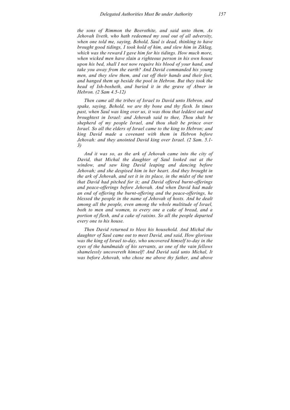*the sons of Rimmon the Beerothite, and said unto them, As Jehovah liveth, who hath redeemed my soul out of all adversity, when one told me, saying, Behold, Saul is dead, thinking to have brought good tidings, I took hold of him, and slew him in Ziklag, which was the reward I gave him for his tidings. How much more, when wicked men have slain a righteous person in his own house upon his bed, shall I not now require his blood of your hand, and take you away from the earth? And David commanded his young men, and they slew them, and cut off their hands and their feet, and hanged them up beside the pool in Hebron. But they took the head of Ish-bosheth, and buried it in the grave of Abner in Hebron. (2 Sam 4.5-12)* 

*Then came all the tribes of Israel to David unto Hebron, and spake, saying, Behold, we are thy bone and thy flesh. In times past, when Saul was king over us, it was thou that leddest out and broughtest in Israel: and Jehovah said to thee, Thou shalt be shepherd of my people Israel, and thou shalt be prince over Israel. So all the elders of Israel came to the king to Hebron; and king David made a covenant with them in Hebron before Jehovah: and they anointed David king over Israel. (2 Sam. 5.1- 3)* 

*And it was so, as the ark of Jehovah came into the city of David, that Michal the daughter of Saul looked out at the window, and saw king David leaping and dancing before Jehovah; and she despised him in her heart. And they brought in the ark of Jehovah, and set it in its place, in the midst of the tent that David had pitched for it; and David offered burnt-offerings and peace-offerings before Jehovah. And when David had made an end of offering the burnt-offering and the peace-offerings, he blessed the people in the name of Jehovah of hosts. And he dealt among all the people, even among the whole multitude of Israel, both to men and women, to every one a cake of bread, and a portion of flesh, and a cake of raisins. So all the people departed every one to his house.* 

*Then David returned to bless his household. And Michal the daughter of Saul came out to meet David, and said, How glorious was the king of Israel to-day, who uncovered himself to-day in the eyes of the handmaids of his servants, as one of the vain fellows shamelessly uncovereth himself! And David said unto Michal, It was before Jehovah, who chose me above thy father, and above*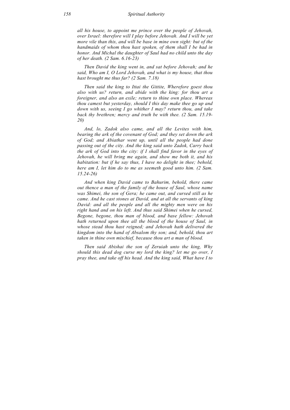*all his house, to appoint me prince over the people of Jehovah, over Israel: therefore will I play before Jehovah. And I will be yet more vile than this, and will be base in mine own sight: but of the handmaids of whom thou hast spoken, of them shall I be had in honor. And Michal the daughter of Saul had no child unto the day of her death. (2 Sam. 6.16-23)* 

*Then David the king went in, and sat before Jehovah; and he said, Who am I, O Lord Jehovah, and what is my house, that thou hast brought me thus far? (2 Sam. 7.18)* 

*Then said the king to Ittai the Gittite, Wherefore goest thou also with us? return, and abide with the king: for thou art a foreigner, and also an exile; return to thine own place. Whereas thou camest but yesterday, should I this day make thee go up and down with us, seeing I go whither I may? return thou, and take back thy brethren; mercy and truth be with thee. (2 Sam. 15.19- 20)* 

*And, lo, Zadok also came, and all the Levites with him, bearing the ark of the covenant of God; and they set down the ark of God; and Abiathar went up, until all the people had done passing out of the city. And the king said unto Zadok, Carry back the ark of God into the city: if I shall find favor in the eyes of Jehovah, he will bring me again, and show me both it, and his habitation: but if he say thus, I have no delight in thee; behold, here am I, let him do to me as seemeth good unto him. (2 Sam. 15.24-26)* 

*And when king David came to Bahurim, behold, there came out thence a man of the family of the house of Saul, whose name was Shimei, the son of Gera; he came out, and cursed still as he came. And he cast stones at David, and at all the servants of king David: and all the people and all the mighty men were on his right hand and on his left. And thus said Shimei when he cursed, Begone, begone, thou man of blood, and base fellow: Jehovah hath returned upon thee all the blood of the house of Saul, in whose stead thou hast reigned; and Jehovah hath delivered the kingdom into the hand of Absalom thy son; and, behold, thou art taken in thine own mischief, because thou art a man of blood.* 

*Then said Abishai the son of Zeruiah unto the king, Why should this dead dog curse my lord the king? let me go over, I pray thee, and take off his head. And the king said, What have I to*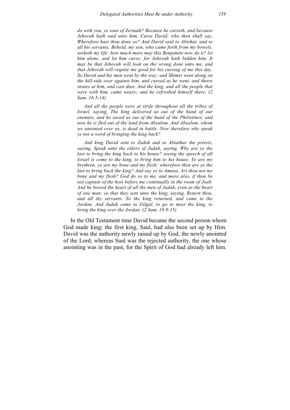*do with you, ye sons of Zeruiah? Because he curseth, and because Jehovah hath said unto him, Curse David; who then shall say, Wherefore hast thou done so? And David said to Abishai, and to all his servants, Behold, my son, who came forth from my bowels, seeketh my life: how much more may this Benjamite now do it? let him alone, and let him curse; for Jehovah hath bidden him. It may be that Jehovah will look on the wrong done unto me, and that Jehovah will requite me good for his cursing of me this day. So David and his men went by the way; and Shimei went along on the hill-side over against him, and cursed as he went, and threw stones at him, and cast dust. And the king, and all the people that were with him, came weary; and he refreshed himself there. (2 Sam. 16.5-14)* 

*And all the people were at strife throughout all the tribes of Israel, saying, The king delivered us out of the hand of our enemies, and he saved us out of the hand of the Philistines; and now he is fled out of the land from Absalom. And Absalom, whom we anointed over us, is dead in battle. Now therefore why speak ye not a word of bringing the king back?* 

*And king David sent to Zadok and to Abiathar the priests, saying, Speak unto the elders of Judah, saying, Why are ye the last to bring the king back to his house? seeing the speech of all Israel is come to the king, to bring him to his house. Ye are my brethren, ye are my bone and my flesh: wherefore then are ye the last to bring back the king? And say ye to Amasa, Art thou not my bone and my flesh? God do so to me, and more also, if thou be not captain of the host before me continually in the room of Joab. And he bowed the heart of all the men of Judah, even as the heart of one man; so that they sent unto the king, saying, Return thou, and all thy servants. So the king returned, and came to the Jordan. And Judah came to Gilgal, to go to meet the king, to bring the king over the Jordan. (2 Sam. 19.9-15)* 

In the Old Testament time David became the second person whom God made king; the first king, Saul, had also been set up by Him. David was the authority newly raised up by God, the newly anointed of the Lord; whereas Saul was the rejected authority, the one whose anointing was in the past, for the Spirit of God had already left him.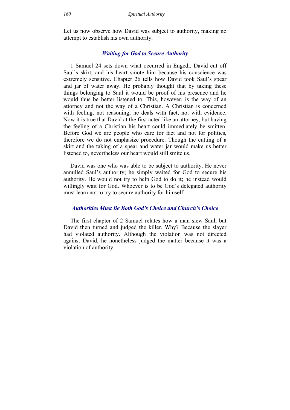Let us now observe how David was subject to authority, making no attempt to establish his own authority.

### *Waiting for God to Secure Authority*

1 Samuel 24 sets down what occurred in Engedi. David cut off Saul's skirt, and his heart smote him because his conscience was extremely sensitive. Chapter 26 tells how David took Saul's spear and jar of water away. He probably thought that by taking these things belonging to Saul it would be proof of his presence and he would thus be better listened to. This, however, is the way of an attorney and not the way of a Christian. A Christian is concerned with feeling, not reasoning; he deals with fact, not with evidence. Now it is true that David at the first acted like an attorney, but having the feeling of a Christian his heart could immediately be smitten. Before God we are people who care for fact and not for politics, therefore we do not emphasize procedure. Though the cutting of a skirt and the taking of a spear and water jar would make us better listened to, nevertheless our heart would still smite us.

David was one who was able to be subject to authority. He never annulled Saul's authority; he simply waited for God to secure his authority. He would not try to help God to do it; he instead would willingly wait for God. Whoever is to be God's delegated authority must learn not to try to secure authority for himself.

## *Authorities Must Be Both God's Choice and Church's Choice*

The first chapter of 2 Samuel relates how a man slew Saul, but David then turned and judged the killer. Why? Because the slayer had violated authority. Although the violation was not directed against David, he nonetheless judged the matter because it was a violation of authority.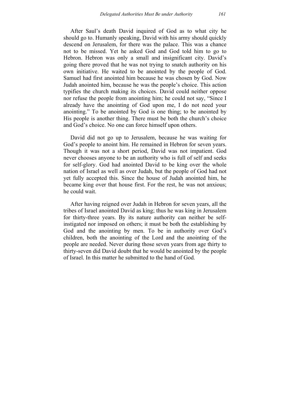After Saul's death David inquired of God as to what city he should go to. Humanly speaking, David with his army should quickly descend on Jerusalem, for there was the palace. This was a chance not to be missed. Yet he asked God and God told him to go to Hebron. Hebron was only a small and insignificant city. David's going there proved that he was not trying to snatch authority on his own initiative. He waited to be anointed by the people of God. Samuel had first anointed him because he was chosen by God. Now Judah anointed him, because he was the people's choice. This action typifies the church making its choices. David could neither oppose nor refuse the people from anointing him; he could not say, "Since I already have the anointing of God upon me, I do not need your anointing." To be anointed by God is one thing; to be anointed by His people is another thing. There must be both the church's choice and God's choice. No one can force himself upon others.

David did not go up to Jerusalem, because he was waiting for God's people to anoint him. He remained in Hebron for seven years. Though it was not a short period, David was not impatient. God never chooses anyone to be an authority who is full of self and seeks for self-glory. God had anointed David to be king over the whole nation of Israel as well as over Judah, but the people of God had not yet fully accepted this. Since the house of Judah anointed him, he became king over that house first. For the rest, he was not anxious; he could wait.

After having reigned over Judah in Hebron for seven years, all the tribes of Israel anointed David as king; thus he was king in Jerusalem for thirty-three years. By its nature authority can neither be selfinstigated nor imposed on others; it must be both the establishing by God and the anointing by men. To be in authority over God's children, both the anointing of the Lord and the anointing of the people are needed. Never during those seven years from age thirty to thirty-seven did David doubt that he would be anointed by the people of Israel. In this matter he submitted to the hand of God.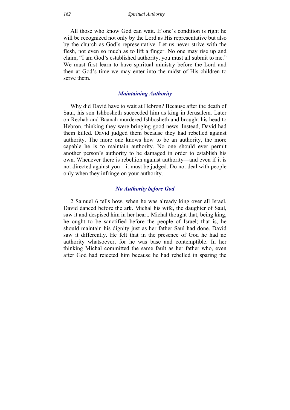All those who know God can wait. If one's condition is right he will be recognized not only by the Lord as His representative but also by the church as God's representative. Let us never strive with the flesh, not even so much as to lift a finger. No one may rise up and claim, "I am God's established authority, you must all submit to me." We must first learn to have spiritual ministry before the Lord and then at God's time we may enter into the midst of His children to serve them.

#### *Maintaining Authority*

Why did David have to wait at Hebron? Because after the death of Saul, his son Ishbosheth succeeded him as king in Jerusalem. Later on Rechab and Baanah murdered Ishbosheth and brought his head to Hebron, thinking they were bringing good news. Instead, David had them killed. David judged them because they had rebelled against authority. The more one knows how to be an authority, the more capable he is to maintain authority. No one should ever permit another person's authority to be damaged in order to establish his own. Whenever there is rebellion against authority—and even if it is not directed against you—it must be judged. Do not deal with people only when they infringe on your authority.

### *No Authority before God*

2 Samuel 6 tells how, when he was already king over all Israel, David danced before the ark. Michal his wife, the daughter of Saul, saw it and despised him in her heart. Michal thought that, being king, he ought to be sanctified before the people of Israel; that is, he should maintain his dignity just as her father Saul had done. David saw it differently. He felt that in the presence of God he had no authority whatsoever, for he was base and contemptible. In her thinking Michal committed the same fault as her father who, even after God had rejected him because he had rebelled in sparing the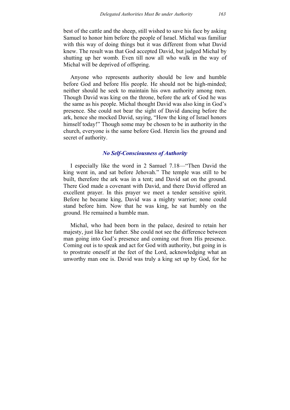best of the cattle and the sheep, still wished to save his face by asking Samuel to honor him before the people of Israel. Michal was familiar with this way of doing things but it was different from what David knew. The result was that God accepted David, but judged Michal by shutting up her womb. Even till now all who walk in the way of Michal will be deprived of offspring.

Anyone who represents authority should be low and humble before God and before His people. He should not be high-minded; neither should he seek to maintain his own authority among men. Though David was king on the throne, before the ark of God he was the same as his people. Michal thought David was also king in God's presence. She could not bear the sight of David dancing before the ark, hence she mocked David, saying, "How the king of Israel honors himself today!" Though some may be chosen to be in authority in the church, everyone is the same before God. Herein lies the ground and secret of authority.

#### *No Self-Consciousness of Authority*

I especially like the word in 2 Samuel 7.18—"Then David the king went in, and sat before Jehovah." The temple was still to be built, therefore the ark was in a tent; and David sat on the ground. There God made a covenant with David, and there David offered an excellent prayer. In this prayer we meet a tender sensitive spirit. Before he became king, David was a mighty warrior; none could stand before him. Now that he was king, he sat humbly on the ground. He remained a humble man.

Michal, who had been born in the palace, desired to retain her majesty, just like her father. She could not see the difference between man going into God's presence and coming out from His presence. Coming out is to speak and act for God with authority, but going in is to prostrate oneself at the feet of the Lord, acknowledging what an unworthy man one is. David was truly a king set up by God, for he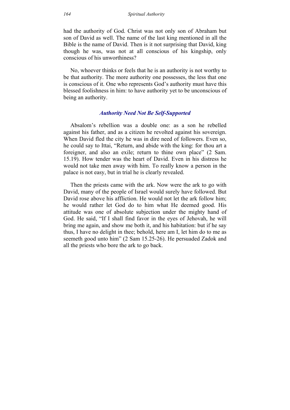had the authority of God. Christ was not only son of Abraham but son of David as well. The name of the last king mentioned in all the Bible is the name of David. Then is it not surprising that David, king though he was, was not at all conscious of his kingship, only conscious of his unworthiness?

No, whoever thinks or feels that he is an authority is not worthy to be that authority. The more authority one possesses, the less that one is conscious of it. One who represents God's authority must have this blessed foolishness in him: to have authority yet to be unconscious of being an authority.

#### *Authority Need Not Be Self-Supported*

Absalom's rebellion was a double one: as a son he rebelled against his father, and as a citizen he revolted against his sovereign. When David fled the city he was in dire need of followers. Even so, he could say to Ittai, "Return, and abide with the king: for thou art a foreigner, and also an exile; return to thine own place" (2 Sam. 15.19). How tender was the heart of David. Even in his distress he would not take men away with him. To really know a person in the palace is not easy, but in trial he is clearly revealed.

Then the priests came with the ark. Now were the ark to go with David, many of the people of Israel would surely have followed. But David rose above his affliction. He would not let the ark follow him: he would rather let God do to him what He deemed good. His attitude was one of absolute subjection under the mighty hand of God. He said, "If I shall find favor in the eyes of Jehovah, he will bring me again, and show me both it, and his habitation: but if he say thus, I have no delight in thee; behold, here am I, let him do to me as seemeth good unto him" (2 Sam 15.25-26). He persuaded Zadok and all the priests who bore the ark to go back.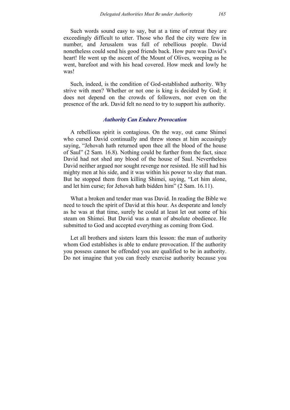Such words sound easy to say, but at a time of retreat they are exceedingly difficult to utter. Those who fled the city were few in number, and Jerusalem was full of rebellious people. David nonetheless could send his good friends back. How pure was David's heart! He went up the ascent of the Mount of Olives, weeping as he went, barefoot and with his head covered. How meek and lowly he was!

Such, indeed, is the condition of God-established authority. Why strive with men? Whether or not one is king is decided by God; it does not depend on the crowds of followers, nor even on the presence of the ark. David felt no need to try to support his authority.

#### *Authority Can Endure Provocation*

A rebellious spirit is contagious. On the way, out came Shimei who cursed David continually and threw stones at him accusingly saying, "Jehovah hath returned upon thee all the blood of the house of Saul" (2 Sam. 16.8). Nothing could be further from the fact, since David had not shed any blood of the house of Saul. Nevertheless David neither argued nor sought revenge nor resisted. He still had his mighty men at his side, and it was within his power to slay that man. But he stopped them from killing Shimei, saying, "Let him alone, and let him curse; for Jehovah hath bidden him" (2 Sam. 16.11).

What a broken and tender man was David. In reading the Bible we need to touch the spirit of David at this hour. As desperate and lonely as he was at that time, surely he could at least let out some of his steam on Shimei. But David was a man of absolute obedience. He submitted to God and accepted everything as coming from God.

Let all brothers and sisters learn this lesson: the man of authority whom God establishes is able to endure provocation. If the authority you possess cannot be offended you are qualified to be in authority. Do not imagine that you can freely exercise authority because you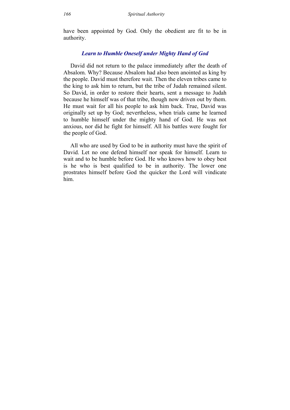have been appointed by God. Only the obedient are fit to be in authority.

#### *Learn to Humble Oneself under Mighty Hand of God*

David did not return to the palace immediately after the death of Absalom. Why? Because Absalom had also been anointed as king by the people. David must therefore wait. Then the eleven tribes came to the king to ask him to return, but the tribe of Judah remained silent. So David, in order to restore their hearts, sent a message to Judah because he himself was of that tribe, though now driven out by them. He must wait for all his people to ask him back. True, David was originally set up by God; nevertheless, when trials came he learned to humble himself under the mighty hand of God. He was not anxious, nor did he fight for himself. All his battles were fought for the people of God.

All who are used by God to be in authority must have the spirit of David. Let no one defend himself nor speak for himself. Learn to wait and to be humble before God. He who knows how to obey best is he who is best qualified to be in authority. The lower one prostrates himself before God the quicker the Lord will vindicate him.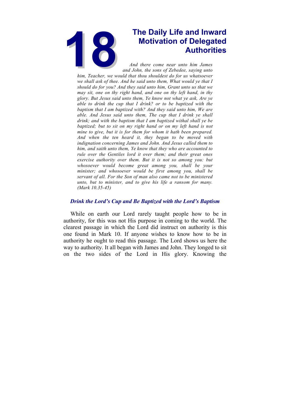

# **18The Daily Life and Inward Motivation of Delegated Authorities Motivation of Delegated Authorities**

*And there come near unto him James and John, the sons of Zebedee, saying unto him, Teacher, we would that thou shouldest do for us whatsoever we shall ask of thee. And he said unto them, What would ye that I should do for you? And they said unto him, Grant unto us that we may sit, one on thy right hand, and one on thy left hand, in thy glory. But Jesus said unto them, Ye know not what ye ask, Are ye able to drink the cup that I drink? or to be baptized with the baptism that I am baptized with? And they said unto him, We are able. And Jesus said unto them, The cup that I drink ye shall drink; and with the baptism that I am baptized withal shall ye be baptized; but to sit on my right hand or on my left hand is not mine to give, but it is for them for whom it hath been prepared. And when the ten heard it, they began to be moved with indignation concerning James and John. And Jesus called them to him, and saith unto them, Ye know that they who are accounted to rule over the Gentiles lord it over them; and their great ones exercise authority over them. But it is not so among you: but whosoever would become great among you, shall be your minister; and whosoever would be first among you, shall be servant of all. For the Son of man also came not to be ministered unto, but to minister, and to give his life a ransom for many. (Mark 10.35-45)*

#### *Drink the Lord's Cup and Be Baptized with the Lord's Baptism*

While on earth our Lord rarely taught people how to be in authority, for this was not His purpose in coming to the world. The clearest passage in which the Lord did instruct on authority is this one found in Mark 10. If anyone wishes to know how to be in authority he ought to read this passage. The Lord shows us here the way to authority. It all began with James and John. They longed to sit on the two sides of the Lord in His glory. Knowing the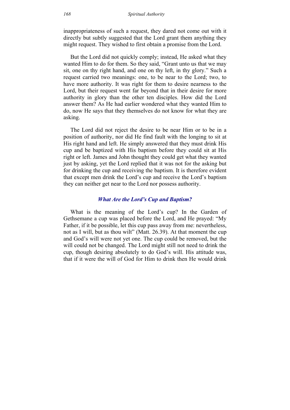inappropriateness of such a request, they dared not come out with it directly but subtly suggested that the Lord grant them anything they might request. They wished to first obtain a promise from the Lord.

But the Lord did not quickly comply; instead, He asked what they wanted Him to do for them. So they said, "Grant unto us that we may sit, one on thy right hand, and one on thy left, in thy glory." Such a request carried two meanings: one, to be near to the Lord; two, to have more authority. It was right for them to desire nearness to the Lord, but their request went far beyond that in their desire for more authority in glory than the other ten disciples. How did the Lord answer them? As He had earlier wondered what they wanted Him to do, now He says that they themselves do not know for what they are asking.

The Lord did not reject the desire to be near Him or to be in a position of authority, nor did He find fault with the longing to sit at His right hand and left. He simply answered that they must drink His cup and be baptized with His baptism before they could sit at His right or left. James and John thought they could get what they wanted just by asking, yet the Lord replied that it was not for the asking but for drinking the cup and receiving the baptism. It is therefore evident that except men drink the Lord's cup and receive the Lord's baptism they can neither get near to the Lord nor possess authority.

#### *What Are the Lord's Cup and Baptism?*

What is the meaning of the Lord's cup? In the Garden of Gethsemane a cup was placed before the Lord, and He prayed: "My Father, if it be possible, let this cup pass away from me: nevertheless, not as I will, but as thou wilt" (Matt. 26.39). At that moment the cup and God's will were not yet one. The cup could be removed, but the will could not be changed. The Lord might still not need to drink the cup, though desiring absolutely to do God's will. His attitude was, that if it were the will of God for Him to drink then He would drink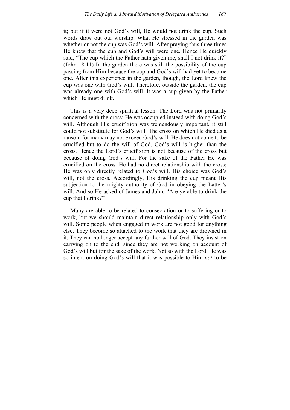it; but if it were not God's will, He would not drink the cup. Such words draw out our worship. What He stressed in the garden was whether or not the cup was God's will. After praying thus three times He knew that the cup and God's will were one. Hence He quickly said, "The cup which the Father hath given me, shall I not drink it?" (John 18.11) In the garden there was still the possibility of the cup passing from Him because the cup and God's will had yet to become one. After this experience in the garden, though, the Lord knew the cup was one with God's will. Therefore, outside the garden, the cup was already one with God's will. It was a cup given by the Father which He must drink.

This is a very deep spiritual lesson. The Lord was not primarily concerned with the cross; He was occupied instead with doing God's will. Although His crucifixion was tremendously important, it still could not substitute for God's will. The cross on which He died as a ransom for many may not exceed God's will. He does not come to be crucified but to do the will of God. God's will is higher than the cross. Hence the Lord's crucifixion is not because of the cross but because of doing God's will. For the sake of the Father He was crucified on the cross. He had no direct relationship with the cross; He was only directly related to God's will. His choice was God's will, not the cross. Accordingly, His drinking the cup meant His subjection to the mighty authority of God in obeying the Latter's will. And so He asked of James and John, "Are ye able to drink the cup that I drink?"

Many are able to be related to consecration or to suffering or to work, but we should maintain direct relationship only with God's will. Some people when engaged in work are not good for anything else. They become so attached to the work that they are drowned in it. They can no longer accept any further will of God. They insist on carrying on to the end, since they are not working on account of God's will but for the sake of the work. Not so with the Lord. He was so intent on doing God's will that it was possible to Him *not* to be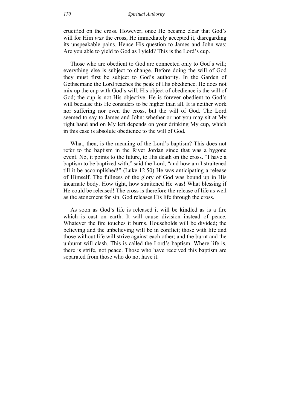crucified on the cross. However, once He became clear that God's will for Him *was* the cross, He immediately accepted it, disregarding its unspeakable pains. Hence His question to James and John was: Are you able to yield to God as I yield? This is the Lord's cup.

Those who are obedient to God are connected only to God's will; everything else is subject to change. Before doing the will of God they must first be subject to God's authority. In the Garden of Gethsemane the Lord reaches the peak of His obedience. He does not mix up the cup with God's will. His object of obedience is the will of God; the cup is not His objective. He is forever obedient to God's will because this He considers to be higher than all. It is neither work nor suffering nor even the cross, but the will of God. The Lord seemed to say to James and John: whether or not you may sit at My right hand and on My left depends on your drinking My cup, which in this case is absolute obedience to the will of God.

What, then, is the meaning of the Lord's baptism? This does not refer to the baptism in the River Jordan since that was a bygone event. No, it points to the future, to His death on the cross. "I have a baptism to be baptized with," said the Lord, "and how am I straitened till it be accomplished!" (Luke 12.50) He was anticipating a release of Himself. The fullness of the glory of God was bound up in His incarnate body. How tight, how straitened He was! What blessing if He could be released! The cross is therefore the release of life as well as the atonement for sin. God releases His life through the cross.

As soon as God's life is released it will be kindled as is a fire which is cast on earth. It will cause division instead of peace. Whatever the fire touches it burns. Households will be divided; the believing and the unbelieving will be in conflict; those with life and those without life will strive against each other; and the burnt and the unburnt will clash. This is called the Lord's baptism. Where life is, there is strife, not peace. Those who have received this baptism are separated from those who do not have it.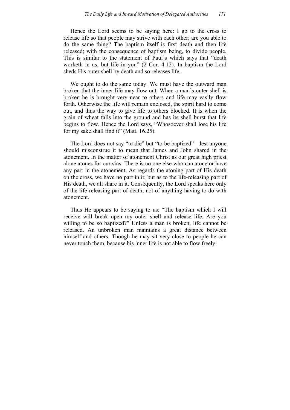Hence the Lord seems to be saying here: I go to the cross to release life so that people may strive with each other; are you able to do the same thing? The baptism itself is first death and then life released; with the consequence of baptism being, to divide people. This is similar to the statement of Paul's which says that "death worketh in us, but life in you" (2 Cor. 4.12). In baptism the Lord sheds His outer shell by death and so releases life.

We ought to do the same today. We must have the outward man broken that the inner life may flow out. When a man's outer shell is broken he is brought very near to others and life may easily flow forth. Otherwise the life will remain enclosed, the spirit hard to come out, and thus the way to give life to others blocked. It is when the grain of wheat falls into the ground and has its shell burst that life begins to flow. Hence the Lord says, "Whosoever shall lose his life for my sake shall find it" (Matt. 16.25).

The Lord does not say "to die" but "to be baptized"—lest anyone should misconstrue it to mean that James and John shared in the atonement. In the matter of atonement Christ as our great high priest alone atones for our sins. There is no one else who can atone or have any part in the atonement. As regards the atoning part of His death on the cross, we have no part in it; but as to the life-releasing part of His death, we all share in it. Consequently, the Lord speaks here only of the life-releasing part of death, not of anything having to do with atonement.

Thus He appears to be saying to us: "The baptism which I will receive will break open my outer shell and release life. Are you willing to be so baptized?" Unless a man is broken, life cannot be released. An unbroken man maintains a great distance between himself and others. Though he may sit very close to people he can never touch them, because his inner life is not able to flow freely.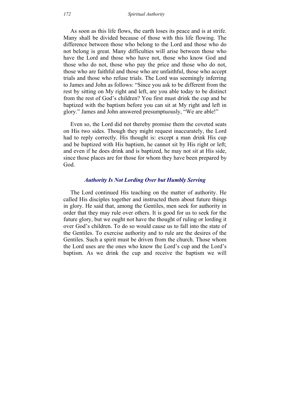As soon as this life flows, the earth loses its peace and is at strife. Many shall be divided because of those with this life flowing. The difference between those who belong to the Lord and those who do not belong is great. Many difficulties will arise between those who have the Lord and those who have not, those who know God and those who do not, those who pay the price and those who do not, those who are faithful and those who are unfaithful, those who accept trials and those who refuse trials. The Lord was seemingly inferring to James and John as follows: "Since you ask to be different from the rest by sitting on My right and left, are you able today to be distinct from the rest of God's children? You first must drink the cup and be baptized with the baptism before you can sit at My right and left in glory." James and John answered presumptuously, "We are able!"

Even so, the Lord did not thereby promise them the coveted seats on His two sides. Though they might request inaccurately, the Lord had to reply correctly. His thought is: except a man drink His cup and be baptized with His baptism, he cannot sit by His right or left; and even if he does drink and is baptized, he may not sit at His side, since those places are for those for whom they have been prepared by God.

### *Authority Is Not Lording Over but Humbly Serving*

The Lord continued His teaching on the matter of authority. He called His disciples together and instructed them about future things in glory. He said that, among the Gentiles, men seek for authority in order that they may rule over others. It is good for us to seek for the future glory, but we ought not have the thought of ruling or lording it over God's children. To do so would cause us to fall into the state of the Gentiles. To exercise authority and to rule are the desires of the Gentiles. Such a spirit must be driven from the church. Those whom the Lord uses are the ones who know the Lord's cup and the Lord's baptism. As we drink the cup and receive the baptism we will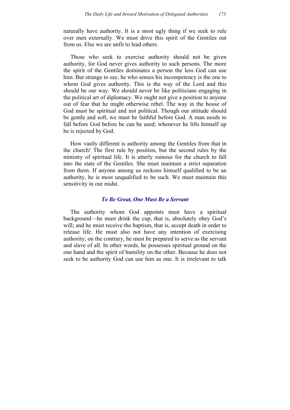naturally have authority. It is a most ugly thing if we seek to rule over men externally. We must drive this spirit of the Gentiles out from us. Else we are unfit to lead others.

Those who seek to exercise authority should not be given authority, for God never gives authority to such persons. The more the spirit of the Gentiles dominates a person the less God can use him. But strange to say, he who senses his incompetency is the one to whom God gives authority. This is the way of the Lord and this should be our way. We should never be like politicians engaging in the political art of diplomacy. We ought not give a position to anyone out of fear that he might otherwise rebel. The way in the house of God must be spiritual and not political. Though our attitude should be gentle and soft, we must be faithful before God. A man needs to fall before God before he can be used; whenever he lifts himself up he is rejected by God.

How vastly different is authority among the Gentiles from that in the church! The first rule by position, but the second rules by the ministry of spiritual life. It is utterly ruinous for the church to fall into the state of the Gentiles. She must maintain a strict separation from them. If anyone among us reckons himself qualified to be an authority, he is most unqualified to be such. We must maintain this sensitivity in our midst.

#### *To Be Great, One Must Be a Servant*

The authority whom God appoints must have a spiritual background—he must drink the cup, that is, absolutely obey God's will; and he must receive the baptism, that is, accept death in order to release life. He must also not have any intention of exercising authority; on the contrary, he must be prepared to serve as the servant and slave of all. In other words, he possesses spiritual ground on the one hand and the spirit of humility on the other. Because he does not seek to be authority God can use him as one. It is irrelevant to talk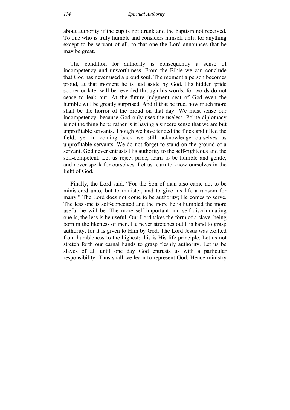about authority if the cup is not drunk and the baptism not received. To one who is truly humble and considers himself unfit for anything except to be servant of all, to that one the Lord announces that he may be great.

The condition for authority is consequently a sense of incompetency and unworthiness. From the Bible we can conclude that God has never used a proud soul. The moment a person becomes proud, at that moment he is laid aside by God. His hidden pride sooner or later will be revealed through his words, for words do not cease to leak out. At the future judgment seat of God even the humble will be greatly surprised. And if that be true, how much more shall be the horror of the proud on that day! We must sense our incompetency, because God only uses the useless. Polite diplomacy is not the thing here; rather is it having a sincere sense that we are but unprofitable servants. Though we have tended the flock and tilled the field, yet in coming back we still acknowledge ourselves as unprofitable servants. We do not forget to stand on the ground of a servant. God never entrusts His authority to the self-righteous and the self-competent. Let us reject pride, learn to be humble and gentle, and never speak for ourselves. Let us learn to know ourselves in the light of God.

Finally, the Lord said, "For the Son of man also came not to be ministered unto, but to minister, and to give his life a ransom for many." The Lord does not come to be authority; He comes to serve. The less one is self-conceited and the more he is humbled the more useful he will be. The more self-important and self-discriminating one is, the less is he useful. Our Lord takes the form of a slave, being born in the likeness of men. He never stretches out His hand to grasp authority, for it is given to Him by God. The Lord Jesus was exalted from humbleness to the highest; this is His life principle. Let us not stretch forth our carnal hands to grasp fleshly authority. Let us be slaves of all until one day God entrusts us with a particular responsibility. Thus shall we learn to represent God. Hence ministry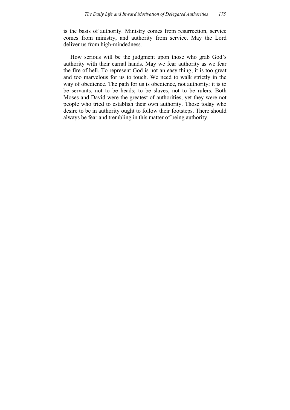is the basis of authority. Ministry comes from resurrection, service comes from ministry, and authority from service. May the Lord deliver us from high-mindedness.

How serious will be the judgment upon those who grab God's authority with their carnal hands. May we fear authority as we fear the fire of hell. To represent God is not an easy thing; it is too great and too marvelous for us to touch. We need to walk strictly in the way of obedience. The path for us is obedience, not authority; it is to be servants, not to be heads; to be slaves, not to be rulers. Both Moses and David were the greatest of authorities, yet they were not people who tried to establish their own authority. Those today who desire to be in authority ought to follow their footsteps. There should always be fear and trembling in this matter of being authority.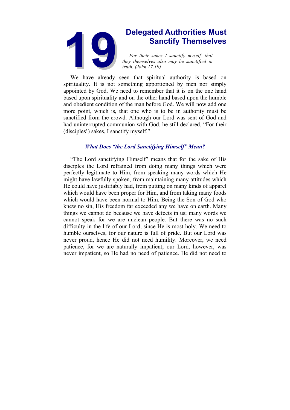

# **Sanctify Themselves**

*For their sakes I sanctify myself, that they themselves also may be sanctified in truth. (John 17.19)*

We have already seen that spiritual authority is based on spirituality. It is not something apportioned by men nor simply appointed by God. We need to remember that it is on the one hand based upon spirituality and on the other hand based upon the humble and obedient condition of the man before God. We will now add one more point, which is, that one who is to be in authority must be sanctified from the crowd. Although our Lord was sent of God and had uninterrupted communion with God, he still declared, "For their (disciples') sakes, I sanctify myself."

## *What Does "the Lord Sanctifying Himself" Mean?*

"The Lord sanctifying Himself" means that for the sake of His disciples the Lord refrained from doing many things which were perfectly legitimate to Him, from speaking many words which He might have lawfully spoken, from maintaining many attitudes which He could have justifiably had, from putting on many kinds of apparel which would have been proper for Him, and from taking many foods which would have been normal to Him. Being the Son of God who knew no sin, His freedom far exceeded any we have on earth. Many things we cannot do because we have defects in us; many words we cannot speak for we are unclean people. But there was no such difficulty in the life of our Lord, since He is most holy. We need to humble ourselves, for our nature is full of pride. But our Lord was never proud, hence He did not need humility. Moreover, we need patience, for we are naturally impatient; our Lord, however, was never impatient, so He had no need of patience. He did not need to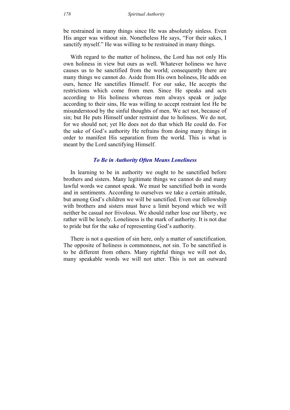be restrained in many things since He was absolutely sinless. Even His anger was without sin. Nonetheless He says, "For their sakes, I sanctify myself." He was willing to be restrained in many things.

With regard to the matter of holiness, the Lord has not only His own holiness in view but ours as well. Whatever holiness we have causes us to be sanctified from the world; consequently there are many things we cannot do. Aside from His own holiness, He adds on ours, hence He sanctifies Himself. For our sake, He accepts the restrictions which come from men. Since He speaks and acts according to His holiness whereas men always speak or judge according to their sins, He was willing to accept restraint lest He be misunderstood by the sinful thoughts of men. We act not, because of sin; but He puts Himself under restraint due to holiness. We do not, for we should not; yet He does not do that which He could do. For the sake of God's authority He refrains from doing many things in order to manifest His separation from the world. This is what is meant by the Lord sanctifying Himself.

#### *To Be in Authority Often Means Loneliness*

In learning to be in authority we ought to be sanctified before brothers and sisters. Many legitimate things we cannot do and many lawful words we cannot speak. We must be sanctified both in words and in sentiments. According to ourselves we take a certain attitude, but among God's children we will be sanctified. Even our fellowship with brothers and sisters must have a limit beyond which we will neither be casual nor frivolous. We should rather lose our liberty, we rather will be lonely. Loneliness is the mark of authority. It is not due to pride but for the sake of representing God's authority.

There is not a question of sin here, only a matter of sanctification. The opposite of holiness is commonness, not sin. To be sanctified is to be different from others. Many rightful things we will not do, many speakable words we will not utter. This is not an outward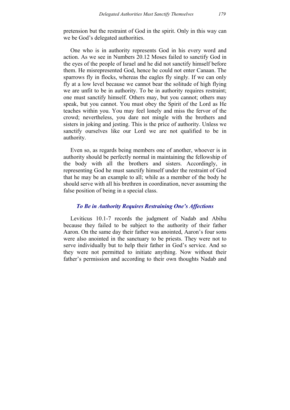pretension but the restraint of God in the spirit. Only in this way can we be God's delegated authorities.

One who is in authority represents God in his every word and action. As we see in Numbers 20.12 Moses failed to sanctify God in the eyes of the people of Israel and he did not sanctify himself before them. He misrepresented God, hence he could not enter Canaan. The sparrows fly in flocks, whereas the eagles fly singly. If we can only fly at a low level because we cannot bear the solitude of high flying we are unfit to be in authority. To be in authority requires restraint; one must sanctify himself. Others may, but you cannot; others may speak, but you cannot. You must obey the Spirit of the Lord as He teaches within you. You may feel lonely and miss the fervor of the crowd; nevertheless, you dare not mingle with the brothers and sisters in joking and jesting. This is the price of authority. Unless we sanctify ourselves like our Lord we are not qualified to be in authority.

Even so, as regards being members one of another, whoever is in authority should be perfectly normal in maintaining the fellowship of the body with all the brothers and sisters. Accordingly, in representing God he must sanctify himself under the restraint of God that he may be an example to all; while as a member of the body he should serve with all his brethren in coordination, never assuming the false position of being in a special class.

#### *To Be in Authority Requires Restraining One's Affections*

Leviticus 10.1-7 records the judgment of Nadab and Abihu because they failed to be subject to the authority of their father Aaron. On the same day their father was anointed, Aaron's four sons were also anointed in the sanctuary to be priests. They were not to serve individually but to help their father in God's service. And so they were not permitted to initiate anything. Now without their father's permission and according to their own thoughts Nadab and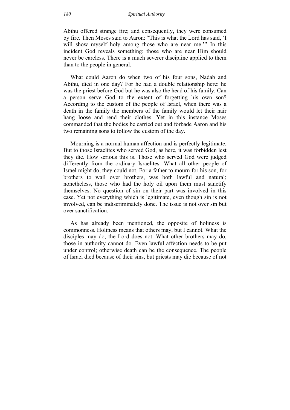Abihu offered strange fire; and consequently, they were consumed by fire. Then Moses said to Aaron: "This is what the Lord has said, 'I will show myself holy among those who are near me." In this incident God reveals something: those who are near Him should never be careless. There is a much severer discipline applied to them than to the people in general.

What could Aaron do when two of his four sons, Nadab and Abihu, died in one day? For he had a double relationship here: he was the priest before God but he was also the head of his family. Can a person serve God to the extent of forgetting his own son? According to the custom of the people of Israel, when there was a death in the family the members of the family would let their hair hang loose and rend their clothes. Yet in this instance Moses commanded that the bodies be carried out and forbade Aaron and his two remaining sons to follow the custom of the day.

Mourning is a normal human affection and is perfectly legitimate. But to those Israelites who served God, as here, it was forbidden lest they die. How serious this is. Those who served God were judged differently from the ordinary Israelites. What all other people of Israel might do, they could not. For a father to mourn for his son, for brothers to wail over brothers, was both lawful and natural; nonetheless, those who had the holy oil upon them must sanctify themselves. No question of sin on their part was involved in this case. Yet not everything which is legitimate, even though sin is not involved, can be indiscriminately done. The issue is not over sin but over sanctification.

As has already been mentioned, the opposite of holiness is commonness. Holiness means that others may, but I cannot. What the disciples may do, the Lord does not. What other brothers may do, those in authority cannot do. Even lawful affection needs to be put under control; otherwise death can be the consequence. The people of Israel died because of their sins, but priests may die because of not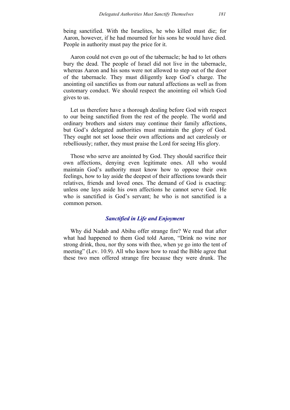being sanctified. With the Israelites, he who killed must die; for Aaron, however, if he had mourned for his sons he would have died. People in authority must pay the price for it.

Aaron could not even go out of the tabernacle; he had to let others bury the dead. The people of Israel did not live in the tabernacle, whereas Aaron and his sons were not allowed to step out of the door of the tabernacle. They must diligently keep God's charge. The anointing oil sanctifies us from our natural affections as well as from customary conduct. We should respect the anointing oil which God gives to us.

Let us therefore have a thorough dealing before God with respect to our being sanctified from the rest of the people. The world and ordinary brothers and sisters may continue their family affections, but God's delegated authorities must maintain the glory of God. They ought not set loose their own affections and act carelessly or rebelliously; rather, they must praise the Lord for seeing His glory.

Those who serve are anointed by God. They should sacrifice their own affections, denying even legitimate ones. All who would maintain God's authority must know how to oppose their own feelings, how to lay aside the deepest of their affections towards their relatives, friends and loved ones. The demand of God is exacting: unless one lays aside his own affections he cannot serve God. He who is sanctified is God's servant; he who is not sanctified is a common person.

## *Sanctified in Life and Enjoyment*

Why did Nadab and Abihu offer strange fire? We read that after what had happened to them God told Aaron, "Drink no wine nor strong drink, thou, nor thy sons with thee, when ye go into the tent of meeting" (Lev. 10.9). All who know how to read the Bible agree that these two men offered strange fire because they were drunk. The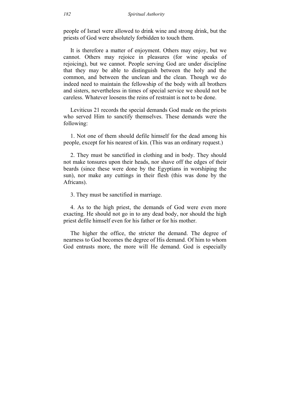people of Israel were allowed to drink wine and strong drink, but the priests of God were absolutely forbidden to touch them.

It is therefore a matter of enjoyment. Others may enjoy, but we cannot. Others may rejoice in pleasures (for wine speaks of rejoicing), but we cannot. People serving God are under discipline that they may be able to distinguish between the holy and the common, and between the unclean and the clean. Though we do indeed need to maintain the fellowship of the body with all brothers and sisters, nevertheless in times of special service we should not be careless. Whatever loosens the reins of restraint is not to be done.

Leviticus 21 records the special demands God made on the priests who served Him to sanctify themselves. These demands were the following:

1. Not one of them should defile himself for the dead among his people, except for his nearest of kin. (This was an ordinary request.)

2. They must be sanctified in clothing and in body. They should not make tonsures upon their heads, nor shave off the edges of their beards (since these were done by the Egyptians in worshiping the sun), nor make any cuttings in their flesh (this was done by the Africans).

3. They must be sanctified in marriage.

4. As to the high priest, the demands of God were even more exacting. He should not go in to any dead body, nor should the high priest defile himself even for his father or for his mother.

The higher the office, the stricter the demand. The degree of nearness to God becomes the degree of His demand. Of him to whom God entrusts more, the more will He demand. God is especially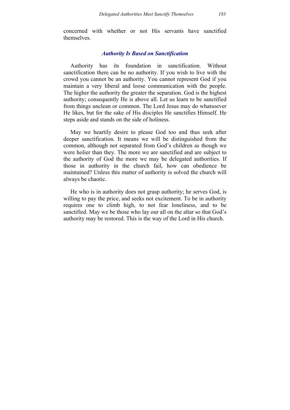concerned with whether or not His servants have sanctified themselves.

## *Authority Is Based on Sanctification*

Authority has its foundation in sanctification. Without sanctification there can be no authority. If you wish to live with the crowd you cannot be an authority. You cannot represent God if you maintain a very liberal and loose communication with the people. The higher the authority the greater the separation. God is the highest authority; consequently He is above all. Let us learn to be sanctified from things unclean or common. The Lord Jesus may do whatsoever He likes, but for the sake of His disciples He sanctifies Himself. He steps aside and stands on the side of holiness.

May we heartily desire to please God too and thus seek after deeper sanctification. It means we will be distinguished from the common, although not separated from God's children as though we were holier than they. The more we are sanctified and are subject to the authority of God the more we may be delegated authorities. If those in authority in the church fail, how can obedience be maintained? Unless this matter of authority is solved the church will always be chaotic.

He who is in authority does not grasp authority; he serves God, is willing to pay the price, and seeks not excitement. To be in authority requires one to climb high, to not fear loneliness, and to be sanctified. May we be those who lay our all on the altar so that God's authority may be restored. This is the way of the Lord in His church.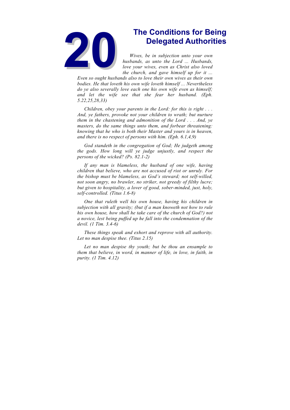

## **Delegated Authorities**

*Wives, be in subjection unto your own husbands, as unto the Lord ... Husbands, love your wives, even as Christ also loved the church, and gave himself up for it ...* 

*Even so ought husbands also to love their own wives as their own bodies. He that loveth his own wife loveth himself ... Nevertheless do ye also severally love each one his own wife even as himself; and let the wife see that she fear her husband. (Eph. 5.22,25,28,33)*

*Children, obey your parents in the Lord: for this is right . . . And, ye fathers, provoke not your children to wrath; but nurture them in the chastening and admonition of the Lord . . . And, ye masters, do the same things unto them, and forbear threatening: knowing that he who is both their Master and yours is in heaven, and there is no respect of persons with him. (Eph. 6.1,4,9)*

*God standeth in the congregation of God; He judgeth among the gods. How long will ye judge unjustly, and respect the persons of the wicked? (Ps. 82.1-2)*

*If any man is blameless, the husband of one wife, having children that believe, who are not accused of riot or unruly. For the bishop must be blameless, as God's steward; not self-willed, not soon angry, no brawler, no striker, not greedy of filthy lucre; but given to hospitality, a lover of good, sober-minded, just, holy, self-controlled. (Titus 1.6-8)*

*One that ruleth well his own house, having his children in subjection with all gravity; (but if a man knoweth not how to rule his own house, how shall he take care of the church of God?) not a novice, lest being puffed up he fall into the condemnation of the devil. (1 Tim. 3.4-6)*

*These things speak and exhort and reprove with all authority. Let no man despise thee. (Titus 2.15)*

*Let no man despise thy youth; but be thou an ensample to them that believe, in word, in manner of life, in love, in faith, in purity. (1 Tim. 4.12)*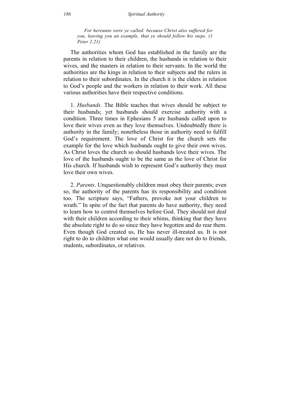*For hereunto were ye called: because Christ also suffered for you, leaving you an example, that ye should follow his steps. (1 Peter 2.21)* 

The authorities whom God has established in the family are the parents in relation to their children, the husbands in relation to their wives, and the masters in relation to their servants. In the world the authorities are the kings in relation to their subjects and the rulers in relation to their subordinates. In the church it is the elders in relation to God's people and the workers in relation to their work. All these various authorities have their respective conditions.

1. *Husbands*. The Bible teaches that wives should be subject to their husbands; yet husbands should exercise authority with a condition. Three times in Ephesians 5 are husbands called upon to love their wives even as they love themselves. Undoubtedly there is authority in the family; nonetheless those in authority need to fulfill God's requirement. The love of Christ for the church sets the example for the love which husbands ought to give their own wives. As Christ loves the church so should husbands love their wives. The love of the husbands ought to be the same as the love of Christ for His church. If husbands wish to represent God's authority they must love their own wives.

2. *Parents*. Unquestionably children must obey their parents; even so, the authority of the parents has its responsibility and condition too. The scripture says, "Fathers, provoke not your children to wrath." In spite of the fact that parents do have authority, they need to learn how to control themselves before God. They should not deal with their children according to their whims, thinking that they have the absolute right to do so since they have begotten and do rear them. Even though God created us, He has never ill-treated us. It is not right to do to children what one would usually dare not do to friends, students, subordinates, or relatives.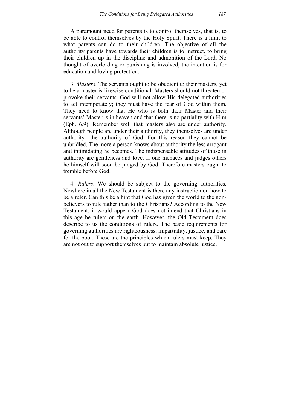A paramount need for parents is to control themselves, that is, to be able to control themselves by the Holy Spirit. There is a limit to what parents can do to their children. The objective of all the authority parents have towards their children is to instruct, to bring their children up in the discipline and admonition of the Lord. No thought of overlording or punishing is involved; the intention is for education and loving protection.

3. *Masters*. The servants ought to be obedient to their masters, yet to be a master is likewise conditional. Masters should not threaten or provoke their servants. God will not allow His delegated authorities to act intemperately; they must have the fear of God within them. They need to know that He who is both their Master and their servants' Master is in heaven and that there is no partiality with Him (Eph. 6.9). Remember well that masters also are under authority. Although people are under their authority, they themselves are under authority—the authority of God. For this reason they cannot be unbridled. The more a person knows about authority the less arrogant and intimidating he becomes. The indispensable attitudes of those in authority are gentleness and love. If one menaces and judges others he himself will soon be judged by God. Therefore masters ought to tremble before God.

4. *Rulers*. We should be subject to the governing authorities. Nowhere in all the New Testament is there any instruction on how to be a ruler. Can this be a hint that God has given the world to the nonbelievers to rule rather than to the Christians? According to the New Testament, it would appear God does not intend that Christians in this age be rulers on the earth. However, the Old Testament does describe to us the conditions of rulers. The basic requirements for governing authorities are righteousness, impartiality, justice, and care for the poor. These are the principles which rulers must keep. They are not out to support themselves but to maintain absolute justice.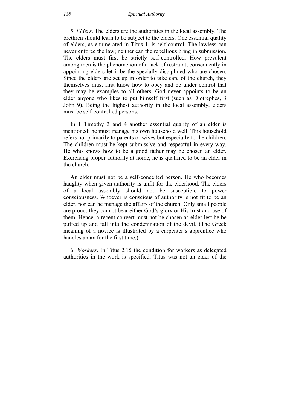5. *Elders*. The elders are the authorities in the local assembly. The brethren should learn to be subject to the elders. One essential quality of elders, as enumerated in Titus 1, is self-control. The lawless can never enforce the law; neither can the rebellious bring in submission. The elders must first be strictly self-controlled. How prevalent among men is the phenomenon of a lack of restraint; consequently in appointing elders let it be the specially disciplined who are chosen. Since the elders are set up in order to take care of the church, they themselves must first know how to obey and be under control that they may be examples to all others. God never appoints to be an elder anyone who likes to put himself first (such as Diotrephes, 3 John 9). Being the highest authority in the local assembly, elders must be self-controlled persons.

In 1 Timothy 3 and 4 another essential quality of an elder is mentioned: he must manage his own household well. This household refers not primarily to parents or wives but especially to the children. The children must be kept submissive and respectful in every way. He who knows how to be a good father may be chosen an elder. Exercising proper authority at home, he is qualified to be an elder in the church.

An elder must not be a self-conceited person. He who becomes haughty when given authority is unfit for the elderhood. The elders of a local assembly should not be susceptible to power consciousness. Whoever is conscious of authority is not fit to be an elder, nor can he manage the affairs of the church. Only small people are proud; they cannot bear either God's glory or His trust and use of them. Hence, a recent convert must not be chosen as elder lest he be puffed up and fall into the condemnation of the devil. (The Greek meaning of a novice is illustrated by a carpenter's apprentice who handles an ax for the first time.)

6. *Workers*. In Titus 2.15 the condition for workers as delegated authorities in the work is specified. Titus was not an elder of the